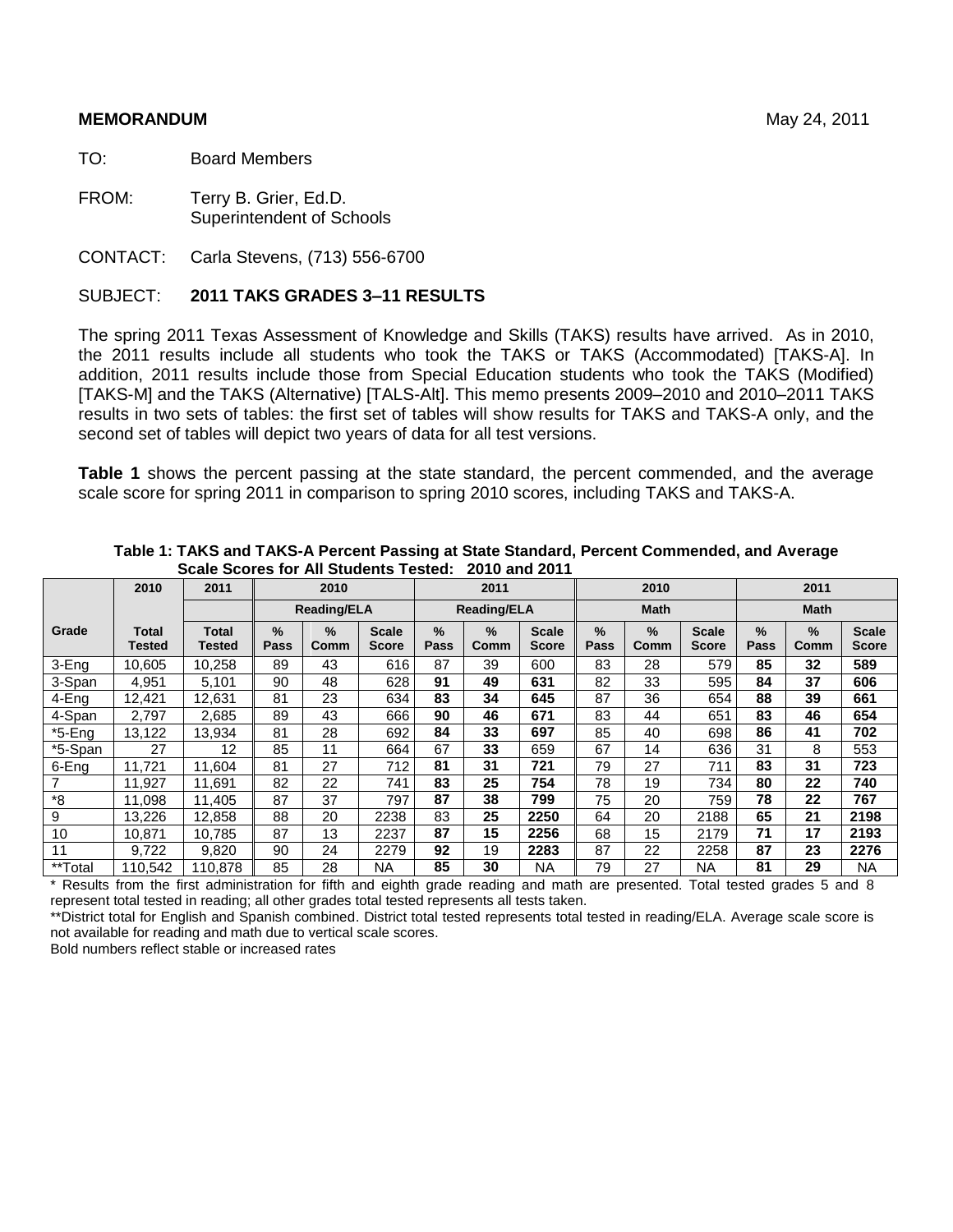#### **MEMORANDUM** May 24, 2011

TO: Board Members

FROM: Terry B. Grier, Ed.D. Superintendent of Schools

CONTACT: Carla Stevens, (713) 556-6700

#### SUBJECT: **2011 TAKS GRADES 3–11 RESULTS**

The spring 2011 Texas Assessment of Knowledge and Skills (TAKS) results have arrived. As in 2010, the 2011 results include all students who took the TAKS or TAKS (Accommodated) [TAKS-A]. In addition, 2011 results include those from Special Education students who took the TAKS (Modified) [TAKS-M] and the TAKS (Alternative) [TALS-Alt]. This memo presents 2009–2010 and 2010–2011 TAKS results in two sets of tables: the first set of tables will show results for TAKS and TAKS-A only, and the second set of tables will depict two years of data for all test versions.

**Table 1** shows the percent passing at the state standard, the percent commended, and the average scale score for spring 2011 in comparison to spring 2010 scores, including TAKS and TAKS-A.

|           | 2010            | 2011                   |           | 2010                                                     |      |    | 2011                  |                              |              | 2010                  |                       | 2011                  |              |                              |  |
|-----------|-----------------|------------------------|-----------|----------------------------------------------------------|------|----|-----------------------|------------------------------|--------------|-----------------------|-----------------------|-----------------------|--------------|------------------------------|--|
|           |                 |                        |           | <b>Reading/ELA</b>                                       |      |    | <b>Reading/ELA</b>    |                              |              | <b>Math</b>           |                       |                       | <b>Math</b>  |                              |  |
| Grade     | Total<br>Tested | <b>Total</b><br>Tested | %<br>Pass | $\%$<br><b>Scale</b><br><b>Score</b><br>Comm<br>89<br>43 |      |    | $\frac{9}{6}$<br>Comm | <b>Scale</b><br><b>Score</b> | $\%$<br>Pass | $\frac{9}{6}$<br>Comm | <b>Scale</b><br>Score | $\frac{9}{6}$<br>Pass | $\%$<br>Comm | <b>Scale</b><br><b>Score</b> |  |
| 3-Eng     | 10.605          | 10,258                 |           |                                                          | 616  | 87 | 39                    | 600                          | 83           | 28                    | 579                   | 85                    | 32           | 589                          |  |
| 3-Span    | 4.951           | 5,101                  | 90<br>48  |                                                          | 628  | 91 | 49                    | 631                          | 82           | 33                    | 595                   | 84                    | 37           | 606                          |  |
| 4-Eng     | 12,421          | 12,631                 | 81        | 23<br>634                                                |      |    | 34                    | 645                          | 87           | 36                    | 654                   | 88                    | 39           | 661                          |  |
| 4-Span    | 2.797           | 2,685                  | 89        | 43                                                       | 666  | 90 | 46                    | 671                          | 83           | 44                    | 651                   | 83                    | 46           | 654                          |  |
| $*5$ -Eng | 13,122          | 13,934                 | 81        | 28                                                       | 692  | 84 | 33                    | 697                          | 85           | 40                    | 698                   | 86                    | 41           | 702                          |  |
| *5-Span   | 27              | 12                     | 85        | 11                                                       | 664  | 67 | 33                    | 659                          | 67           | 14                    | 636                   | 31                    | 8            | 553                          |  |
| 6-Eng     | 11.721          | 11,604                 | 81        | 27                                                       | 712  | 81 | 31                    | 721                          | 79           | 27                    | 711                   | 83                    | 31           | 723                          |  |
|           | 11.927          | 11,691                 | 82        | 22                                                       | 741  | 83 | 25                    | 754                          | 78           | 19                    | 734                   | 80                    | 22           | 740                          |  |
| *8        | 11,098          | 11,405                 | 87        | 37                                                       | 797  | 87 | 38                    | 799                          | 75           | 20                    | 759                   | 78                    | 22           | 767                          |  |
| 9         | 13,226          | 12,858                 | 88        | 20                                                       | 2238 | 83 | 25                    | 2250                         | 64           | 20                    | 2188                  | 65                    | 21           | 2198                         |  |
| 10        | 10.871          | 10.785                 | 87        | 13                                                       | 2237 | 87 | 15                    | 2256                         | 68           | 15                    | 2179                  | 71                    | 17           | 2193                         |  |
| 11        | 9.722           | 9.820                  | 90        | 24                                                       | 2279 | 92 | 19                    | 2283                         | 87           | 22                    | 2258                  | 87                    | 23           | 2276                         |  |
| **Total   | 110.542         | 110,878                | 85        | 28                                                       | NA   | 85 | 30                    | <b>NA</b>                    | 79           | 27                    | <b>NA</b>             | 81                    | 29           | <b>NA</b>                    |  |

**Table 1: TAKS and TAKS-A Percent Passing at State Standard, Percent Commended, and Average Scale Scores for All Students Tested: 2010 and 2011**

\* Results from the first administration for fifth and eighth grade reading and math are presented. Total tested grades 5 and 8 represent total tested in reading; all other grades total tested represents all tests taken.

\*\*District total for English and Spanish combined. District total tested represents total tested in reading/ELA. Average scale score is not available for reading and math due to vertical scale scores.

Bold numbers reflect stable or increased rates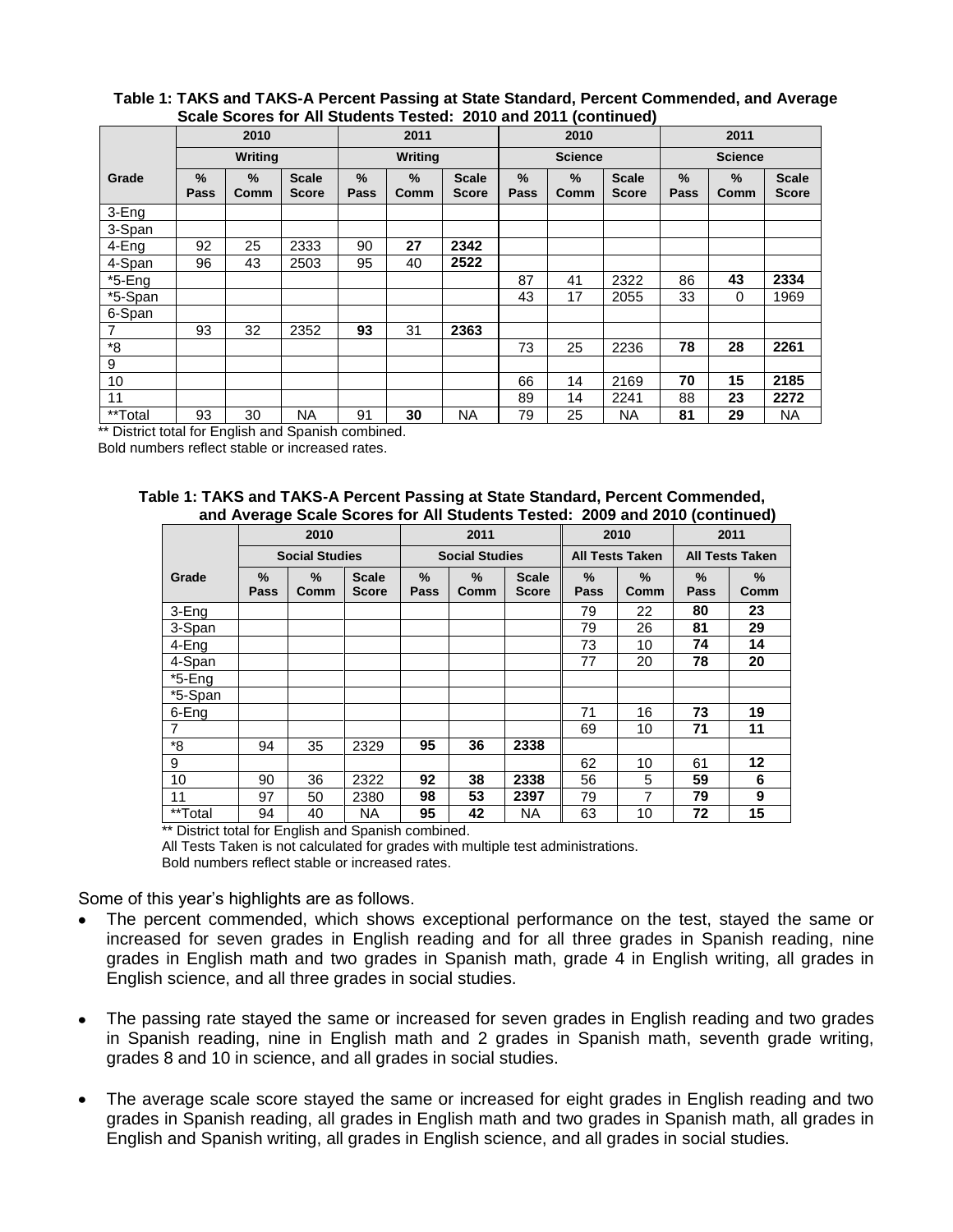#### **Table 1: TAKS and TAKS-A Percent Passing at State Standard, Percent Commended, and Average Scale Scores for All Students Tested: 2010 and 2011 (continued)**

|                |              | 2010           |                              |                                                           | 2011    |      |                       | 2010                  |                              | 2011           |                |                              |  |
|----------------|--------------|----------------|------------------------------|-----------------------------------------------------------|---------|------|-----------------------|-----------------------|------------------------------|----------------|----------------|------------------------------|--|
|                |              | <b>Writing</b> |                              |                                                           | Writing |      |                       | <b>Science</b>        |                              |                | <b>Science</b> |                              |  |
| Grade          | $\%$<br>Pass | $\%$<br>Comm   | <b>Scale</b><br><b>Score</b> | %<br>$\%$<br><b>Scale</b><br>Pass<br><b>Score</b><br>Comm |         |      | $\frac{9}{6}$<br>Pass | $\frac{9}{6}$<br>Comm | <b>Scale</b><br><b>Score</b> | $\%$<br>Pass   | $\%$<br>Comm   | <b>Scale</b><br><b>Score</b> |  |
| 3-Eng          |              |                |                              |                                                           |         |      |                       |                       |                              |                |                |                              |  |
| 3-Span         |              |                |                              |                                                           |         |      |                       |                       |                              |                |                |                              |  |
| 4-Eng          | 92           | 25             | 2333                         | 27<br>2342<br>90                                          |         |      |                       |                       |                              |                |                |                              |  |
| 4-Span         | 96           | 43             | 2503                         | 95                                                        | 40      | 2522 |                       |                       |                              |                |                |                              |  |
| $*5$ -Eng      |              |                |                              |                                                           |         |      | 87                    | 41                    | 2322                         | 86             | 43             | 2334                         |  |
| *5-Span        |              |                |                              |                                                           |         |      | 43                    | 17                    | 2055                         | 33             | 0              | 1969                         |  |
| 6-Span         |              |                |                              |                                                           |         |      |                       |                       |                              |                |                |                              |  |
| $\overline{7}$ | 93           | 32             | 2352                         | 93                                                        | 31      | 2363 |                       |                       |                              |                |                |                              |  |
| $^*8$          |              |                |                              |                                                           |         |      | 73                    | 25                    | 2236                         | 78             | 28             | 2261                         |  |
| 9              |              |                |                              |                                                           |         |      |                       |                       |                              |                |                |                              |  |
| 10             |              |                |                              |                                                           |         |      | 66                    | 14                    | 2169                         | 70             | 15             | 2185                         |  |
| 11             |              |                |                              |                                                           |         | 89   | 14                    | 2241                  | 88                           | 23             | 2272           |                              |  |
| **Total        | 93           | 30             | NA.                          | 30<br>91<br><b>NA</b>                                     |         |      | 79<br>25<br><b>NA</b> |                       |                              | 29<br>81<br>ΝA |                |                              |  |

\*\* District total for English and Spanish combined.

Bold numbers reflect stable or increased rates.

| Table 1: TAKS and TAKS-A Percent Passing at State Standard, Percent Commended, |  |
|--------------------------------------------------------------------------------|--|
| and Average Scale Scores for All Students Tested: 2009 and 2010 (continued)    |  |

|                |                       |                       |                              |                       |                       |                              |              |                        | and Average Obaic Oborco for Air Otagonto Teotoa. Evel and Evit (bominiqua) |                        |
|----------------|-----------------------|-----------------------|------------------------------|-----------------------|-----------------------|------------------------------|--------------|------------------------|-----------------------------------------------------------------------------|------------------------|
|                |                       | 2010                  |                              |                       | 2011                  |                              |              | 2010                   |                                                                             | 2011                   |
|                |                       | <b>Social Studies</b> |                              |                       | <b>Social Studies</b> |                              |              | <b>All Tests Taken</b> |                                                                             | <b>All Tests Taken</b> |
| Grade          | $\%$<br><b>Pass</b>   | %<br>Comm             | <b>Scale</b><br><b>Score</b> | %<br>Pass             | %<br>Comm             | <b>Scale</b><br><b>Score</b> | $\%$<br>Pass | %<br>Comm              | $\%$<br>Pass                                                                | %<br>Comm              |
| 3-Eng          |                       |                       |                              |                       |                       |                              | 79           | 22                     | 80                                                                          | 23                     |
| 3-Span         |                       |                       |                              |                       |                       |                              | 79           | 26                     | 81                                                                          | 29                     |
| 4-Eng          |                       |                       |                              |                       |                       |                              | 73           | 10                     | 74                                                                          | 14                     |
| 4-Span         |                       |                       |                              |                       |                       |                              | 77           | 20                     | 78                                                                          | 20                     |
| $*5$ -Eng      |                       |                       |                              |                       |                       |                              |              |                        |                                                                             |                        |
| *5-Span        |                       |                       |                              |                       |                       |                              |              |                        |                                                                             |                        |
| 6-Eng          |                       |                       |                              |                       |                       |                              | 71           | 16                     | 73                                                                          | 19                     |
| $\overline{7}$ |                       |                       |                              |                       |                       |                              | 69           | 10                     | 71                                                                          | 11                     |
| *8             | 94                    | 35                    | 2329                         | 95                    | 36                    | 2338                         |              |                        |                                                                             |                        |
| 9              |                       |                       |                              |                       |                       |                              | 62           | 10                     | 61                                                                          | 12                     |
| 10             | 90                    | 36                    | 2322                         | 92                    | 38                    | 2338                         | 56           | 5                      | 59                                                                          | 6                      |
| 11             | 97                    | 50                    | 2380                         | 98                    | 53                    | 2397                         | 79           | $\overline{7}$         | 79                                                                          | 9                      |
| **Total        | <b>NA</b><br>94<br>40 |                       |                              | 95<br>42<br><b>NA</b> |                       |                              | 63           | 10                     | 72                                                                          | 15                     |

\*\* District total for English and Spanish combined.

 All Tests Taken is not calculated for grades with multiple test administrations. Bold numbers reflect stable or increased rates.

Some of this year's highlights are as follows.

- The percent commended, which shows exceptional performance on the test, stayed the same or increased for seven grades in English reading and for all three grades in Spanish reading, nine grades in English math and two grades in Spanish math, grade 4 in English writing, all grades in English science, and all three grades in social studies.
- $\bullet$ The passing rate stayed the same or increased for seven grades in English reading and two grades in Spanish reading, nine in English math and 2 grades in Spanish math, seventh grade writing, grades 8 and 10 in science, and all grades in social studies.
- The average scale score stayed the same or increased for eight grades in English reading and two  $\bullet$ grades in Spanish reading, all grades in English math and two grades in Spanish math, all grades in English and Spanish writing, all grades in English science, and all grades in social studies.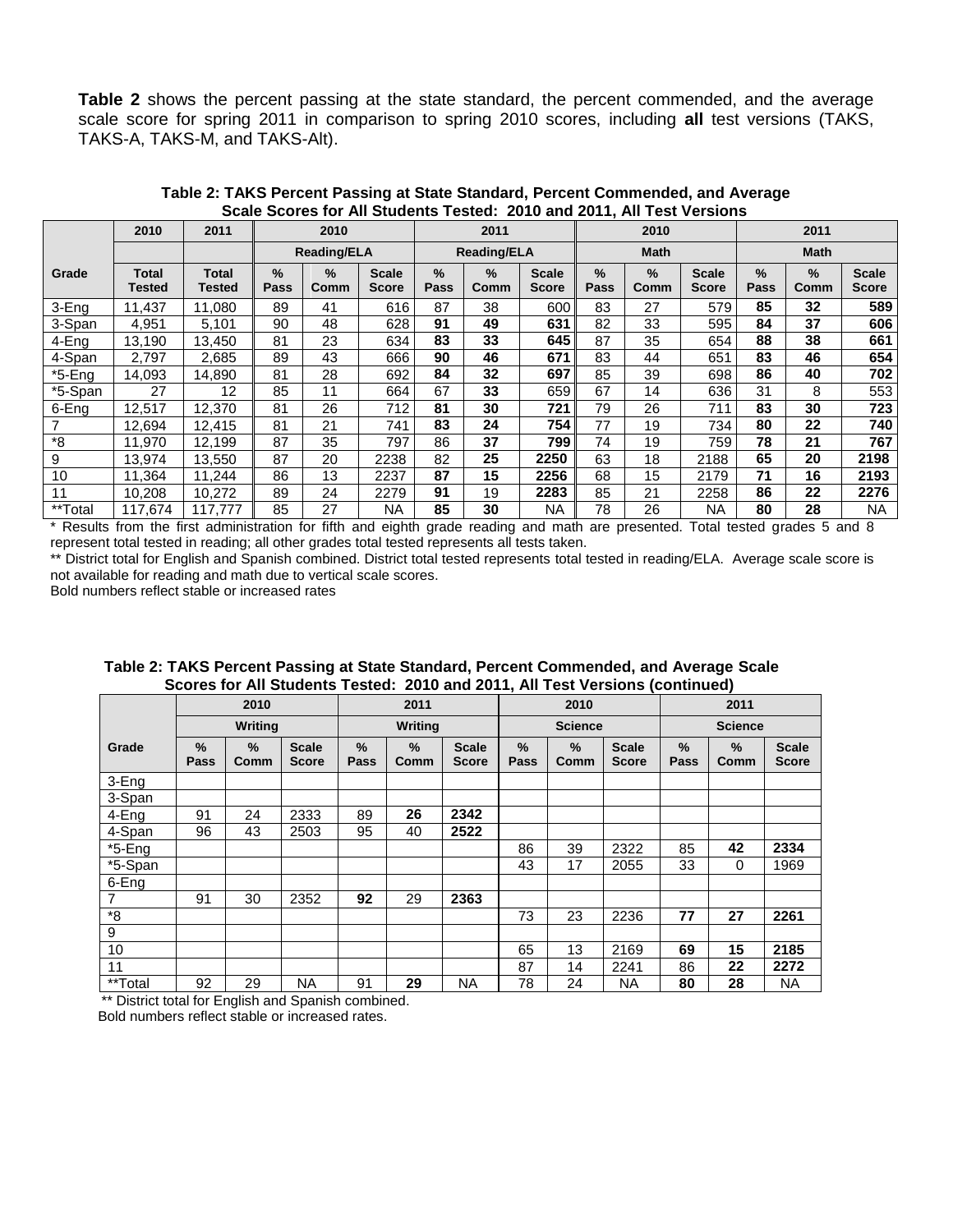**Table 2** shows the percent passing at the state standard, the percent commended, and the average scale score for spring 2011 in comparison to spring 2010 scores, including **all** test versions (TAKS, TAKS-A, TAKS-M, and TAKS-Alt).

|           | 2010                   | 2011            |                       | 2010               |                       |                       | 2011                  |                              |                       | 2010        |                              | 2011         |                       |                       |  |
|-----------|------------------------|-----------------|-----------------------|--------------------|-----------------------|-----------------------|-----------------------|------------------------------|-----------------------|-------------|------------------------------|--------------|-----------------------|-----------------------|--|
|           |                        |                 |                       | <b>Reading/ELA</b> |                       |                       | <b>Reading/ELA</b>    |                              |                       | <b>Math</b> |                              |              | <b>Math</b>           |                       |  |
| Grade     | <b>Total</b><br>Tested | Total<br>Tested | $\frac{9}{6}$<br>Pass | $\%$<br>Comm       | <b>Scale</b><br>Score | $\frac{9}{6}$<br>Pass | $\frac{9}{6}$<br>Comm | <b>Scale</b><br><b>Score</b> | $\frac{9}{6}$<br>Pass | %<br>Comm   | <b>Scale</b><br><b>Score</b> | $\%$<br>Pass | $\frac{9}{6}$<br>Comm | <b>Scale</b><br>Score |  |
| 3-Eng     | 11.437                 | 11.080          | 89                    | 41                 | 616                   | 87                    | 38                    | 600                          | 83                    | 27          | 579                          | 85           | 32                    | 589                   |  |
| 3-Span    | 4,951                  | 5,101           | 90                    | 48                 | 628                   | 91                    | 49                    | 631                          | 82                    | 33          | 595                          | 84           | 37                    | 606                   |  |
| 4-Eng     | 13,190                 | 13,450          | 81<br>23<br>634       |                    |                       | 83                    | 33                    | 645                          | 87                    | 35          | 654                          | 88           | 38                    | 661                   |  |
| 4-Span    | 2.797                  | 2.685           | 89                    | 43                 | 666                   | 90                    | 46                    | 671                          | 83                    | 44          | 651                          | 83           | 46                    | 654                   |  |
| $*5$ -Eng | 14,093                 | 14,890          | 81                    | 28                 | 692                   | 84                    | 32                    | 697                          | 85                    | 39          | 698                          | 86           | 40                    | 702                   |  |
| *5-Span   | 27                     | 12              | 85                    | 11                 | 664                   | 67                    | 33                    | 659                          | 67                    | 14          | 636                          | 31           | 8                     | 553                   |  |
| 6-Eng     | 12,517                 | 12,370          | 81                    | 26                 | 712                   | 81                    | 30                    | 721                          | 79                    | 26          | 711                          | 83           | 30                    | 723                   |  |
|           | 12,694                 | 12,415          | 81                    | 21                 | 741                   | 83                    | 24                    | 754                          | 77                    | 19          | 734                          | 80           | 22                    | 740                   |  |
| *8        | 11.970                 | 12,199          | 87                    | 35                 | 797                   | 86                    | 37                    | 799                          | 74                    | 19          | 759                          | 78           | 21                    | 767                   |  |
| 9         | 13.974                 | 13,550          | 87                    | 20                 | 2238                  | 82                    | 25                    | 2250                         | 63                    | 18          | 2188                         | 65           | 20                    | 2198                  |  |
| 10        | 11.364                 | 11,244          | 86                    | 13                 | 2237                  | 87                    | 15                    | 2256                         | 68                    | 15          | 2179                         | 71           | 16                    | 2193                  |  |
| 11        | 10,208                 | 10,272          | 89                    | 24                 | 2279                  | 91                    | 19                    | 2283                         | 85                    | 21          | 2258                         | 86           | 22                    | 2276                  |  |
| **Total   | 117.674                | 117.777         | 85                    | 27                 | <b>NA</b>             | 85                    | 30                    | NA.                          | 78                    | 26          | ΝA                           | 80           | 28                    | <b>NA</b>             |  |

**Table 2: TAKS Percent Passing at State Standard, Percent Commended, and Average Scale Scores for All Students Tested: 2010 and 2011, All Test Versions**

\* Results from the first administration for fifth and eighth grade reading and math are presented. Total tested grades 5 and 8 represent total tested in reading; all other grades total tested represents all tests taken.

\*\* District total for English and Spanish combined. District total tested represents total tested in reading/ELA. Average scale score is not available for reading and math due to vertical scale scores.

Bold numbers reflect stable or increased rates

|                                 |           |                |                              |                |                       |                              |                       |                       |                              | SCOTES TOP AIT STUDENTS TESTED. ZUTU ANU ZUTT, AIT FEST VEI SIONS (CONTINUED) |                |                              |  |
|---------------------------------|-----------|----------------|------------------------------|----------------|-----------------------|------------------------------|-----------------------|-----------------------|------------------------------|-------------------------------------------------------------------------------|----------------|------------------------------|--|
|                                 |           | 2010           |                              |                | 2011                  |                              |                       | 2010                  |                              |                                                                               | 2011           |                              |  |
|                                 |           | <b>Writing</b> |                              |                | <b>Writing</b>        |                              |                       | <b>Science</b>        |                              |                                                                               | <b>Science</b> |                              |  |
| Grade                           | %<br>Pass | $\%$<br>Comm   | <b>Scale</b><br><b>Score</b> | $\%$<br>Pass   | $\frac{9}{6}$<br>Comm | <b>Scale</b><br><b>Score</b> | $\frac{9}{6}$<br>Pass | $\frac{9}{6}$<br>Comm | <b>Scale</b><br><b>Score</b> | %<br>Pass                                                                     | %<br>Comm      | <b>Scale</b><br><b>Score</b> |  |
| 3-Eng                           |           |                |                              |                |                       |                              |                       |                       |                              |                                                                               |                |                              |  |
| 3-Span                          |           |                |                              |                |                       |                              |                       |                       |                              |                                                                               |                |                              |  |
| 4-Eng                           | 91        | 24             | 2333                         | 89             | 26                    | 2342                         |                       |                       |                              |                                                                               |                |                              |  |
| 4-Span                          | 96        | 43             | 2503                         | 95             | 40                    | 2522                         |                       |                       |                              |                                                                               |                |                              |  |
| $\overline{5}$ -Eng             |           |                |                              |                |                       |                              | 86                    | 39                    | 2322                         | 85                                                                            | 42             | 2334                         |  |
| $\overline{\phantom{a}}$ 5-Span |           |                |                              |                |                       |                              | 43                    | 17                    | 2055                         | 33                                                                            | 0              | 1969                         |  |
| 6-Eng                           |           |                |                              |                |                       |                              |                       |                       |                              |                                                                               |                |                              |  |
|                                 | 91        | 30             | 2352                         | 92             | 29                    | 2363                         |                       |                       |                              |                                                                               |                |                              |  |
| *8                              |           |                |                              |                |                       |                              | 73                    | 23                    | 2236                         | 77                                                                            | 27             | 2261                         |  |
| 9                               |           |                |                              |                |                       |                              |                       |                       |                              |                                                                               |                |                              |  |
| 10                              |           |                |                              |                |                       |                              | 65                    | 13                    | 2169                         | 69                                                                            | 15             | 2185                         |  |
| 11                              |           |                |                              |                |                       |                              | 87                    | 14                    | 2241                         | 86                                                                            | 22             | 2272                         |  |
| **Total                         | 92        | 29             | <b>NA</b>                    | 29<br>91<br>ΝA |                       |                              | 78<br>24<br>NA        |                       |                              | 28<br>80<br><b>NA</b>                                                         |                |                              |  |

 **Table 2: TAKS Percent Passing at State Standard, Percent Commended, and Average Scale Scores for All Students Tested: 2010 and 2011, All Test Versions (continued)**

\*\* District total for English and Spanish combined. Bold numbers reflect stable or increased rates.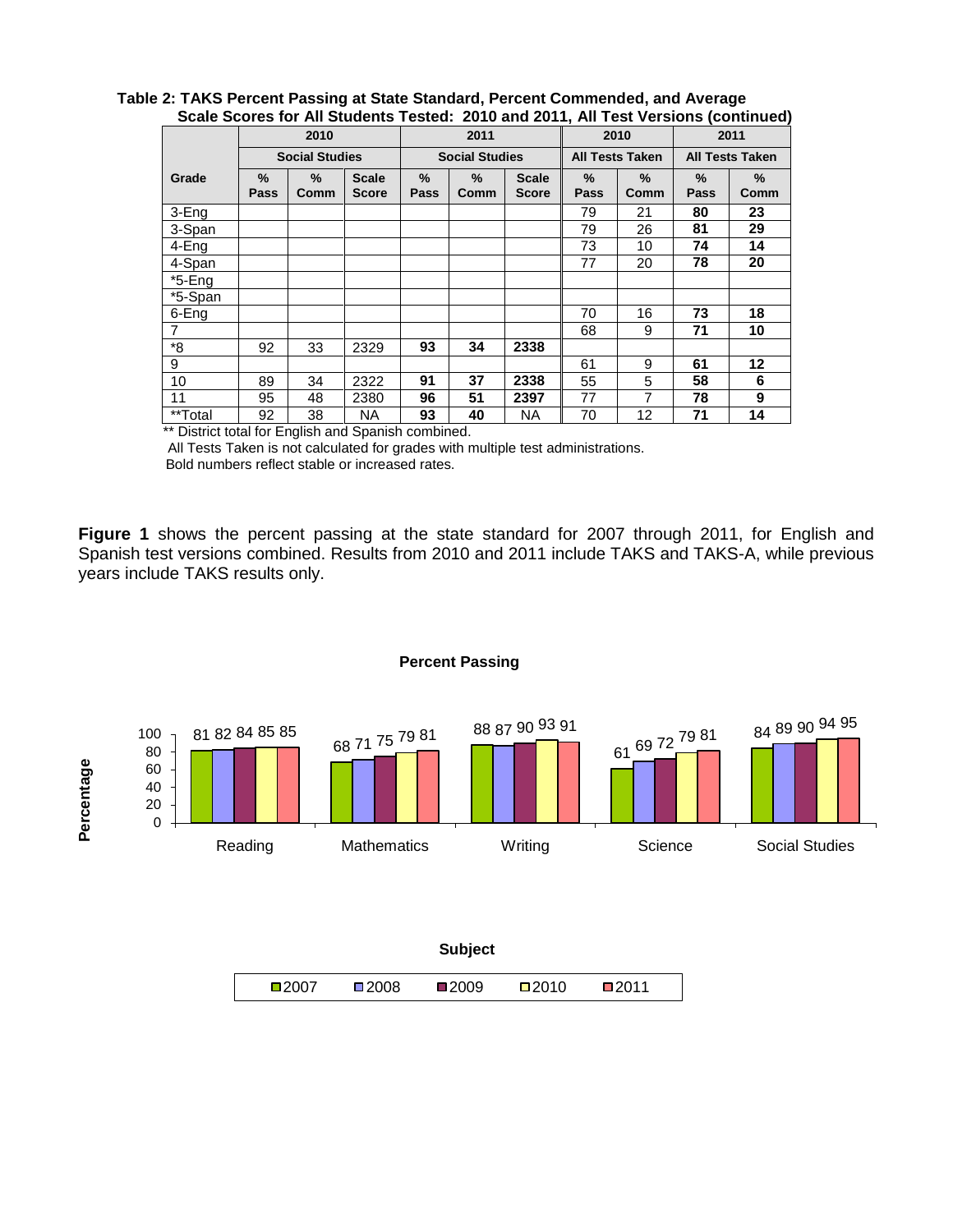|                |              |                       |                              |           |                       |                              |              |                        | <u>UUUN UUUNG IUI AII ULUUNIILU TUJIUU. EUTU UIIU EUTTI AII TUJI TUIJIUIIJ (UUIILIILUU)</u> |                        |
|----------------|--------------|-----------------------|------------------------------|-----------|-----------------------|------------------------------|--------------|------------------------|---------------------------------------------------------------------------------------------|------------------------|
|                |              | 2010                  |                              |           | 2011                  |                              |              | 2010                   |                                                                                             | 2011                   |
|                |              | <b>Social Studies</b> |                              |           | <b>Social Studies</b> |                              |              | <b>All Tests Taken</b> |                                                                                             | <b>All Tests Taken</b> |
| Grade          | $\%$<br>Pass | %<br>Comm             | <b>Scale</b><br><b>Score</b> | %<br>Pass | %<br>Comm             | <b>Scale</b><br><b>Score</b> | $\%$<br>Pass | %<br>Comm              | $\frac{9}{6}$<br>Pass                                                                       | %<br>Comm              |
| 3-Eng          |              |                       |                              |           |                       |                              | 79           | 21                     | 80                                                                                          | 23                     |
| 3-Span         |              |                       |                              |           |                       |                              | 79           | 26                     | 81                                                                                          | 29                     |
| 4-Eng          |              |                       |                              |           |                       |                              | 73           | 10                     | 74                                                                                          | 14                     |
| 4-Span         |              |                       |                              |           |                       |                              | 77           | 20                     | 78                                                                                          | 20                     |
| $*5$ -Eng      |              |                       |                              |           |                       |                              |              |                        |                                                                                             |                        |
| *5-Span        |              |                       |                              |           |                       |                              |              |                        |                                                                                             |                        |
| 6-Eng          |              |                       |                              |           |                       |                              | 70           | 16                     | 73                                                                                          | 18                     |
| $\overline{7}$ |              |                       |                              |           |                       |                              | 68           | 9                      | 71                                                                                          | 10                     |
| *8             | 92           | 33                    | 2329                         | 93        | 34                    | 2338                         |              |                        |                                                                                             |                        |
| 9              |              |                       |                              |           |                       |                              | 61           | 9                      | 61                                                                                          | 12                     |
| 10             | 89           | 34                    | 2322                         | 91        | 37                    | 2338                         | 55           | 5                      | 58                                                                                          | 6                      |
| 11             | 95           | 48                    | 2380                         | 96        | 51                    | 2397                         | 77           | 7                      | 78                                                                                          | 9                      |
| **Total        | 92           | 38                    | <b>NA</b>                    | 93        | 40                    | <b>NA</b>                    | 70           | 12                     | 71                                                                                          | 14                     |

#### **Table 2: TAKS Percent Passing at State Standard, Percent Commended, and Average Scale Scores for All Students Tested: 2010 and 2011, All Test Versions (continued)**

\*\* District total for English and Spanish combined.

 All Tests Taken is not calculated for grades with multiple test administrations. Bold numbers reflect stable or increased rates.

**Figure 1** shows the percent passing at the state standard for 2007 through 2011, for English and Spanish test versions combined. Results from 2010 and 2011 include TAKS and TAKS-A, while previous years include TAKS results only.



**Percent Passing**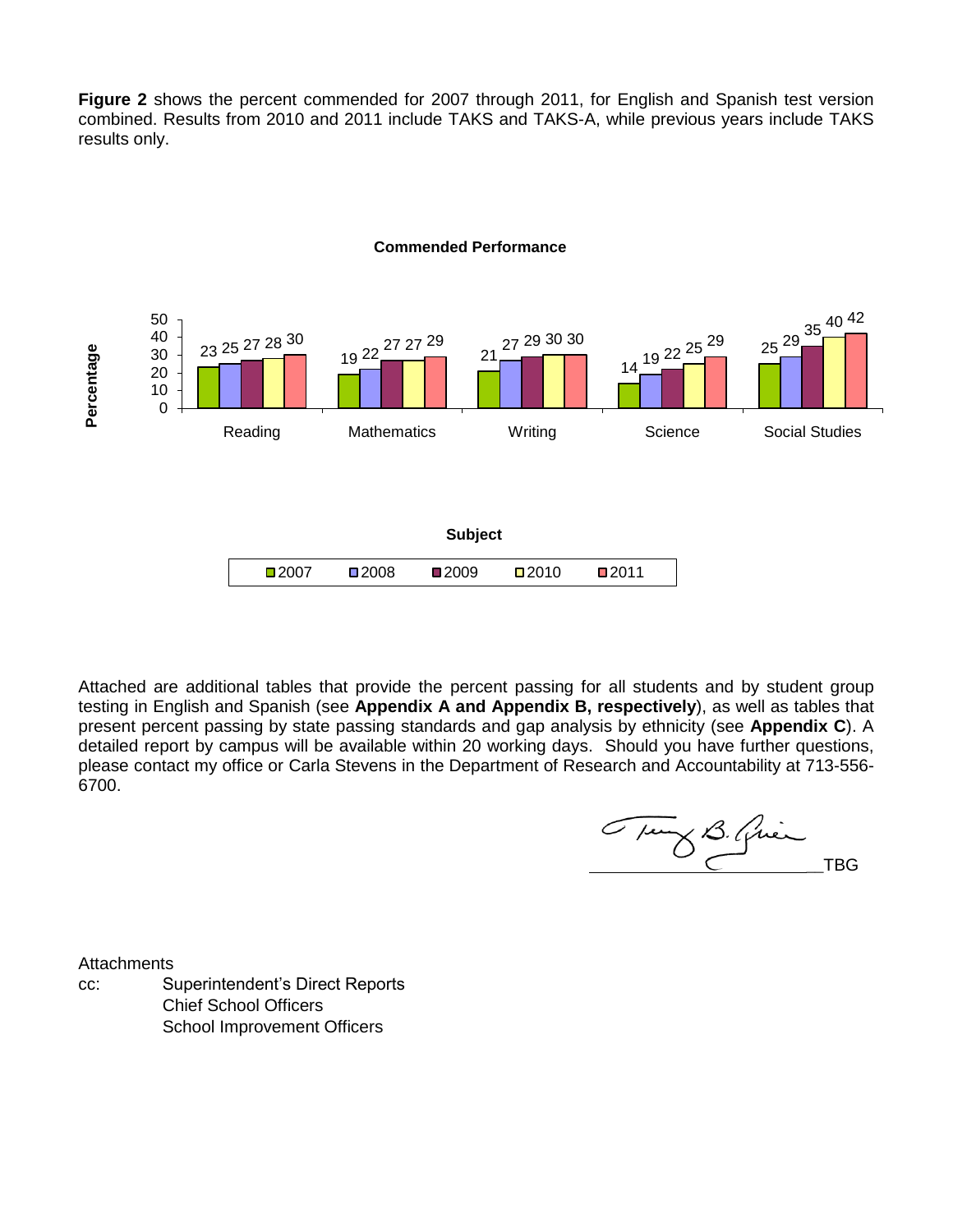**Figure 2** shows the percent commended for 2007 through 2011, for English and Spanish test version combined. Results from 2010 and 2011 include TAKS and TAKS-A, while previous years include TAKS results only.



#### **Commended Performance**

Attached are additional tables that provide the percent passing for all students and by student group testing in English and Spanish (see **Appendix A and Appendix B, respectively**), as well as tables that present percent passing by state passing standards and gap analysis by ethnicity (see **Appendix C**). A detailed report by campus will be available within 20 working days. Should you have further questions, please contact my office or Carla Stevens in the Department of Research and Accountability at 713-556- 6700.

Tung B. Quien TBG

**Attachments** 

cc: Superintendent's Direct Reports Chief School Officers School Improvement Officers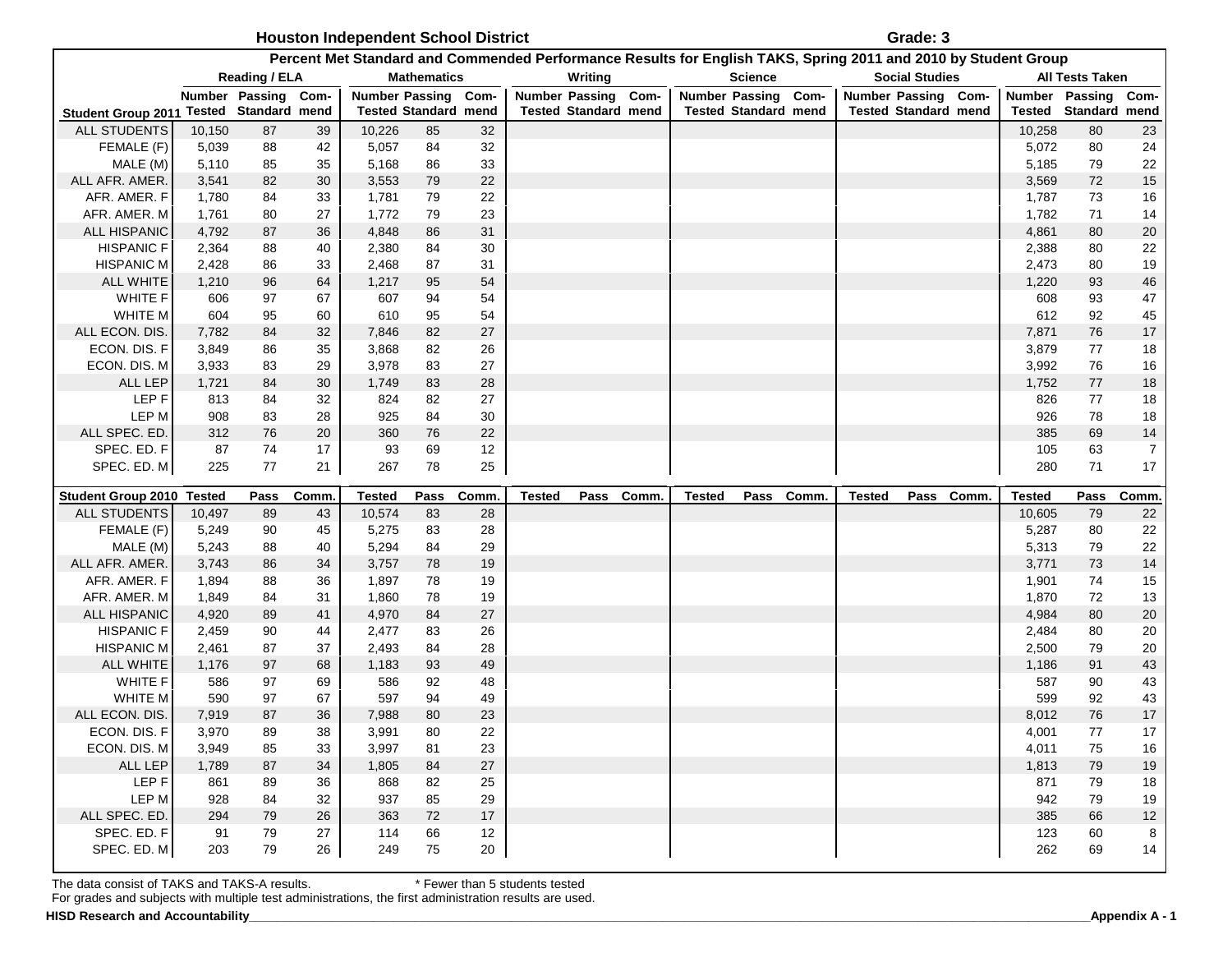**Houston Independent School District Constanting and Constanting Constanting Constanting Constanting Constanting Constanting Constanting Constanting Constanting Constanting Constanting Constanting Constanting Constanting** 

| Percent Met Standard and Commended Performance Results for English TAKS, Spring 2011 and 2010 by Student Group |                |                             |          |                             |                    |          |                     |                             |  |                     |                             |                             |                       |            |                     |                        |                |
|----------------------------------------------------------------------------------------------------------------|----------------|-----------------------------|----------|-----------------------------|--------------------|----------|---------------------|-----------------------------|--|---------------------|-----------------------------|-----------------------------|-----------------------|------------|---------------------|------------------------|----------------|
|                                                                                                                |                | Reading / ELA               |          |                             | <b>Mathematics</b> |          |                     | Writing                     |  |                     | <b>Science</b>              |                             | <b>Social Studies</b> |            |                     | <b>All Tests Taken</b> |                |
|                                                                                                                |                | Number Passing Com-         |          | <b>Number Passing</b>       |                    | Com-     | Number Passing Com- |                             |  | Number Passing Com- |                             | Number Passing Com-         |                       |            | Number Passing Com- |                        |                |
| <b>Student Group 2011</b>                                                                                      |                | <b>Tested Standard mend</b> |          | <b>Tested Standard mend</b> |                    |          |                     | <b>Tested Standard mend</b> |  |                     | <b>Tested Standard mend</b> | <b>Tested Standard mend</b> |                       |            | Tested              | Standard mend          |                |
| <b>ALL STUDENTS</b>                                                                                            | 10,150         | 87                          | 39       | 10,226                      | 85                 | 32       |                     |                             |  |                     |                             |                             |                       |            | 10,258              | 80                     | 23             |
| FEMALE (F)                                                                                                     | 5,039          | 88                          | 42       | 5,057                       | 84                 | 32       |                     |                             |  |                     |                             |                             |                       |            | 5,072               | 80                     | 24             |
| MALE (M)                                                                                                       | 5,110          | 85                          | 35       | 5,168                       | 86                 | 33       |                     |                             |  |                     |                             |                             |                       |            | 5,185               | 79                     | 22             |
| ALL AFR. AMER.                                                                                                 | 3,541          | 82                          | 30       | 3,553                       | 79                 | 22       |                     |                             |  |                     |                             |                             |                       |            | 3,569               | 72                     | $15$           |
| AFR. AMER. F<br>AFR. AMER. M                                                                                   | 1,780          | 84                          | 33<br>27 | 1,781<br>1,772              | 79<br>79           | 22<br>23 |                     |                             |  |                     |                             |                             |                       |            | 1,787<br>1,782      | $73\,$<br>71           | 16             |
| <b>ALL HISPANIC</b>                                                                                            | 1,761<br>4,792 | 80<br>87                    | 36       | 4,848                       | 86                 | 31       |                     |                             |  |                     |                             |                             |                       |            | 4,861               | 80                     | 14<br>20       |
| <b>HISPANIC F</b>                                                                                              | 2,364          | 88                          | 40       | 2,380                       | 84                 | 30       |                     |                             |  |                     |                             |                             |                       |            | 2,388               | 80                     | 22             |
| <b>HISPANIC M</b>                                                                                              | 2,428          | 86                          | 33       | 2,468                       | 87                 | 31       |                     |                             |  |                     |                             |                             |                       |            | 2,473               | 80                     | 19             |
| <b>ALL WHITE</b>                                                                                               | 1,210          | 96                          | 64       | 1,217                       | 95                 | 54       |                     |                             |  |                     |                             |                             |                       |            | 1,220               | 93                     | 46             |
| WHITE F                                                                                                        | 606            | 97                          | 67       | 607                         | 94                 | 54       |                     |                             |  |                     |                             |                             |                       |            | 608                 | 93                     | 47             |
| WHITE M                                                                                                        | 604            | 95                          | 60       | 610                         | 95                 | 54       |                     |                             |  |                     |                             |                             |                       |            | 612                 | 92                     | 45             |
| ALL ECON. DIS.                                                                                                 | 7,782          | 84                          | 32       | 7,846                       | 82                 | 27       |                     |                             |  |                     |                             |                             |                       |            | 7,871               | 76                     | $17\,$         |
| ECON. DIS. F                                                                                                   | 3,849          | 86                          | 35       | 3,868                       | 82                 | 26       |                     |                             |  |                     |                             |                             |                       |            | 3,879               | 77                     | 18             |
| ECON. DIS. M                                                                                                   | 3,933          | 83                          | 29       | 3,978                       | 83                 | 27       |                     |                             |  |                     |                             |                             |                       |            | 3,992               | 76                     | 16             |
| ALL LEP                                                                                                        | 1,721          | 84                          | 30       | 1,749                       | 83                 | 28       |                     |                             |  |                     |                             |                             |                       |            | 1,752               | 77                     | 18             |
| LEP F                                                                                                          | 813            | 84                          | 32       | 824                         | 82                 | 27       |                     |                             |  |                     |                             |                             |                       |            | 826                 | 77                     | 18             |
| LEP M                                                                                                          | 908            | 83                          | 28       | 925                         | 84                 | 30       |                     |                             |  |                     |                             |                             |                       |            | 926                 | 78                     | 18             |
| ALL SPEC. ED.                                                                                                  | 312            | 76                          | 20       | 360                         | 76                 | 22       |                     |                             |  |                     |                             |                             |                       |            | 385                 | 69                     | 14             |
| SPEC. ED. F                                                                                                    | 87             | 74                          | 17       | 93                          | 69                 | 12       |                     |                             |  |                     |                             |                             |                       |            | 105                 | 63                     | $\overline{7}$ |
| SPEC. ED. M                                                                                                    | 225            | 77                          | 21       | 267                         | 78                 | 25       |                     |                             |  |                     |                             |                             |                       |            | 280                 | 71                     | 17             |
| <b>Student Group 2010</b>                                                                                      | Tested         | <b>Pass</b>                 | Comm     | <b>Tested</b>               | Pass               | Comm.    | <b>Tested</b>       | Pass Comm.                  |  | <b>Tested</b>       | Pass Comm.                  | Tested                      |                       | Pass Comm. | <b>Tested</b>       | Pass                   | Comm.          |
| ALL STUDENTS                                                                                                   | 10,497         | 89                          | 43       | 10,574                      | 83                 | 28       |                     |                             |  |                     |                             |                             |                       |            | 10,605              | 79                     | 22             |
| FEMALE (F)                                                                                                     | 5,249          | 90                          | 45       | 5,275                       | 83                 | 28       |                     |                             |  |                     |                             |                             |                       |            | 5,287               | 80                     | 22             |
| MALE (M)                                                                                                       | 5,243          | 88                          | 40       | 5,294                       | 84                 | 29       |                     |                             |  |                     |                             |                             |                       |            | 5,313               | 79                     | 22             |
| ALL AFR. AMER.                                                                                                 | 3,743          | 86                          | 34       | 3,757                       | 78                 | 19       |                     |                             |  |                     |                             |                             |                       |            | 3,771               | 73                     | 14             |
| AFR. AMER. F                                                                                                   | 1,894          | 88                          | 36       | 1,897                       | 78                 | 19       |                     |                             |  |                     |                             |                             |                       |            | 1,901               | 74                     | 15             |
| AFR. AMER. M                                                                                                   | 1,849          | 84                          | 31       | 1,860                       | 78                 | 19       |                     |                             |  |                     |                             |                             |                       |            | 1,870               | 72                     | 13             |
| <b>ALL HISPANIC</b>                                                                                            | 4,920          | 89                          | 41       | 4,970                       |                    |          |                     |                             |  |                     |                             |                             |                       |            |                     |                        | 20             |
| <b>HISPANIC F</b>                                                                                              | 2,459          |                             |          |                             | 84                 | 27       |                     |                             |  |                     |                             |                             |                       |            | 4,984               | 80                     |                |
| <b>HISPANIC M</b>                                                                                              |                | 90                          | 44       | 2,477                       | 83                 | 26       |                     |                             |  |                     |                             |                             |                       |            | 2,484               | 80                     | 20             |
|                                                                                                                | 2,461          | 87                          | 37       | 2,493                       | 84                 | 28       |                     |                             |  |                     |                             |                             |                       |            | 2,500               | 79                     | 20             |
| <b>ALL WHITE</b>                                                                                               | 1,176          | 97                          | 68       | 1,183                       | 93                 | 49       |                     |                             |  |                     |                             |                             |                       |            | 1,186               | 91                     | 43             |
| <b>WHITE F</b>                                                                                                 | 586            | 97                          | 69       | 586                         | 92                 | 48       |                     |                             |  |                     |                             |                             |                       |            | 587                 | 90                     | 43             |
| WHITE M                                                                                                        | 590            | 97                          | 67       | 597                         | 94                 | 49       |                     |                             |  |                     |                             |                             |                       |            | 599                 | 92                     | 43             |
| ALL ECON. DIS.                                                                                                 | 7,919          | 87                          | 36       | 7,988                       | 80                 | 23       |                     |                             |  |                     |                             |                             |                       |            | 8,012               | 76                     | $17$           |
| ECON. DIS. F                                                                                                   | 3,970          | 89                          | 38       | 3,991                       | 80                 | 22       |                     |                             |  |                     |                             |                             |                       |            | 4,001               | 77                     | 17             |
| ECON. DIS. M                                                                                                   | 3,949          | 85                          | 33       | 3,997                       | 81                 | 23       |                     |                             |  |                     |                             |                             |                       |            | 4,011               | 75                     | 16             |
| ALL LEP                                                                                                        | 1,789          | 87                          | 34       | 1,805                       | 84                 | 27       |                     |                             |  |                     |                             |                             |                       |            | 1,813               | 79                     | 19             |
| LEP F                                                                                                          | 861            | 89                          | 36       | 868                         | 82                 | 25       |                     |                             |  |                     |                             |                             |                       |            | 871                 | 79                     | 18             |
| LEP M                                                                                                          | 928            | 84                          | 32       | 937                         | 85                 | 29       |                     |                             |  |                     |                             |                             |                       |            | 942                 | 79                     | 19             |
| ALL SPEC. ED.                                                                                                  | 294            | 79                          | 26       | 363                         | 72                 | 17       |                     |                             |  |                     |                             |                             |                       |            | 385                 | 66                     | 12             |
| SPEC. ED. F<br>SPEC. ED. M                                                                                     | 91<br>203      | 79<br>79                    | 27<br>26 | 114<br>249                  | 66<br>75           | 12<br>20 |                     |                             |  |                     |                             |                             |                       |            | 123<br>262          | 60<br>69               | 8<br>14        |

The data consist of TAKS and TAKS-A results. \* Fewer than 5 students tested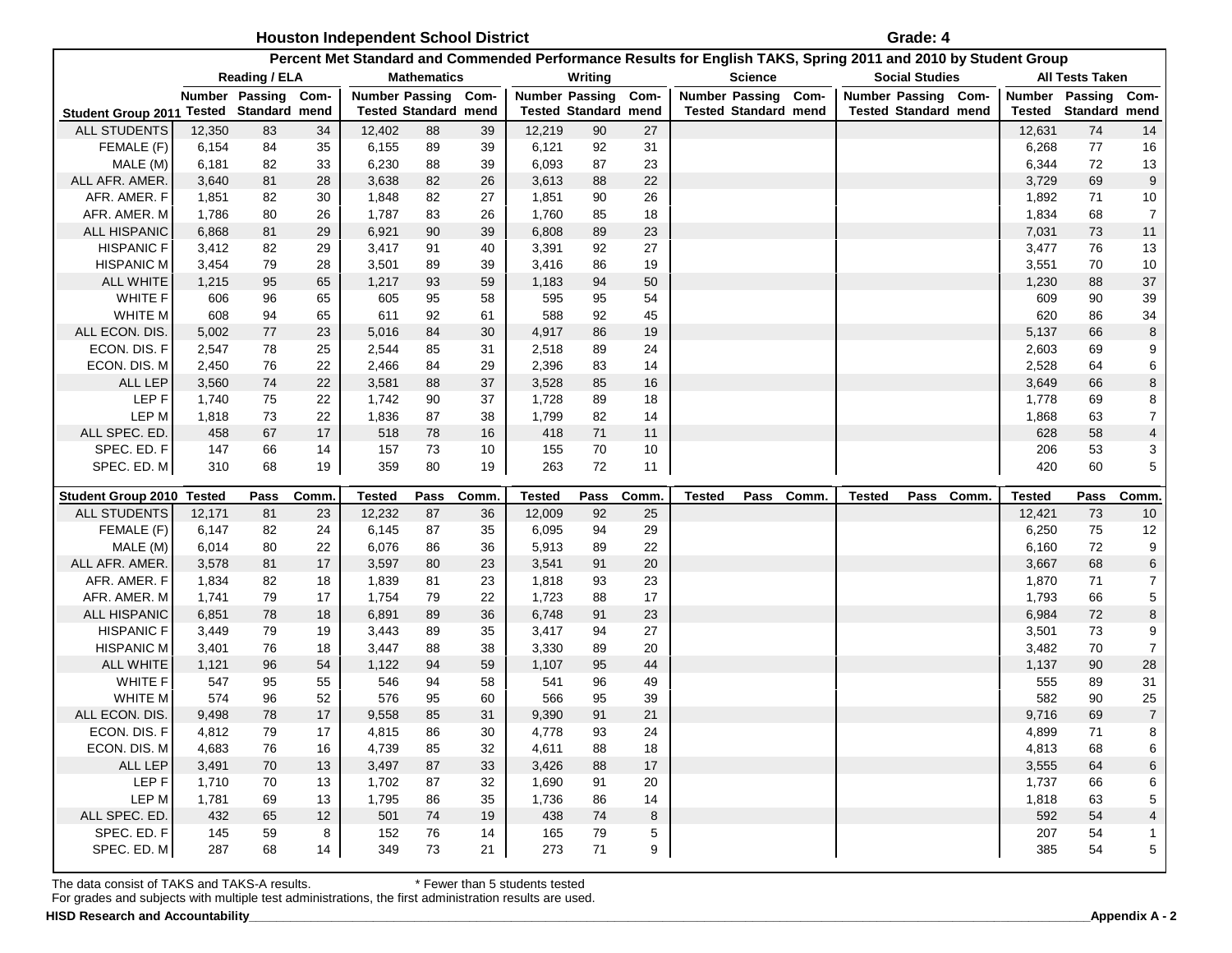| <b>Houston Independent School District</b> | Grade: 4 |
|--------------------------------------------|----------|
|--------------------------------------------|----------|

|                               |                |                             |          | Percent Met Standard and Commended Performance Results for English TAKS, Spring 2011 and 2010 by Student Group |                             |          |                       |                             |             |               |                             |            |                             |                       |                |                        |                     |
|-------------------------------|----------------|-----------------------------|----------|----------------------------------------------------------------------------------------------------------------|-----------------------------|----------|-----------------------|-----------------------------|-------------|---------------|-----------------------------|------------|-----------------------------|-----------------------|----------------|------------------------|---------------------|
|                               |                | Reading / ELA               |          |                                                                                                                | <b>Mathematics</b>          |          |                       | Writing                     |             |               | <b>Science</b>              |            |                             | <b>Social Studies</b> |                | <b>All Tests Taken</b> |                     |
|                               |                | Number Passing              | Com-     |                                                                                                                | <b>Number Passing</b>       | Com-     | <b>Number Passing</b> |                             | Com-        |               | <b>Number Passing</b>       | Com-       | Number Passing Com-         |                       | <b>Number</b>  | Passing                | Com-                |
| <b>Student Group 2011</b>     |                | <b>Tested Standard mend</b> |          |                                                                                                                | <b>Tested Standard mend</b> |          |                       | <b>Tested Standard mend</b> |             |               | <b>Tested Standard mend</b> |            | <b>Tested Standard mend</b> |                       | Tested         | Standard mend          |                     |
| <b>ALL STUDENTS</b>           | 12,350         | 83                          | 34       | 12,402                                                                                                         | 88                          | 39       | 12,219                | 90                          | 27          |               |                             |            |                             |                       | 12,631         | 74                     | 14                  |
| FEMALE (F)                    | 6,154          | 84                          | 35       | 6,155                                                                                                          | 89                          | 39       | 6,121                 | 92                          | 31          |               |                             |            |                             |                       | 6,268          | 77                     | 16                  |
| MALE (M)                      | 6,181          | 82                          | 33       | 6,230                                                                                                          | 88                          | 39       | 6,093                 | 87                          | 23          |               |                             |            |                             |                       | 6,344          | 72                     | 13                  |
| ALL AFR. AMER.                | 3,640          | 81                          | 28       | 3,638                                                                                                          | 82                          | 26       | 3,613                 | 88                          | 22          |               |                             |            |                             |                       | 3,729          | 69                     | $\overline{9}$      |
| AFR. AMER. F                  | 1,851          | 82                          | 30       | 1,848                                                                                                          | 82                          | 27       | 1,851                 | 90                          | 26          |               |                             |            |                             |                       | 1,892          | 71                     | 10                  |
| AFR. AMER. M                  | 1,786          | 80                          | 26       | 1,787                                                                                                          | 83                          | 26       | 1,760                 | 85                          | 18          |               |                             |            |                             |                       | 1,834          | 68                     | $\overline{7}$      |
| ALL HISPANIC                  | 6,868          | 81                          | 29       | 6,921                                                                                                          | 90                          | 39       | 6,808                 | 89                          | 23          |               |                             |            |                             |                       | 7,031          | 73                     | $11$                |
| <b>HISPANIC F</b>             | 3,412          | 82                          | 29       | 3,417                                                                                                          | 91                          | 40       | 3,391                 | 92                          | 27          |               |                             |            |                             |                       | 3,477          | 76                     | 13                  |
| <b>HISPANIC M</b>             | 3,454          | 79                          | 28       | 3,501                                                                                                          | 89                          | 39       | 3,416                 | 86                          | 19          |               |                             |            |                             |                       | 3,551          | 70                     | 10                  |
| <b>ALL WHITE</b>              | 1,215          | 95                          | 65       | 1,217                                                                                                          | 93                          | 59       | 1,183                 | 94                          | 50          |               |                             |            |                             |                       | 1,230          | 88                     | 37                  |
| WHITE F                       | 606            | 96                          | 65       | 605                                                                                                            | 95                          | 58       | 595                   | 95                          | 54          |               |                             |            |                             |                       | 609            | 90                     | 39                  |
| WHITE M                       | 608            | 94                          | 65       | 611                                                                                                            | 92                          | 61       | 588                   | 92                          | 45          |               |                             |            |                             |                       | 620            | 86                     | 34                  |
| ALL ECON. DIS                 | 5,002          | 77                          | 23       | 5,016                                                                                                          | 84                          | 30       | 4,917                 | 86                          | 19          |               |                             |            |                             |                       | 5,137          | 66                     | 8                   |
| ECON. DIS. F                  | 2,547          | 78                          | 25       | 2,544                                                                                                          | 85                          | 31       | 2,518                 | 89                          | 24          |               |                             |            |                             |                       | 2,603          | 69                     | 9                   |
| ECON. DIS. M                  | 2,450          | 76                          | 22       | 2,466                                                                                                          | 84                          | 29       | 2,396                 | 83                          | 14          |               |                             |            |                             |                       | 2,528          | 64                     | 6                   |
| <b>ALL LEP</b>                | 3,560          | 74                          | 22       | 3,581                                                                                                          | 88                          | 37       | 3,528                 | 85                          | 16          |               |                             |            |                             |                       | 3,649          | 66                     | 8                   |
| LEP <sub>F</sub>              | 1,740          | 75                          | 22       | 1,742                                                                                                          | $90\,$                      | 37       | 1,728                 | 89                          | 18          |               |                             |            |                             |                       | 1,778          | 69                     | 8                   |
| LEP M                         | 1,818          | 73                          | 22       | 1,836                                                                                                          | 87                          | 38       | 1,799                 | 82                          | 14          |               |                             |            |                             |                       | 1,868          | 63                     | $\boldsymbol{7}$    |
| ALL SPEC. ED.                 | 458            | 67                          | 17       | 518                                                                                                            | ${\bf 78}$                  | 16       | 418                   | $71$                        | 11          |               |                             |            |                             |                       | 628            | 58                     | 4                   |
| SPEC. ED. F                   | 147            | 66                          | 14       | 157                                                                                                            | $73\,$                      | 10       | 155                   | 70                          | 10          |               |                             |            |                             |                       | 206            | 53                     | 3                   |
|                               |                |                             |          |                                                                                                                |                             |          |                       |                             |             |               |                             |            |                             |                       |                |                        | 5                   |
| SPEC. ED. M                   | 310            | 68                          | 19       | 359                                                                                                            | 80                          | 19       | 263                   | 72                          | 11          |               |                             |            |                             |                       | 420            | 60                     |                     |
|                               |                |                             |          |                                                                                                                |                             |          |                       |                             |             |               |                             |            |                             |                       |                |                        |                     |
| Student Group 2010 Tested     |                | Pass                        | Comm.    | <b>Tested</b>                                                                                                  | Pass                        | Comm.    | <b>Tested</b>         | Pass                        | <b>Comm</b> | <b>Tested</b> |                             | Pass Comm. | <b>Tested</b>               | Pass Comm.            | <b>Tested</b>  | Pass                   | Comm.               |
| <b>ALL STUDENTS</b>           | 12,171         | 81                          | 23       | 12,232                                                                                                         | 87                          | 36       | 12,009                | 92                          | 25          |               |                             |            |                             |                       | 12,421         | 73                     | 10                  |
| FEMALE (F)                    | 6,147          | 82                          | 24       | 6,145                                                                                                          | 87                          | 35       | 6,095                 | 94                          | 29          |               |                             |            |                             |                       | 6,250          | 75                     | 12                  |
| MALE (M)                      | 6,014          | 80                          | 22       | 6,076                                                                                                          | 86                          | 36       | 5,913                 | 89                          | 22          |               |                             |            |                             |                       | 6,160          | 72                     | 9                   |
| ALL AFR. AMER.                | 3,578          | 81                          | 17       | 3,597                                                                                                          | 80                          | 23       | 3,541                 | 91                          | 20          |               |                             |            |                             |                       | 3,667          | 68                     | 6                   |
| AFR. AMER. F                  | 1,834          | 82                          | 18       | 1,839                                                                                                          | 81                          | 23       | 1,818                 | 93                          | 23          |               |                             |            |                             |                       | 1,870          | 71                     | 7                   |
| AFR. AMER. M                  | 1,741          | 79                          | 17       | 1,754                                                                                                          | 79                          | 22       | 1,723                 | 88                          | 17          |               |                             |            |                             |                       | 1,793          | 66                     | 5                   |
| ALL HISPANIC                  | 6,851          | 78                          | 18       | 6,891                                                                                                          | 89                          | 36       | 6,748                 | 91                          | 23          |               |                             |            |                             |                       | 6,984          | 72                     | 8                   |
| <b>HISPANIC F</b>             | 3,449          | 79                          | 19       | 3,443                                                                                                          | 89                          | 35       | 3,417                 | 94                          | 27          |               |                             |            |                             |                       | 3,501          | 73                     | 9                   |
| <b>HISPANIC M</b>             | 3,401          | 76                          | 18       | 3,447                                                                                                          | 88                          | 38       | 3,330                 | 89                          | 20          |               |                             |            |                             |                       | 3,482          | 70                     | $\overline{7}$      |
| <b>ALL WHITE</b>              | 1,121          | 96                          | 54       | 1,122                                                                                                          | 94                          | 59       | 1,107                 | 95                          | 44          |               |                             |            |                             |                       | 1,137          | 90                     | 28                  |
| WHITE F                       | 547            | 95                          | 55       | 546                                                                                                            | 94                          | 58<br>60 | 541                   | 96                          | 49          |               |                             |            |                             |                       | 555            | 89                     | 31                  |
| WHITE M                       | 574            | 96                          | 52       | 576                                                                                                            | 95                          | 31       | 566                   | 95                          | 39          |               |                             |            |                             |                       | 582            | 90                     | 25                  |
| ALL ECON. DIS<br>ECON. DIS. F | 9,498<br>4,812 | 78<br>79                    | 17<br>17 | 9,558<br>4,815                                                                                                 | 85<br>86                    | 30       | 9,390<br>4,778        | 91<br>93                    | 21<br>24    |               |                             |            |                             |                       | 9,716<br>4,899 | 69<br>71               | $\overline{7}$<br>8 |
| ECON. DIS. M                  |                | 76                          | 16       |                                                                                                                | 85                          | 32       |                       | 88                          | 18          |               |                             |            |                             |                       |                | 68                     | 6                   |
| ALL LEP                       | 4,683<br>3,491 | 70                          | 13       | 4,739<br>3,497                                                                                                 | 87                          | 33       | 4,611<br>3,426        | 88                          | 17          |               |                             |            |                             |                       | 4,813<br>3,555 | 64                     | 6                   |
| LEP F                         | 1,710          | 70                          | 13       | 1,702                                                                                                          | 87                          | 32       | 1,690                 | 91                          | 20          |               |                             |            |                             |                       | 1,737          | 66                     | 6                   |
| LEP M                         | 1,781          | 69                          | 13       | 1,795                                                                                                          | 86                          | 35       | 1,736                 | 86                          | 14          |               |                             |            |                             |                       | 1,818          | 63                     | 5                   |
| ALL SPEC. ED.                 | 432            | 65                          | 12       | 501                                                                                                            | 74                          | 19       | 438                   | 74                          | 8           |               |                             |            |                             |                       | 592            | 54                     | 4                   |
| SPEC. ED. F                   | 145            | 59                          | 8        | 152                                                                                                            | 76                          | 14       | 165                   | 79                          | 5           |               |                             |            |                             |                       | 207            | 54                     |                     |
| SPEC. ED. M                   | 287            | 68                          | 14       | 349                                                                                                            | 73                          | 21       | 273                   | 71                          | 9           |               |                             |            |                             |                       | 385            | 54                     | 5                   |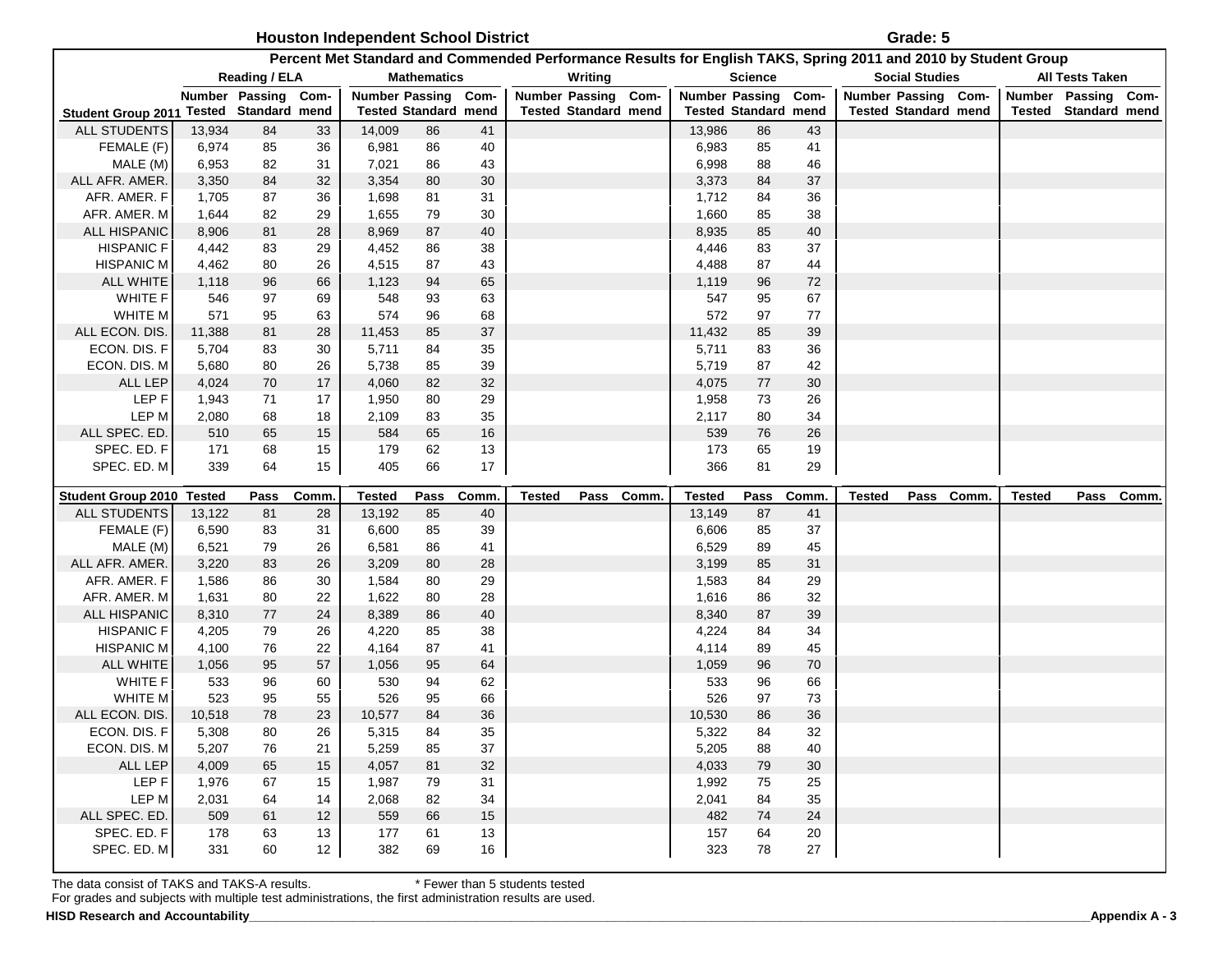| Houston Independent School District | Grade: 5 |
|-------------------------------------|----------|
|-------------------------------------|----------|

| Percent Met Standard and Commended Performance Results for English TAKS, Spring 2011 and 2010 by Student Group |        |                             |       |                     |                             |      |               |                             |  |               |                             |        |        |                             |                     |                             |           |
|----------------------------------------------------------------------------------------------------------------|--------|-----------------------------|-------|---------------------|-----------------------------|------|---------------|-----------------------------|--|---------------|-----------------------------|--------|--------|-----------------------------|---------------------|-----------------------------|-----------|
|                                                                                                                |        | Reading / ELA               |       |                     | <b>Mathematics</b>          |      |               | Writing                     |  |               | <b>Science</b>              |        |        | <b>Social Studies</b>       |                     | <b>All Tests Taken</b>      |           |
|                                                                                                                |        | Number Passing Com-         |       | Number Passing Com- |                             |      |               | Number Passing Com-         |  |               | <b>Number Passing</b>       | Com-   |        | Number Passing Com-         | Number Passing Com- |                             |           |
| <b>Student Group 2011</b>                                                                                      |        | <b>Tested Standard mend</b> |       |                     | <b>Tested Standard mend</b> |      |               | <b>Tested Standard mend</b> |  |               | <b>Tested Standard mend</b> |        |        | <b>Tested Standard mend</b> |                     | <b>Tested Standard mend</b> |           |
| ALL STUDENTS                                                                                                   | 13,934 | 84                          | 33    | 14,009              | 86                          | 41   |               |                             |  | 13,986        | 86                          | 43     |        |                             |                     |                             |           |
| FEMALE (F)                                                                                                     | 6,974  | 85                          | 36    | 6,981               | 86                          | 40   |               |                             |  | 6,983         | 85                          | 41     |        |                             |                     |                             |           |
| MALE (M)                                                                                                       | 6,953  | 82                          | 31    | 7,021               | 86                          | 43   |               |                             |  | 6,998         | 88                          | 46     |        |                             |                     |                             |           |
| ALL AFR. AMER.                                                                                                 | 3,350  | 84                          | 32    | 3,354               | 80                          | 30   |               |                             |  | 3,373         | 84                          | $37\,$ |        |                             |                     |                             |           |
| AFR. AMER. F                                                                                                   | 1,705  | 87                          | 36    | 1,698               | 81                          | 31   |               |                             |  | 1,712         | 84                          | 36     |        |                             |                     |                             |           |
| AFR. AMER. M                                                                                                   | 1,644  | 82                          | 29    | 1,655               | 79                          | 30   |               |                             |  | 1,660         | 85                          | 38     |        |                             |                     |                             |           |
| <b>ALL HISPANIC</b>                                                                                            | 8,906  | 81                          | 28    | 8,969               | 87                          | 40   |               |                             |  | 8,935         | 85                          | 40     |        |                             |                     |                             |           |
| <b>HISPANIC F</b>                                                                                              | 4,442  | 83                          | 29    | 4,452               | 86                          | 38   |               |                             |  | 4,446         | 83                          | 37     |        |                             |                     |                             |           |
| <b>HISPANIC M</b>                                                                                              | 4,462  | 80                          | 26    | 4,515               | 87                          | 43   |               |                             |  | 4,488         | 87                          | 44     |        |                             |                     |                             |           |
| <b>ALL WHITE</b>                                                                                               | 1,118  | 96                          | 66    | 1,123               | 94                          | 65   |               |                             |  | 1,119         | 96                          | 72     |        |                             |                     |                             |           |
| <b>WHITE F</b>                                                                                                 | 546    | 97                          | 69    | 548                 | 93                          | 63   |               |                             |  | 547           | 95                          | 67     |        |                             |                     |                             |           |
| WHITE M                                                                                                        | 571    | 95                          | 63    | 574                 | 96                          | 68   |               |                             |  | 572           | 97                          | 77     |        |                             |                     |                             |           |
| ALL ECON. DIS.                                                                                                 | 11,388 | 81                          | 28    | 11,453              | 85                          | 37   |               |                             |  | 11,432        | 85                          | 39     |        |                             |                     |                             |           |
| ECON. DIS. F                                                                                                   | 5,704  | 83                          | 30    | 5,711               | 84                          | 35   |               |                             |  | 5,711         | 83                          | 36     |        |                             |                     |                             |           |
| ECON. DIS. M                                                                                                   | 5,680  | 80                          | 26    | 5,738               | 85                          | 39   |               |                             |  | 5,719         | 87                          | 42     |        |                             |                     |                             |           |
| ALL LEP                                                                                                        | 4,024  | 70                          | 17    | 4,060               | 82                          | 32   |               |                             |  | 4,075         | 77                          | 30     |        |                             |                     |                             |           |
| LEP <sub>F</sub>                                                                                               | 1,943  | 71                          | 17    | 1,950               | 80                          | 29   |               |                             |  | 1,958         | 73                          | 26     |        |                             |                     |                             |           |
| LEP M                                                                                                          | 2,080  | 68                          | 18    | 2,109               | 83                          | 35   |               |                             |  | 2,117         | 80                          | 34     |        |                             |                     |                             |           |
| ALL SPEC. ED.                                                                                                  | 510    | 65                          | 15    | 584                 | 65                          | 16   |               |                             |  | 539           | ${\bf 76}$                  | 26     |        |                             |                     |                             |           |
| SPEC. ED. F                                                                                                    | 171    | 68                          | 15    | 179                 | 62                          | 13   |               |                             |  | 173           | 65                          | 19     |        |                             |                     |                             |           |
| SPEC. ED. M                                                                                                    | 339    | 64                          | 15    | 405                 | 66                          | $17$ |               |                             |  | 366           | 81                          | 29     |        |                             |                     |                             |           |
| <b>Student Group 2010 Tested</b>                                                                               |        | Pass                        | Comm. | <b>Tested</b>       | Pass                        | Comm | <b>Tested</b> | Pass Comm.                  |  | <b>Tested</b> | Pass                        | Comm.  | Tested | Pass Comm.                  | <b>Tested</b>       |                             | Pass Comm |
| ALL STUDENTS                                                                                                   | 13,122 | 81                          | 28    | 13,192              | 85                          | 40   |               |                             |  | 13,149        | 87                          | 41     |        |                             |                     |                             |           |
| FEMALE (F)                                                                                                     | 6,590  | 83                          | 31    | 6,600               | 85                          | 39   |               |                             |  | 6,606         | 85                          | 37     |        |                             |                     |                             |           |
| MALE (M)                                                                                                       | 6,521  | 79                          | 26    | 6,581               | 86                          | 41   |               |                             |  | 6,529         | 89                          | 45     |        |                             |                     |                             |           |
| ALL AFR. AMER.                                                                                                 | 3,220  | 83                          | 26    | 3,209               | 80                          | 28   |               |                             |  | 3,199         | 85                          | 31     |        |                             |                     |                             |           |
| AFR. AMER. F                                                                                                   | 1,586  | 86                          | 30    | 1,584               | 80                          | 29   |               |                             |  | 1,583         | 84                          | 29     |        |                             |                     |                             |           |
| AFR. AMER. M                                                                                                   | 1,631  | 80                          | 22    | 1,622               | 80                          | 28   |               |                             |  | 1,616         | 86                          | 32     |        |                             |                     |                             |           |
| ALL HISPANIC                                                                                                   | 8,310  | 77                          | 24    | 8,389               | 86                          | 40   |               |                             |  | 8,340         | 87                          | 39     |        |                             |                     |                             |           |
| <b>HISPANIC F</b>                                                                                              | 4,205  | 79                          | 26    | 4,220               | 85                          | 38   |               |                             |  | 4,224         | 84                          | 34     |        |                             |                     |                             |           |
| <b>HISPANIC M</b>                                                                                              | 4,100  | 76                          | 22    | 4,164               | 87                          | 41   |               |                             |  | 4,114         | 89                          | 45     |        |                             |                     |                             |           |
| <b>ALL WHITE</b>                                                                                               | 1,056  | 95                          | 57    | 1,056               | 95                          | 64   |               |                             |  | 1,059         | 96                          | 70     |        |                             |                     |                             |           |
| WHITE F                                                                                                        | 533    | 96                          | 60    | 530                 | 94                          | 62   |               |                             |  | 533           | 96                          | 66     |        |                             |                     |                             |           |
| WHITE M                                                                                                        | 523    | 95                          | 55    | 526                 | 95                          | 66   |               |                             |  | 526           | 97                          | 73     |        |                             |                     |                             |           |
| ALL ECON. DIS.                                                                                                 | 10,518 | 78                          | 23    | 10,577              | 84                          | 36   |               |                             |  | 10,530        | 86                          | 36     |        |                             |                     |                             |           |
| ECON. DIS. F                                                                                                   | 5,308  | 80                          | 26    | 5,315               | 84                          | 35   |               |                             |  | 5,322         | 84                          | 32     |        |                             |                     |                             |           |
| ECON. DIS. M                                                                                                   | 5,207  | 76                          | 21    | 5,259               | 85                          | 37   |               |                             |  | 5,205         | 88                          | 40     |        |                             |                     |                             |           |
| ALL LEP                                                                                                        | 4,009  | 65                          | 15    | 4,057               | 81                          | 32   |               |                             |  | 4,033         | 79                          | 30     |        |                             |                     |                             |           |
| LEP F                                                                                                          | 1,976  | 67                          | 15    | 1,987               | 79                          | 31   |               |                             |  | 1,992         | 75                          | 25     |        |                             |                     |                             |           |
| LEP M                                                                                                          | 2,031  | 64                          | 14    | 2,068               | 82                          | 34   |               |                             |  | 2,041         | 84                          | 35     |        |                             |                     |                             |           |
| ALL SPEC. ED.                                                                                                  | 509    | 61                          | 12    | 559                 | 66                          | 15   |               |                             |  | 482           | 74                          | 24     |        |                             |                     |                             |           |
| SPEC. ED. F                                                                                                    | 178    | 63                          | 13    | 177                 | 61                          | 13   |               |                             |  | 157           | 64                          | 20     |        |                             |                     |                             |           |
| SPEC. ED. M                                                                                                    | 331    | 60                          | 12    | 382                 | 69                          | 16   |               |                             |  | 323           | 78                          | 27     |        |                             |                     |                             |           |
|                                                                                                                |        |                             |       |                     |                             |      |               |                             |  |               |                             |        |        |                             |                     |                             |           |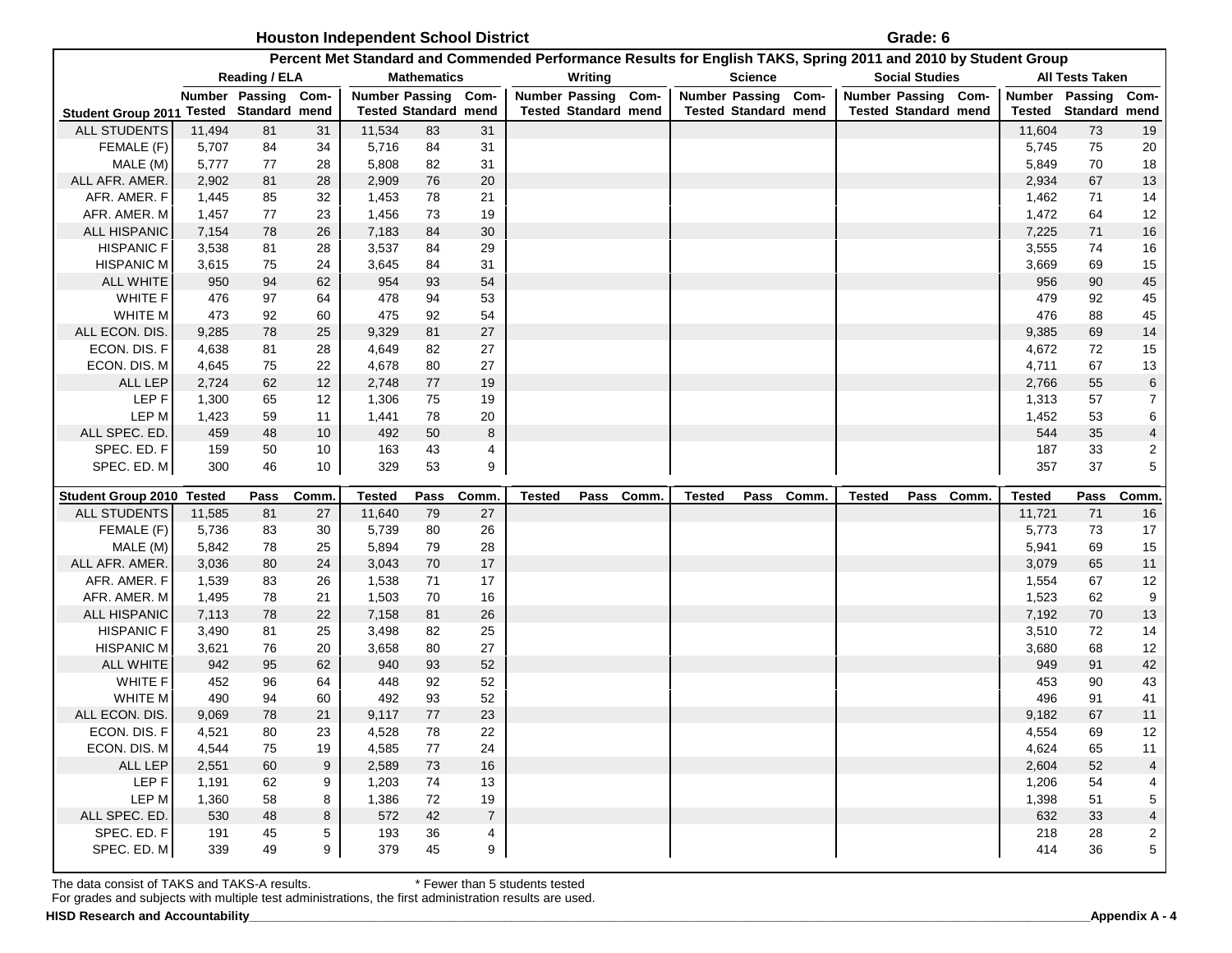**Houston Independent School District Constant 10 and 10 and 10 and 10 and 10 and 10 and 10 and 10 and 10 and 10 and 10 and 10 and 10 and 10 and 10 and 10 and 10 and 10 and 10 and 10 and 10 and 10 and 10 and 10 and 10 and** 

|                                         |                |                     |                                  | Percent Met Standard and Commended Performance Results for English TAKS, Spring 2011 and 2010 by Student Group |                             |                      |                     |                             |            |               |                             |            |                     |                       |                             |                |                             |                                  |
|-----------------------------------------|----------------|---------------------|----------------------------------|----------------------------------------------------------------------------------------------------------------|-----------------------------|----------------------|---------------------|-----------------------------|------------|---------------|-----------------------------|------------|---------------------|-----------------------|-----------------------------|----------------|-----------------------------|----------------------------------|
|                                         |                | Reading / ELA       |                                  |                                                                                                                | <b>Mathematics</b>          |                      |                     | Writing                     |            |               | <b>Science</b>              |            |                     | <b>Social Studies</b> |                             |                | <b>All Tests Taken</b>      |                                  |
|                                         |                | Number Passing Com- |                                  | <b>Number Passing</b>                                                                                          |                             | Com-                 | Number Passing Com- |                             |            |               | Number Passing Com-         |            | Number Passing Com- |                       |                             |                | Number Passing Com-         |                                  |
| Student Group 2011 Tested Standard mend |                |                     |                                  |                                                                                                                | <b>Tested Standard mend</b> |                      |                     | <b>Tested Standard mend</b> |            |               | <b>Tested Standard mend</b> |            |                     |                       | <b>Tested Standard mend</b> |                | <b>Tested Standard mend</b> |                                  |
| ALL STUDENTS                            | 11,494         | 81                  | 31                               | 11,534                                                                                                         | 83                          | 31                   |                     |                             |            |               |                             |            |                     |                       |                             | 11,604         | 73                          | 19                               |
| FEMALE (F)                              | 5,707          | 84                  | 34                               | 5,716                                                                                                          | 84                          | 31                   |                     |                             |            |               |                             |            |                     |                       |                             | 5,745          | 75                          | 20                               |
| MALE (M)<br>ALL AFR. AMER.              | 5,777<br>2,902 | 77<br>81            | 28<br>28                         | 5,808<br>2,909                                                                                                 | 82<br>76                    | 31<br>20             |                     |                             |            |               |                             |            |                     |                       |                             | 5,849<br>2,934 | 70<br>67                    | 18<br>13                         |
| AFR. AMER. F                            | 1,445          | 85                  | 32                               | 1,453                                                                                                          | 78                          | 21                   |                     |                             |            |               |                             |            |                     |                       |                             | 1,462          | 71                          | 14                               |
| AFR. AMER. M                            | 1,457          | 77                  | 23                               | 1,456                                                                                                          | 73                          | 19                   |                     |                             |            |               |                             |            |                     |                       |                             | 1,472          | 64                          | 12                               |
| <b>ALL HISPANIC</b>                     | 7,154          | 78                  | 26                               | 7,183                                                                                                          | 84                          | $30\,$               |                     |                             |            |               |                             |            |                     |                       |                             | 7,225          | 71                          | 16                               |
| <b>HISPANIC F</b>                       | 3,538          | 81                  | 28                               | 3,537                                                                                                          | 84                          | 29                   |                     |                             |            |               |                             |            |                     |                       |                             | 3,555          | 74                          | 16                               |
| <b>HISPANIC M</b>                       | 3,615          | 75                  | 24                               | 3,645                                                                                                          | 84                          | 31                   |                     |                             |            |               |                             |            |                     |                       |                             | 3,669          | 69                          | 15                               |
| <b>ALL WHITE</b>                        | 950            | 94                  | 62                               | 954                                                                                                            | 93                          | 54                   |                     |                             |            |               |                             |            |                     |                       |                             | 956            | 90                          | $45\,$                           |
| <b>WHITE F</b>                          | 476            | 97                  | 64                               | 478                                                                                                            | 94                          | 53                   |                     |                             |            |               |                             |            |                     |                       |                             | 479            | 92                          | 45                               |
| WHITE M                                 | 473            | 92                  | 60                               | 475                                                                                                            | 92                          | 54                   |                     |                             |            |               |                             |            |                     |                       |                             | 476            | 88                          | 45                               |
| ALL ECON. DIS.                          | 9,285          | 78                  | 25                               | 9,329                                                                                                          | 81                          | 27                   |                     |                             |            |               |                             |            |                     |                       |                             | 9,385          | 69                          | 14                               |
| ECON. DIS. F                            | 4,638          | 81                  | 28                               | 4,649                                                                                                          | 82                          | 27                   |                     |                             |            |               |                             |            |                     |                       |                             | 4,672          | 72                          | 15                               |
| ECON. DIS. M                            | 4,645          | 75                  | 22                               | 4,678                                                                                                          | 80                          | 27                   |                     |                             |            |               |                             |            |                     |                       |                             | 4,711          | 67                          | 13                               |
| ALL LEP                                 | 2,724          | 62                  | 12                               | 2,748                                                                                                          | 77                          | 19                   |                     |                             |            |               |                             |            |                     |                       |                             | 2,766          | 55                          | $\boldsymbol{6}$                 |
| LEP F                                   | 1,300          | 65                  | 12                               | 1,306                                                                                                          | 75                          | 19                   |                     |                             |            |               |                             |            |                     |                       |                             | 1,313          | 57                          | $\overline{7}$                   |
| LEP M                                   | 1,423          | 59                  | 11                               | 1,441                                                                                                          | 78                          | 20                   |                     |                             |            |               |                             |            |                     |                       |                             | 1,452          | 53                          | 6                                |
| ALL SPEC. ED.                           | 459            | 48                  | 10                               | 492                                                                                                            | 50                          | 8                    |                     |                             |            |               |                             |            |                     |                       |                             | 544            | 35                          |                                  |
| SPEC. ED. F                             | 159            | 50                  | 10                               | 163                                                                                                            | 43                          | 4                    |                     |                             |            |               |                             |            |                     |                       |                             | 187            | 33                          | 2                                |
| SPEC. ED. M                             | 300            | 46                  | 10 <sup>1</sup>                  | 329                                                                                                            | 53                          | 9                    |                     |                             |            |               |                             |            |                     |                       |                             | 357            | 37                          | 5                                |
| Student Group 2010 Tested               |                | Pass                | Comm                             | <b>Tested</b>                                                                                                  | Pass                        | Comm.                | <b>Tested</b>       |                             | Pass Comm. | <b>Tested</b> |                             | Pass Comm. | <b>Tested</b>       |                       | Pass Comm.                  | <b>Tested</b>  | Pass                        | Comm                             |
| ALL STUDENTS                            | 11,585         | 81                  | 27                               | 11,640                                                                                                         | 79                          | 27                   |                     |                             |            |               |                             |            |                     |                       |                             | 11,721         | 71                          | 16                               |
| FEMALE (F)                              | 5,736          | 83                  | 30                               | 5,739                                                                                                          | 80                          | 26                   |                     |                             |            |               |                             |            |                     |                       |                             | 5,773          | 73                          | 17                               |
| MALE (M)                                | 5,842          | 78                  | 25                               | 5,894                                                                                                          | 79                          | 28                   |                     |                             |            |               |                             |            |                     |                       |                             | 5,941          | 69                          | 15                               |
| ALL AFR. AMER.                          | 3,036          | 80                  | 24                               | 3,043                                                                                                          | 70                          | 17                   |                     |                             |            |               |                             |            |                     |                       |                             | 3,079          | 65                          | 11                               |
| AFR. AMER. F                            | 1,539          | 83                  | 26                               | 1,538                                                                                                          | 71                          | 17                   |                     |                             |            |               |                             |            |                     |                       |                             | 1,554          | 67                          | 12                               |
| AFR. AMER. M                            | 1,495          | 78                  | 21                               | 1,503                                                                                                          | 70                          | 16                   |                     |                             |            |               |                             |            |                     |                       |                             | 1,523          | 62                          | 9                                |
| <b>ALL HISPANIC</b>                     | 7,113          | 78                  | 22                               | 7,158                                                                                                          | 81                          | 26                   |                     |                             |            |               |                             |            |                     |                       |                             | 7,192          | 70                          | 13                               |
| <b>HISPANIC F</b>                       | 3,490          | 81                  | 25                               | 3,498                                                                                                          | 82                          | 25                   |                     |                             |            |               |                             |            |                     |                       |                             | 3,510          | 72                          | 14                               |
| <b>HISPANIC M</b>                       | 3,621          | 76                  | 20                               | 3,658                                                                                                          | 80                          | 27                   |                     |                             |            |               |                             |            |                     |                       |                             | 3,680          | 68                          | 12                               |
| <b>ALL WHITE</b>                        | 942            | 95                  | 62                               | 940                                                                                                            | 93                          | 52                   |                     |                             |            |               |                             |            |                     |                       |                             | 949            | 91                          | 42                               |
| <b>WHITE F</b>                          | 452            | 96                  | 64                               | 448                                                                                                            | 92                          | 52                   |                     |                             |            |               |                             |            |                     |                       |                             | 453            | 90                          | 43                               |
| WHITE M                                 | 490            | 94                  | 60                               | 492                                                                                                            | 93                          | 52                   |                     |                             |            |               |                             |            |                     |                       |                             | 496            | 91                          | 41                               |
| ALL ECON. DIS.                          | 9,069          | 78                  | 21                               | 9,117                                                                                                          | $77 \,$                     | 23                   |                     |                             |            |               |                             |            |                     |                       |                             | 9,182          | 67                          | 11                               |
| ECON. DIS. F                            | 4,521          | 80                  | 23                               | 4,528                                                                                                          | 78                          | 22                   |                     |                             |            |               |                             |            |                     |                       |                             | 4,554          | 69                          | 12                               |
| ECON. DIS. M                            | 4,544          | 75                  | 19                               | 4,585                                                                                                          | 77                          | 24                   |                     |                             |            |               |                             |            |                     |                       |                             | 4,624          | 65                          | 11                               |
| ALL LEP                                 | 2,551          | 60                  | 9                                | 2,589                                                                                                          | 73                          | 16                   |                     |                             |            |               |                             |            |                     |                       |                             | 2,604          | 52                          |                                  |
| LEP F                                   | 1,191          | 62                  | 9                                | 1,203                                                                                                          | 74                          | 13                   |                     |                             |            |               |                             |            |                     |                       |                             | 1,206          | 54                          |                                  |
| LEP M                                   | 1,360          | 58                  | 8<br>8                           | 1,386<br>572                                                                                                   | 72<br>42                    | 19<br>$\overline{7}$ |                     |                             |            |               |                             |            |                     |                       |                             | 1,398          | 51<br>33                    | 5                                |
| ALL SPEC. ED.<br>SPEC. ED. F            | 530            | 48                  |                                  |                                                                                                                |                             |                      |                     |                             |            |               |                             |            |                     |                       |                             | 632            |                             | $\overline{4}$                   |
|                                         |                |                     |                                  |                                                                                                                |                             |                      |                     |                             |            |               |                             |            |                     |                       |                             |                |                             |                                  |
| SPEC. ED. M                             | 191<br>339     | 45<br>49            | 5 <sub>5</sub><br>9 <sup>1</sup> | 193<br>379                                                                                                     | 36<br>45                    | 4<br>9               |                     |                             |            |               |                             |            |                     |                       |                             | 218<br>414     | 28<br>36                    | $\overline{a}$<br>$\overline{5}$ |

The data consist of TAKS and TAKS-A results. \* Fewer than 5 students tested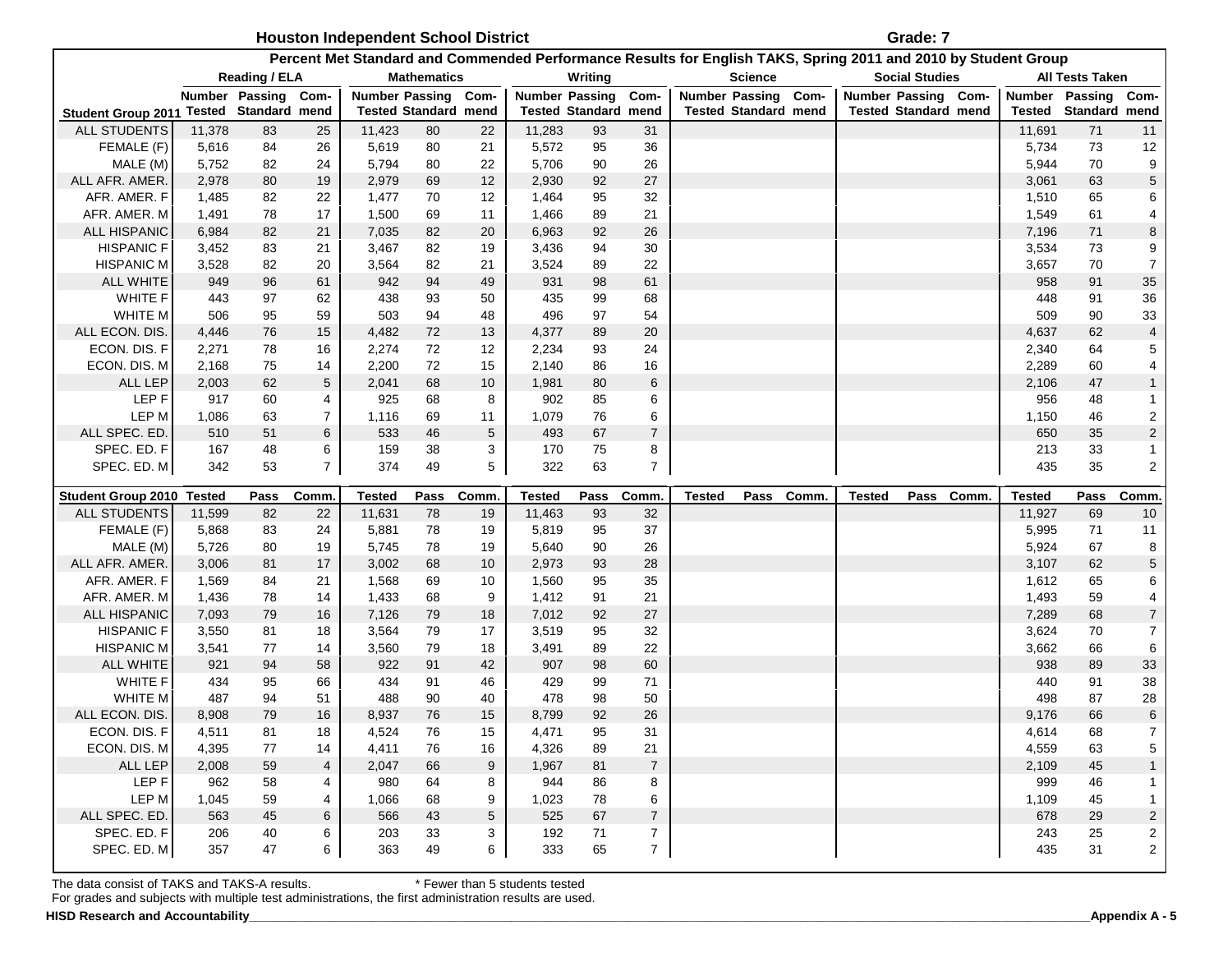| <b>Houston Independent School District</b> | Grade: 7 |
|--------------------------------------------|----------|
|--------------------------------------------|----------|

|                                |                |                             |                     |                |                             |          |                       |                             |                                    | Percent Met Standard and Commended Performance Results for English TAKS, Spring 2011 and 2010 by Student Group |                             |            |                     |                             |            |                |                        |                                      |
|--------------------------------|----------------|-----------------------------|---------------------|----------------|-----------------------------|----------|-----------------------|-----------------------------|------------------------------------|----------------------------------------------------------------------------------------------------------------|-----------------------------|------------|---------------------|-----------------------------|------------|----------------|------------------------|--------------------------------------|
|                                |                | <b>Reading / ELA</b>        |                     |                | <b>Mathematics</b>          |          |                       | Writing                     |                                    |                                                                                                                | <b>Science</b>              |            |                     | <b>Social Studies</b>       |            |                | <b>All Tests Taken</b> |                                      |
|                                |                | Number Passing              | Com-                |                | Number Passing Com-         |          | <b>Number Passing</b> |                             | Com-                               |                                                                                                                | Number Passing Com-         |            | Number Passing Com- |                             |            | Number Passing |                        | Com-                                 |
| <b>Student Group 2011</b>      |                | <b>Tested Standard mend</b> |                     |                | <b>Tested Standard mend</b> |          |                       | <b>Tested Standard mend</b> |                                    |                                                                                                                | <b>Tested Standard mend</b> |            |                     | <b>Tested Standard mend</b> |            | <b>Tested</b>  | Standard mend          |                                      |
| <b>ALL STUDENTS</b>            | 11,378         | 83                          | 25                  | 11,423         | 80                          | 22       | 11,283                | 93                          | 31                                 |                                                                                                                |                             |            |                     |                             |            | 11,691         | 71                     | 11                                   |
| FEMALE (F)                     | 5,616          | 84                          | 26                  | 5,619          | 80                          | 21       | 5,572                 | 95                          | 36                                 |                                                                                                                |                             |            |                     |                             |            | 5,734          | 73                     | 12                                   |
| MALE (M)                       | 5,752          | 82                          | 24                  | 5,794          | 80                          | 22       | 5,706                 | 90                          | 26                                 |                                                                                                                |                             |            |                     |                             |            | 5,944          | 70                     | 9                                    |
| ALL AFR. AMER.                 | 2,978          | 80                          | 19                  | 2,979          | 69                          | 12       | 2,930                 | 92                          | 27                                 |                                                                                                                |                             |            |                     |                             |            | 3,061          | 63                     | $\mathbf 5$                          |
| AFR. AMER. F                   | 1,485          | 82                          | 22                  | 1,477          | 70                          | 12       | 1,464                 | 95                          | 32                                 |                                                                                                                |                             |            |                     |                             |            | 1,510          | 65                     | 6                                    |
| AFR. AMER. M                   | 1,491          | 78                          | 17                  | 1,500          | 69                          | 11       | 1,466                 | 89                          | 21                                 |                                                                                                                |                             |            |                     |                             |            | 1,549          | 61                     | $\overline{\mathbf{4}}$              |
| ALL HISPANIC                   | 6,984          | 82                          | 21                  | 7,035          | 82                          | 20       | 6,963                 | 92                          | 26                                 |                                                                                                                |                             |            |                     |                             |            | 7,196          | 71                     | 8                                    |
| <b>HISPANIC F</b>              | 3,452          | 83                          | 21                  | 3,467          | 82                          | 19       | 3,436                 | 94                          | 30                                 |                                                                                                                |                             |            |                     |                             |            | 3,534          | 73                     | $\boldsymbol{9}$                     |
| <b>HISPANIC M</b>              | 3,528          | 82                          | 20                  | 3,564          | 82                          | 21       | 3,524                 | 89                          | 22                                 |                                                                                                                |                             |            |                     |                             |            | 3,657          | 70                     | $\boldsymbol{7}$                     |
| ALL WHITE                      | 949            | 96                          | 61                  | 942            | 94                          | 49       | 931                   | 98                          | 61                                 |                                                                                                                |                             |            |                     |                             |            | 958            | 91                     | 35                                   |
| <b>WHITE F</b>                 | 443            | 97                          | 62                  | 438            | 93                          | 50       | 435                   | 99                          | 68                                 |                                                                                                                |                             |            |                     |                             |            | 448            | 91                     | 36                                   |
| WHITE M                        | 506            | 95                          | 59                  | 503            | 94                          | 48       | 496                   | 97                          | 54                                 |                                                                                                                |                             |            |                     |                             |            | 509            | 90                     | 33                                   |
| ALL ECON. DIS.                 | 4,446          | 76                          | 15                  | 4,482          | 72                          | 13       | 4,377                 | 89                          | 20                                 |                                                                                                                |                             |            |                     |                             |            | 4,637          | 62                     | $\overline{\mathbf{4}}$              |
| ECON. DIS. F                   | 2,271          | 78                          | 16                  | 2,274          | 72                          | 12       | 2,234                 | 93                          | 24                                 |                                                                                                                |                             |            |                     |                             |            | 2,340          | 64                     | 5                                    |
| ECON. DIS. M                   | 2,168          | 75                          | 14                  | 2,200          | 72                          | 15       | 2,140                 | 86                          | 16                                 |                                                                                                                |                             |            |                     |                             |            | 2,289          | 60                     | 4                                    |
| ALL LEP                        | 2,003          | 62                          | 5                   | 2,041          | 68                          | 10       | 1,981                 | 80                          | $\,6\,$                            |                                                                                                                |                             |            |                     |                             |            | 2,106          | 47                     | $\mathbf{1}$                         |
| LEP F                          | 917            | 60                          | 4                   | 925            | 68                          | 8        | 902                   | 85                          | 6                                  |                                                                                                                |                             |            |                     |                             |            | 956            | 48                     | $\mathbf{1}$                         |
| LEP M                          | 1,086          | 63                          | $\overline{7}$      | 1,116          | 69                          | 11       | 1,079                 | 76                          | 6                                  |                                                                                                                |                             |            |                     |                             |            | 1,150          | 46                     | $\sqrt{2}$                           |
| ALL SPEC. ED.                  | 510            | 51                          | 6                   | 533            | 46                          | 5        | 493                   | 67                          | $\overline{7}$                     |                                                                                                                |                             |            |                     |                             |            | 650            | 35                     | $\sqrt{2}$                           |
| SPEC. ED. F                    | 167            | 48                          | 6                   | 159            | 38                          | 3        | 170                   | 75                          | 8                                  |                                                                                                                |                             |            |                     |                             |            | 213            | 33                     | $\mathbf{1}$                         |
| SPEC. ED. M                    | 342            | 53                          | $\overline{7}$      | 374            | 49                          | 5        | 322                   | 63                          | $\overline{7}$                     |                                                                                                                |                             |            |                     |                             |            | 435            | 35                     | $\sqrt{2}$                           |
|                                |                |                             |                     |                |                             |          |                       |                             |                                    |                                                                                                                |                             |            |                     |                             |            |                |                        |                                      |
|                                |                |                             |                     |                |                             |          |                       |                             |                                    |                                                                                                                |                             |            |                     |                             |            |                |                        |                                      |
| <b>Student Group 2010</b>      | <b>Tested</b>  | Pass                        | Comm                | <b>Tested</b>  | Pass                        | Comm.    | <b>Tested</b>         | Pass                        | <b>Comm</b>                        | <b>Tested</b>                                                                                                  |                             | Pass Comm. | <b>Tested</b>       |                             | Pass Comm. | <b>Tested</b>  | Pass                   | Comm.                                |
| ALL STUDENTS                   | 11,599         | 82                          | 22                  | 11,631         | 78                          | 19       | 11,463                | 93                          | 32                                 |                                                                                                                |                             |            |                     |                             |            | 11,927         | 69                     | 10                                   |
| FEMALE (F)                     | 5,868          | 83                          | 24                  | 5,881          | 78                          | 19       | 5,819                 | 95                          | 37                                 |                                                                                                                |                             |            |                     |                             |            | 5,995          | 71                     | 11                                   |
| MALE (M)                       | 5,726          | 80                          | 19                  | 5,745          | 78                          | 19       | 5,640                 | 90                          | 26                                 |                                                                                                                |                             |            |                     |                             |            | 5,924          | 67                     | 8                                    |
| ALL AFR. AMER.                 | 3,006          | 81                          | 17                  | 3,002          | 68                          | 10       | 2,973                 | 93                          | 28                                 |                                                                                                                |                             |            |                     |                             |            | 3,107          | 62                     | $\mathbf 5$                          |
| AFR. AMER. F                   | 1,569          | 84                          | 21                  | 1,568          | 69                          | 10       | 1,560                 | 95                          | 35                                 |                                                                                                                |                             |            |                     |                             |            | 1,612          | 65                     | 6                                    |
| AFR. AMER. M<br>ALL HISPANIC   | 1,436<br>7,093 | 78<br>79                    | 14<br>16            | 1,433<br>7,126 | 68<br>79                    | 9<br>18  | 1,412<br>7,012        | 91<br>92                    | 21<br>27                           |                                                                                                                |                             |            |                     |                             |            | 1,493<br>7,289 | 59<br>68               | $\overline{\mathbf{4}}$              |
| <b>HISPANIC F</b>              |                | 81                          | 18                  |                | 79                          | 17       |                       | 95                          | 32                                 |                                                                                                                |                             |            |                     |                             |            |                | 70                     | $\boldsymbol{7}$                     |
| <b>HISPANIC M</b>              | 3,550<br>3,541 | 77                          | 14                  | 3,564          | 79                          | 18       | 3,519                 | 89                          |                                    |                                                                                                                |                             |            |                     |                             |            | 3,624<br>3,662 | 66                     | $\boldsymbol{7}$                     |
|                                |                |                             |                     | 3,560          | 91                          |          | 3,491                 |                             | 22                                 |                                                                                                                |                             |            |                     |                             |            |                |                        | $\,6$                                |
| <b>ALL WHITE</b>               | 921            | 94                          | 58                  | 922            | 91                          | 42<br>46 | 907                   | 98                          | 60<br>71                           |                                                                                                                |                             |            |                     |                             |            | 938<br>440     | 89                     | 33                                   |
| WHITE F                        | 434<br>487     | 95<br>94                    | 66<br>51            | 434            | 90                          | 40       | 429                   | 99                          | 50                                 |                                                                                                                |                             |            |                     |                             |            | 498            | 91                     | 38                                   |
| WHITE M                        | 8,908          | 79                          | 16                  | 488<br>8,937   | 76                          | 15       | 478<br>8,799          | 98                          |                                    |                                                                                                                |                             |            |                     |                             |            | 9,176          | 87                     | 28                                   |
| ALL ECON. DIS.<br>ECON. DIS. F | 4,511          |                             | 18                  |                |                             | 15       |                       | 92                          | 26                                 |                                                                                                                |                             |            |                     |                             |            |                | 66                     | $\,$ 6 $\,$                          |
|                                | 4,395          | 81<br>77                    | 14                  | 4,524          | 76<br>76                    | 16       | 4,471<br>4,326        | 95<br>89                    | 31<br>21                           |                                                                                                                |                             |            |                     |                             |            | 4,614<br>4,559 | 68                     | 7                                    |
| ECON. DIS. M                   |                |                             |                     | 4,411          |                             |          |                       |                             |                                    |                                                                                                                |                             |            |                     |                             |            |                | 63                     | $\mathbf 5$                          |
| ALL LEP<br>LEP F               | 2,008<br>962   | 59<br>58                    | $\overline{4}$<br>4 | 2,047<br>980   | 66<br>64                    | 9<br>8   | 1,967<br>944          | 81<br>86                    | $\overline{7}$<br>8                |                                                                                                                |                             |            |                     |                             |            | 2,109<br>999   | 45<br>46               | $\mathbf{1}$<br>1                    |
| LEP M                          |                | 59                          | 4                   |                | 68                          | 9        | 1,023                 | 78                          | 6                                  |                                                                                                                |                             |            |                     |                             |            |                | 45                     | $\mathbf{1}$                         |
|                                | 1,045          |                             |                     | 1,066          |                             |          |                       |                             |                                    |                                                                                                                |                             |            |                     |                             |            | 1,109          |                        |                                      |
| ALL SPEC. ED                   | 563<br>206     | 45<br>40                    | 6                   | 566            | 43<br>33                    | 5        | 525                   | 67                          | $\boldsymbol{7}$                   |                                                                                                                |                             |            |                     |                             |            | 678            | 29<br>25               | $\sqrt{2}$                           |
| SPEC. ED. F<br>SPEC. ED. M     | 357            | 47                          | 6<br>6              | 203<br>363     | 49                          | 3<br>6   | 192<br>333            | 71<br>65                    | $\boldsymbol{7}$<br>$\overline{7}$ |                                                                                                                |                             |            |                     |                             |            | 243<br>435     | 31                     | $\boldsymbol{2}$<br>$\boldsymbol{2}$ |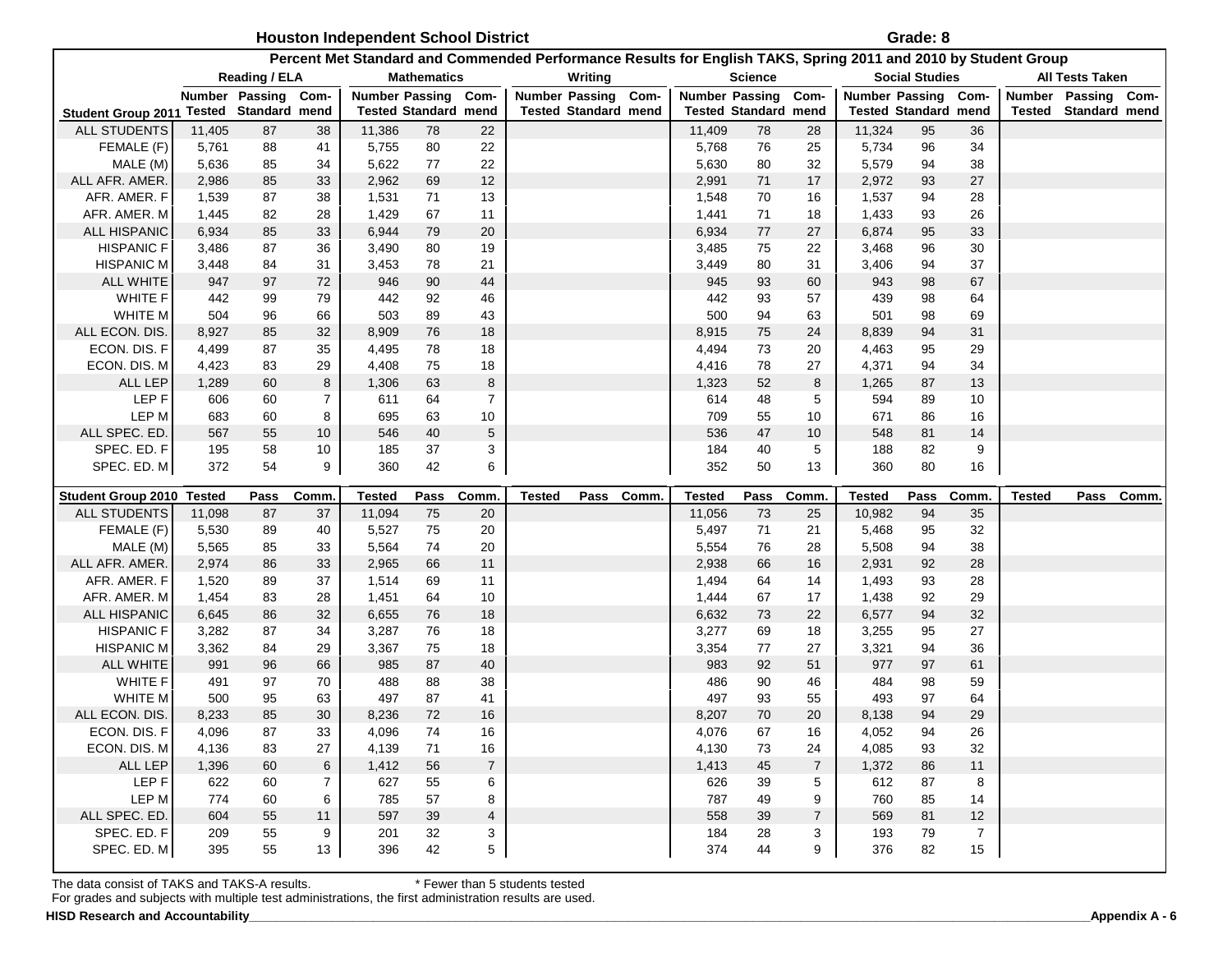|                                         |        |                     |                | <b>Houston Independent School District</b> |                             |                |                       |                             |           |                             |                |                |                                                                                                                | Grade: 8                    |                      |               |                             |       |
|-----------------------------------------|--------|---------------------|----------------|--------------------------------------------|-----------------------------|----------------|-----------------------|-----------------------------|-----------|-----------------------------|----------------|----------------|----------------------------------------------------------------------------------------------------------------|-----------------------------|----------------------|---------------|-----------------------------|-------|
|                                         |        |                     |                |                                            |                             |                |                       |                             |           |                             |                |                | Percent Met Standard and Commended Performance Results for English TAKS, Spring 2011 and 2010 by Student Group |                             |                      |               |                             |       |
|                                         |        | Reading / ELA       |                |                                            | <b>Mathematics</b>          |                |                       | Writing                     |           |                             | <b>Science</b> |                |                                                                                                                | <b>Social Studies</b>       |                      |               | <b>All Tests Taken</b>      |       |
|                                         |        | Number Passing Com- |                | <b>Number Passing</b>                      |                             | Com-           | <b>Number Passing</b> |                             | Com-      | <b>Number Passing</b>       |                | Com-           | Number Passing Com-                                                                                            |                             |                      |               | Number Passing Com-         |       |
| Student Group 2011 Tested Standard mend |        |                     |                |                                            | <b>Tested Standard mend</b> |                |                       | <b>Tested Standard mend</b> |           | <b>Tested Standard mend</b> |                |                |                                                                                                                | <b>Tested Standard mend</b> |                      |               | <b>Tested Standard mend</b> |       |
| <b>ALL STUDENTS</b>                     | 11,405 | 87                  | 38             | 11,386                                     | 78                          | 22             |                       |                             |           | 11,409                      | 78             | 28             | 11,324                                                                                                         | 95                          | 36                   |               |                             |       |
| FEMALE (F)                              | 5,761  | 88                  | 41             | 5,755                                      | 80                          | 22             |                       |                             |           | 5,768                       | 76             | 25             | 5,734                                                                                                          | 96                          | 34                   |               |                             |       |
| MALE (M)                                | 5,636  | 85                  | 34             | 5,622                                      | 77                          | 22             |                       |                             |           | 5,630                       | 80             | 32             | 5,579                                                                                                          | 94                          | 38                   |               |                             |       |
| ALL AFR. AMER.                          | 2,986  | 85                  | 33             | 2,962                                      | 69                          | 12             |                       |                             |           | 2,991                       | 71             | 17             | 2,972                                                                                                          | 93                          | 27                   |               |                             |       |
| AFR. AMER. F                            | 1,539  | 87                  | 38             | 1,531                                      | 71                          | 13             |                       |                             |           | 1,548                       | 70             | 16             | 1,537                                                                                                          | 94                          | 28                   |               |                             |       |
| AFR. AMER. M                            | 1,445  | 82                  | 28             | 1,429                                      | 67                          | 11             |                       |                             |           | 1,441                       | 71             | 18             | 1,433                                                                                                          | 93                          | 26                   |               |                             |       |
| ALL HISPANIC                            | 6,934  | 85                  | 33             | 6,944                                      | 79                          | 20             |                       |                             |           | 6,934                       | 77             | 27             | 6,874                                                                                                          | 95                          | 33                   |               |                             |       |
| <b>HISPANIC F</b>                       | 3,486  | 87                  | 36             | 3,490                                      | 80                          | 19             |                       |                             |           | 3,485                       | 75             | 22             | 3,468                                                                                                          | 96                          | 30                   |               |                             |       |
| HISPANIC M                              | 3,448  | 84                  | 31             | 3,453                                      | 78                          | 21             |                       |                             |           | 3,449                       | 80             | 31             | 3,406                                                                                                          | 94                          | 37                   |               |                             |       |
| <b>ALL WHITE</b>                        | 947    | 97                  | 72             | 946                                        | 90                          | 44             |                       |                             |           | 945                         | 93             | 60             | 943                                                                                                            | 98                          | 67                   |               |                             |       |
| WHITE F                                 | 442    | 99                  | 79             | 442                                        | 92                          | 46             |                       |                             |           | 442                         | 93             | 57             | 439                                                                                                            | 98                          | 64                   |               |                             |       |
| WHITE M                                 | 504    | 96                  | 66             | 503                                        | 89                          | 43             |                       |                             |           | 500                         | 94             | 63             | 501                                                                                                            | 98                          | 69                   |               |                             |       |
| ALL ECON. DIS.                          | 8,927  | 85                  | 32             | 8,909                                      | 76                          | 18             |                       |                             |           | 8,915                       | 75             | 24             | 8,839                                                                                                          | 94                          | 31                   |               |                             |       |
| ECON. DIS. F                            | 4,499  | 87                  | 35             | 4,495                                      | 78                          | 18             |                       |                             |           | 4,494                       | 73             | 20             | 4,463                                                                                                          | 95                          | 29                   |               |                             |       |
| ECON. DIS. M                            | 4,423  | 83                  | 29             | 4,408                                      | 75                          | 18             |                       |                             |           | 4,416                       | 78             | 27             | 4,371                                                                                                          | 94                          | 34                   |               |                             |       |
| <b>ALL LEP</b>                          | 1,289  | 60                  | 8              | 1,306                                      | 63                          | 8              |                       |                             |           | 1,323                       | 52             | 8              | 1,265                                                                                                          | 87                          | 13                   |               |                             |       |
| LEP F                                   | 606    | 60                  | $\overline{7}$ | 611                                        | 64                          | $\overline{7}$ |                       |                             |           | 614                         | 48             | 5              | 594                                                                                                            | 89                          | 10                   |               |                             |       |
| LEP M                                   | 683    | 60                  | 8              | 695                                        | 63                          | 10             |                       |                             |           | 709                         | 55             | 10             | 671                                                                                                            | 86                          | 16                   |               |                             |       |
| ALL SPEC. ED                            | 567    | 55                  | 10             | 546                                        | 40                          | 5              |                       |                             |           | 536                         | 47             | 10             | 548                                                                                                            | 81                          | 14                   |               |                             |       |
| SPEC. ED. F                             | 195    | 58                  | 10             | 185                                        | 37                          | 3              |                       |                             |           | 184                         | 40             | 5              | 188                                                                                                            | 82                          | 9                    |               |                             |       |
| SPEC. ED. M                             | 372    | 54                  | 9              | 360                                        | 42                          | 6              |                       |                             |           | 352                         | 50             | 13             | 360                                                                                                            | 80                          | 16                   |               |                             |       |
| Student Group 2010 Tested               |        | Pass                | Comm           | <b>Tested</b>                              | Pass                        | Comm.          | Tested                |                             | Pass Comm | <b>Tested</b>               | Pass           | Comm           | <b>Tested</b>                                                                                                  | Pass                        | Comm.                | <b>Tested</b> | Pass                        | Comm. |
| <b>ALL STUDENTS</b>                     | 11,098 | 87                  | 37             | 11,094                                     | 75                          | 20             |                       |                             |           | 11,056                      | 73             | 25             | 10,982                                                                                                         | 94                          | 35                   |               |                             |       |
| FEMALE (F)                              | 5,530  | 89                  | 40             | 5,527                                      | 75                          | 20             |                       |                             |           | 5,497                       | 71             | 21             | 5,468                                                                                                          | 95                          | 32                   |               |                             |       |
| MALE (M)                                | 5,565  | 85                  | 33             | 5,564                                      | 74                          | 20             |                       |                             |           | 5,554                       | 76             | 28             | 5,508                                                                                                          | 94                          | 38                   |               |                             |       |
| ALL AFR. AMER                           | 2,974  | 86                  | 33             | 2,965                                      | 66                          | 11             |                       |                             |           | 2,938                       | 66             | 16             | 2,931                                                                                                          | 92                          | 28                   |               |                             |       |
| AFR. AMER. F                            | 1,520  | 89                  | 37             | 1,514                                      | 69                          | 11             |                       |                             |           | 1,494                       | 64             | 14             | 1,493                                                                                                          | 93                          | 28                   |               |                             |       |
| AFR. AMER. M                            | 1,454  | 83                  | 28             | 1,451                                      | 64                          | 10             |                       |                             |           | 1,444                       | 67             | 17             | 1,438                                                                                                          | 92                          | 29                   |               |                             |       |
| ALL HISPANIC                            | 6,645  | 86                  | 32             | 6,655                                      | 76                          | 18             |                       |                             |           | 6,632                       | 73             | 22             | 6,577                                                                                                          | 94                          | 32                   |               |                             |       |
| <b>HISPANIC F</b>                       | 3,282  | 87                  | 34             | 3,287                                      | 76                          | 18             |                       |                             |           | 3,277                       | 69             | 18             | 3,255                                                                                                          | 95                          | 27                   |               |                             |       |
| <b>HISPANIC M</b>                       | 3,362  | 84                  | 29             | 3,367                                      | 75                          | 18             |                       |                             |           | 3,354                       | 77             | 27             | 3,321                                                                                                          | 94                          | 36                   |               |                             |       |
| <b>ALL WHITE</b>                        | 991    | 96                  | 66             | 985                                        | 87                          | 40             |                       |                             |           | 983                         | 92             | 51             | 977                                                                                                            | 97                          | 61                   |               |                             |       |
| WHITE F                                 | 491    | 97                  | 70             | 488                                        | 88                          | 38             |                       |                             |           | 486                         | 90             | 46             | 484                                                                                                            | 98                          | 59                   |               |                             |       |
| WHITE M                                 | 500    | 95                  | 63             | 497                                        | 87                          | 41             |                       |                             |           | 497                         | 93             | 55             | 493                                                                                                            | 97                          | 64                   |               |                             |       |
| ALL ECON. DIS.                          | 8,233  | 85                  | 30             | 8,236                                      | 72                          | 16             |                       |                             |           | 8,207                       | 70             | 20             | 8,138                                                                                                          | 94                          | 29                   |               |                             |       |
| ECON. DIS. F                            | 4,096  | 87                  | 33             | 4,096                                      | 74                          | 16             |                       |                             |           | 4,076                       | 67             | 16             | 4,052                                                                                                          | 94                          | 26                   |               |                             |       |
| ECON. DIS. M                            | 4,136  | 83                  | 27             | 4,139                                      | $71$                        | 16             |                       |                             |           | 4,130                       | 73             | 24             | 4,085                                                                                                          | 93                          | 32                   |               |                             |       |
| ALL LEP                                 |        |                     |                |                                            |                             |                |                       |                             |           |                             |                |                |                                                                                                                |                             |                      |               |                             |       |
|                                         | 1,396  | 60                  | 6              | 1,412                                      | 56                          | $\overline{7}$ |                       |                             |           | 1,413                       | 45             | $\overline{7}$ | 1,372                                                                                                          | 86                          | 11                   |               |                             |       |
| LEP F                                   | 622    | 60                  | $\overline{7}$ | 627                                        | 55                          | 6              |                       |                             |           | 626                         | 39             | 5              | 612                                                                                                            | 87                          | 8                    |               |                             |       |
| LEP M                                   | 774    | 60                  | 6              | 785                                        | 57                          | 8              |                       |                             |           | 787                         | 49             | 9              | 760                                                                                                            | 85                          | 14                   |               |                             |       |
| ALL SPEC. ED.                           | 604    | 55                  | 11             | 597                                        | 39                          | 4              |                       |                             |           | 558                         | 39             | $\overline{7}$ | 569                                                                                                            | 81                          | 12                   |               |                             |       |
| SPEC. ED. F<br>SPEC. ED. M              | 209    | 55<br>55            | 9<br>13        | 201                                        | 32                          | 3              |                       |                             |           | 184                         | 28             | 3              | 193<br>376                                                                                                     | 79                          | $\overline{7}$<br>15 |               |                             |       |

For grades and subjects with multiple test administrations, the first administration results are used.

 **HISD Research and Accountability\_\_\_\_\_\_\_\_\_\_\_\_\_\_\_\_\_\_\_\_\_\_\_\_\_\_\_\_\_\_\_\_\_\_\_\_\_\_\_\_\_\_\_\_\_\_\_\_\_\_\_\_\_\_\_\_\_\_\_\_\_\_\_\_\_\_\_\_\_\_\_\_\_\_\_\_\_\_\_\_\_\_\_\_\_\_\_\_\_\_\_\_\_\_\_\_\_\_\_\_\_\_\_\_\_\_\_\_\_\_\_\_\_\_\_\_\_\_\_\_\_\_Appendix A - 6**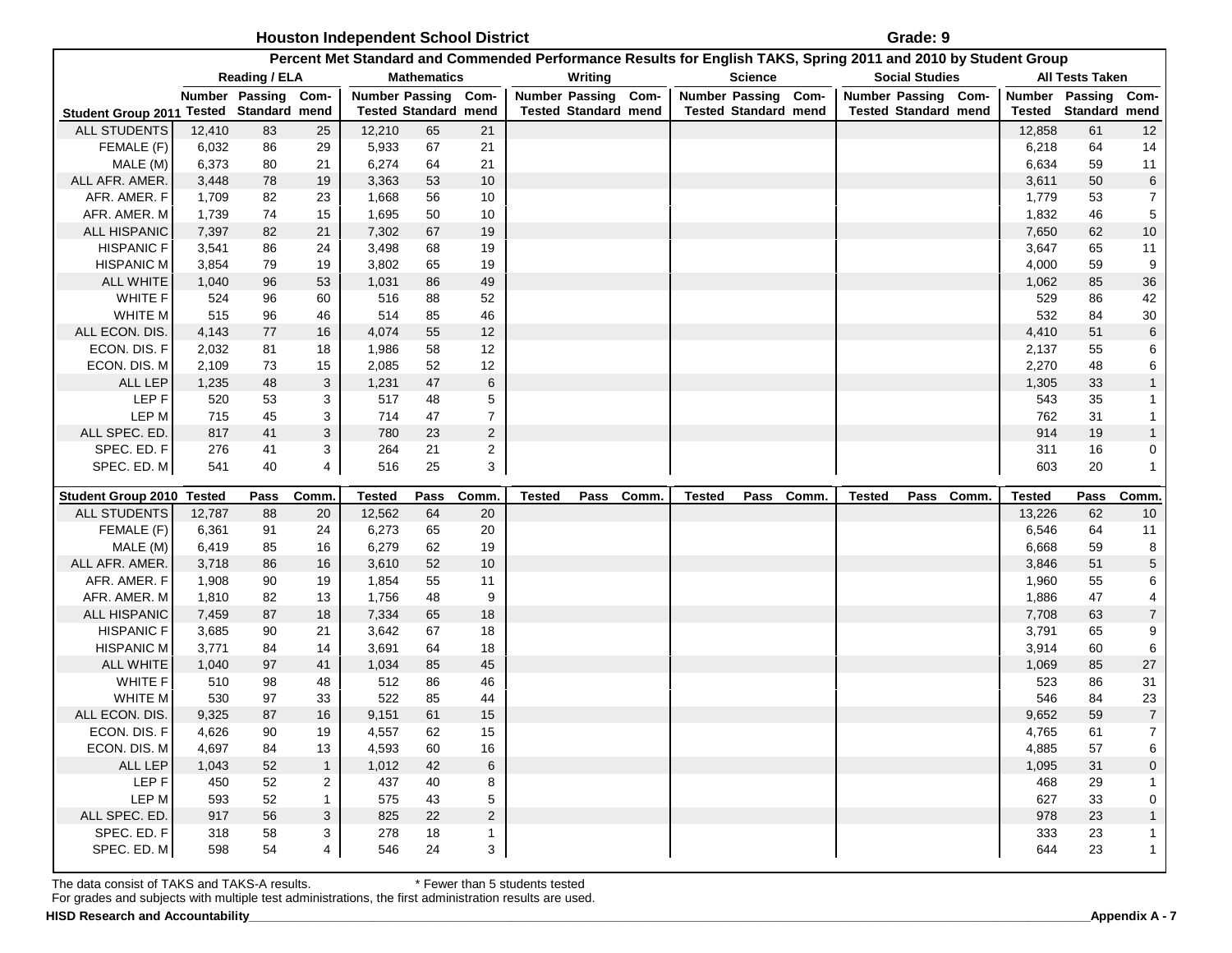#### **Houston Independent School District Grade: 9 Grade: 9 Grade: 9**

|                                         |        |                |                |                     |                             |                |               |                             | Percent Met Standard and Commended Performance Results for English TAKS, Spring 2011 and 2010 by Student Group |                |               |                             |                     |                             |                  |
|-----------------------------------------|--------|----------------|----------------|---------------------|-----------------------------|----------------|---------------|-----------------------------|----------------------------------------------------------------------------------------------------------------|----------------|---------------|-----------------------------|---------------------|-----------------------------|------------------|
|                                         |        | Reading / ELA  |                |                     | <b>Mathematics</b>          |                |               | Writing                     |                                                                                                                | <b>Science</b> |               | <b>Social Studies</b>       |                     | <b>All Tests Taken</b>      |                  |
|                                         |        | Number Passing | Com-           | Number Passing Com- |                             |                |               | Number Passing Com-         | Number Passing Com-                                                                                            |                |               | Number Passing Com-         | Number Passing Com- |                             |                  |
| Student Group 2011 Tested Standard mend |        |                |                |                     | <b>Tested Standard mend</b> |                |               | <b>Tested Standard mend</b> | <b>Tested Standard mend</b>                                                                                    |                |               | <b>Tested Standard mend</b> |                     | <b>Tested Standard mend</b> |                  |
| <b>ALL STUDENTS</b>                     | 12,410 | 83             | 25             | 12,210              | 65                          | 21             |               |                             |                                                                                                                |                |               |                             | 12,858              | 61                          | 12               |
| FEMALE (F)                              | 6,032  | 86             | 29             | 5,933               | 67                          | 21             |               |                             |                                                                                                                |                |               |                             | 6,218               | 64                          | 14               |
| MALE (M)                                | 6,373  | 80             | 21             | 6,274               | 64                          | 21             |               |                             |                                                                                                                |                |               |                             | 6,634               | 59                          | 11               |
| ALL AFR. AMER.                          | 3,448  | 78             | 19             | 3,363               | 53                          | 10             |               |                             |                                                                                                                |                |               |                             | 3,611               | 50                          | $\,6$            |
| AFR. AMER. F                            | 1,709  | 82             | 23             | 1,668               | 56                          | 10             |               |                             |                                                                                                                |                |               |                             | 1,779               | 53                          | 7                |
| AFR. AMER. M                            | 1,739  | 74             | 15             | 1,695               | 50                          | 10             |               |                             |                                                                                                                |                |               |                             | 1,832               | 46                          | 5                |
| <b>ALL HISPANIC</b>                     | 7,397  | 82             | 21             | 7,302               | 67                          | 19             |               |                             |                                                                                                                |                |               |                             | 7,650               | 62                          | $10$             |
| <b>HISPANIC F</b>                       | 3,541  | 86             | 24             | 3,498               | 68                          | 19             |               |                             |                                                                                                                |                |               |                             | 3,647               | 65                          | 11               |
| <b>HISPANIC M</b>                       | 3,854  | 79             | 19             | 3,802               | 65                          | 19             |               |                             |                                                                                                                |                |               |                             | 4,000               | 59                          | 9                |
| <b>ALL WHITE</b>                        | 1,040  | 96             | 53             | 1,031               | 86                          | 49             |               |                             |                                                                                                                |                |               |                             | 1,062               | 85                          | 36               |
| WHITE F                                 | 524    | 96             | 60             | 516                 | 88                          | 52             |               |                             |                                                                                                                |                |               |                             | 529                 | 86                          | 42               |
| WHITE M                                 | 515    | 96             | 46             | 514                 | 85                          | 46             |               |                             |                                                                                                                |                |               |                             | 532                 | 84                          | 30               |
| ALL ECON. DIS.                          | 4,143  | 77             | 16             | 4,074               | 55                          | 12             |               |                             |                                                                                                                |                |               |                             | 4,410               | 51                          | $\,6$            |
| ECON. DIS. F                            | 2,032  | 81             | 18             | 1,986               | 58                          | 12             |               |                             |                                                                                                                |                |               |                             | 2,137               | 55                          | 6                |
| ECON. DIS. M                            | 2,109  | 73             | 15             | 2,085               | 52                          | 12             |               |                             |                                                                                                                |                |               |                             | 2,270               | 48                          | 6                |
| ALL LEP                                 | 1,235  | 48             | 3              | 1,231               | 47                          | 6              |               |                             |                                                                                                                |                |               |                             | 1,305               | 33                          |                  |
| LEP F                                   | 520    | 53             | 3              | 517                 | 48                          | 5              |               |                             |                                                                                                                |                |               |                             | 543                 | 35                          |                  |
| LEP M                                   | 715    | 45             | 3              | 714                 | 47                          | 7              |               |                             |                                                                                                                |                |               |                             | 762                 | 31                          |                  |
| ALL SPEC. ED.                           | 817    | 41             | 3              | 780                 | 23                          | $\sqrt{2}$     |               |                             |                                                                                                                |                |               |                             | 914                 | 19                          |                  |
| SPEC. ED. F                             | 276    | 41             | 3              | 264                 | 21                          | $\mathbf 2$    |               |                             |                                                                                                                |                |               |                             | 311                 | 16                          | 0                |
| SPEC. ED. M                             | 541    | 40             | 4              | 516                 | 25                          | 3              |               |                             |                                                                                                                |                |               |                             | 603                 | 20                          | $\mathbf{1}$     |
| <b>Student Group 2010 Tested</b>        |        | Pass           | Comm.          | <b>Tested</b>       | Pass                        | Comm.          | <b>Tested</b> | Pass Comm.                  | <b>Tested</b>                                                                                                  | Pass Comm.     | <b>Tested</b> | Pass Comm.                  | <b>Tested</b>       |                             | Pass Comm.       |
| ALL STUDENTS                            | 12,787 | 88             | 20             | 12,562              | 64                          | 20             |               |                             |                                                                                                                |                |               |                             | 13,226              | 62                          | 10               |
| FEMALE (F)                              | 6,361  | 91             | 24             | 6,273               | 65                          | 20             |               |                             |                                                                                                                |                |               |                             | 6,546               | 64                          | 11               |
| MALE (M)                                | 6,419  | 85             | 16             | 6,279               | 62                          | 19             |               |                             |                                                                                                                |                |               |                             | 6,668               | 59                          | 8                |
| ALL AFR. AMER.                          | 3,718  | 86             | 16             | 3,610               | 52                          | 10             |               |                             |                                                                                                                |                |               |                             | 3,846               | 51                          | 5                |
| AFR. AMER. F                            | 1,908  | 90             | 19             | 1,854               | 55                          | 11             |               |                             |                                                                                                                |                |               |                             | 1,960               | 55                          | 6                |
| AFR. AMER. M                            | 1,810  | 82             | 13             | 1,756               | 48                          | 9              |               |                             |                                                                                                                |                |               |                             | 1,886               | 47                          |                  |
| ALL HISPANIC                            | 7,459  | 87             | 18             | 7,334               | 65                          | 18             |               |                             |                                                                                                                |                |               |                             | 7,708               | 63                          | $\overline{7}$   |
| <b>HISPANIC F</b>                       | 3,685  | 90             | 21             | 3,642               | 67                          | 18             |               |                             |                                                                                                                |                |               |                             | 3,791               | 65                          | 9                |
| <b>HISPANIC M</b>                       | 3,771  | 84             | 14             | 3,691               | 64                          | 18             |               |                             |                                                                                                                |                |               |                             | 3,914               | 60                          | 6                |
| <b>ALL WHITE</b>                        | 1,040  | $97\,$         | 41             | 1,034               | 85                          | 45             |               |                             |                                                                                                                |                |               |                             | 1,069               | 85                          | $27\,$           |
| <b>WHITE F</b>                          | 510    | 98             | 48             | 512                 | 86                          | 46             |               |                             |                                                                                                                |                |               |                             | 523                 | 86                          | 31               |
| WHITE M                                 | 530    | 97             | 33             | 522                 | 85                          | 44             |               |                             |                                                                                                                |                |               |                             | 546                 | 84                          | 23               |
| ALL ECON. DIS.                          | 9,325  | 87             | 16             | 9,151               | 61                          | 15             |               |                             |                                                                                                                |                |               |                             | 9,652               | 59                          | $\boldsymbol{7}$ |
| ECON. DIS. F                            | 4,626  | 90             | 19             | 4,557               | 62                          | 15             |               |                             |                                                                                                                |                |               |                             | 4,765               | 61                          | $\overline{7}$   |
| ECON. DIS. M                            | 4,697  | 84             | 13             | 4,593               | 60                          | 16             |               |                             |                                                                                                                |                |               |                             | 4,885               | 57                          | 6                |
| ALL LEP                                 | 1,043  | 52             | $\mathbf{1}$   | 1,012               | 42                          | 6              |               |                             |                                                                                                                |                |               |                             | 1,095               | 31                          | $\mathbf{0}$     |
| LEP F                                   | 450    | 52             | $\overline{2}$ | 437                 |                             | 8              |               |                             |                                                                                                                |                |               |                             | 468                 | 29                          |                  |
| LEP M                                   |        |                |                |                     | 40                          |                |               |                             |                                                                                                                |                |               |                             |                     |                             |                  |
|                                         | 593    | 52             | $\mathbf{1}$   | 575                 | 43                          | 5              |               |                             |                                                                                                                |                |               |                             | 627                 | 33                          | 0                |
| ALL SPEC. ED.                           | 917    | 56             | 3              | 825                 | 22                          | $\overline{2}$ |               |                             |                                                                                                                |                |               |                             | 978                 | 23                          |                  |
| SPEC. ED. F<br>SPEC. ED. M              | 318    | 58             | 3              | 278                 | 18                          | $\mathbf{1}$   |               |                             |                                                                                                                |                |               |                             | 333                 | 23                          | 1                |

The data consist of TAKS and TAKS-A results. \* Fewer than 5 students tested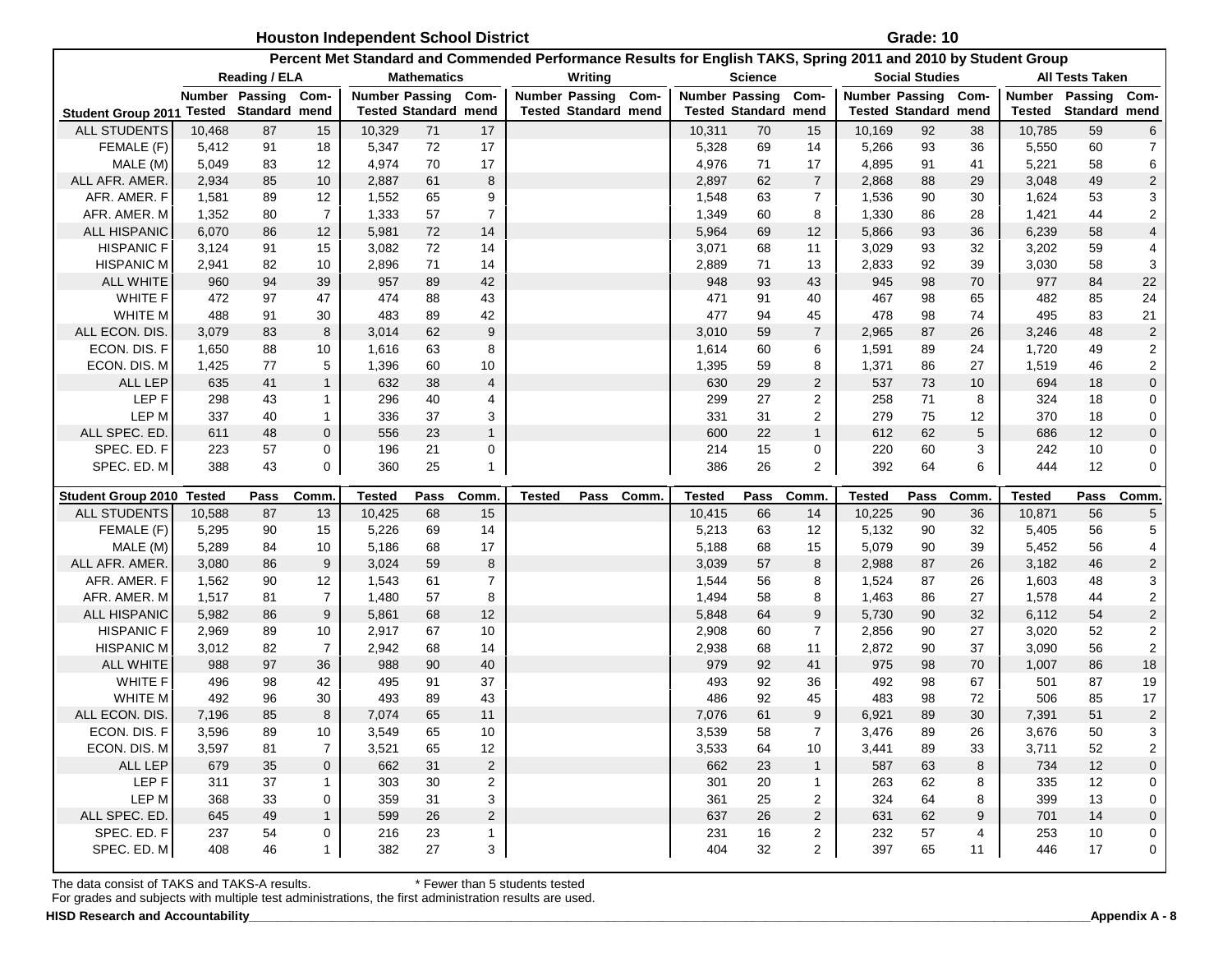|                                                  |        |                      |                      | <b>Houston Independent School District</b> |                             |                         |                       |                             |             |                         |                             |                |                                                                                                                | Grade: 10             |             |                         |                        |                              |
|--------------------------------------------------|--------|----------------------|----------------------|--------------------------------------------|-----------------------------|-------------------------|-----------------------|-----------------------------|-------------|-------------------------|-----------------------------|----------------|----------------------------------------------------------------------------------------------------------------|-----------------------|-------------|-------------------------|------------------------|------------------------------|
|                                                  |        |                      |                      |                                            |                             |                         |                       |                             |             |                         |                             |                | Percent Met Standard and Commended Performance Results for English TAKS, Spring 2011 and 2010 by Student Group |                       |             |                         |                        |                              |
|                                                  |        | <b>Reading / ELA</b> |                      |                                            | <b>Mathematics</b>          |                         |                       | Writing                     |             |                         | Science                     |                |                                                                                                                | <b>Social Studies</b> |             |                         | <b>All Tests Taken</b> |                              |
|                                                  |        | Number Passing       | Com-                 | <b>Number Passing</b>                      |                             | Com-                    | <b>Number Passing</b> |                             | Com-        |                         | <b>Number Passing</b>       | Com-           | Number Passing Com-                                                                                            |                       |             | <b>Number</b>           | Passing                | Com-                         |
| <b>Student Group 2011</b>                        | Tested | Standard mend        |                      |                                            | <b>Tested Standard mend</b> |                         |                       | <b>Tested Standard mend</b> |             |                         | <b>Tested Standard mend</b> |                | <b>Tested Standard mend</b>                                                                                    |                       |             | Tested                  | Standard mend          |                              |
| <b>ALL STUDENTS</b>                              | 10,468 | 87                   | 15                   | 10,329                                     | 71                          | 17                      |                       |                             |             | 10,311                  | 70                          | 15             | 10,169                                                                                                         | 92                    | 38          | 10,785                  | 59                     | 6                            |
| FEMALE (F)                                       | 5,412  | 91                   | 18                   | 5,347                                      | 72                          | 17                      |                       |                             |             | 5,328                   | 69                          | 14             | 5,266                                                                                                          | 93                    | 36          | 5,550                   | 60                     | $\overline{7}$               |
| MALE (M)                                         | 5,049  | 83                   | 12                   | 4,974                                      | 70                          | 17                      |                       |                             |             | 4,976                   | 71                          | 17             | 4,895                                                                                                          | 91                    | 41          | 5,221                   | 58                     | 6                            |
| ALL AFR. AMER.                                   | 2,934  | 85                   | 10                   | 2,887                                      | 61                          | 8                       |                       |                             |             | 2,897                   | 62                          | $\overline{7}$ | 2,868                                                                                                          | 88                    | 29          | 3,048                   | 49                     | $\overline{c}$               |
| AFR. AMER. F                                     | 1,581  | 89                   | 12                   | 1,552                                      | 65                          | 9                       |                       |                             |             | 1,548                   | 63                          | $\overline{7}$ | 1,536                                                                                                          | 90                    | 30          | 1,624                   | 53                     | 3                            |
| AFR. AMER. M                                     | 1,352  | 80                   | $\overline{7}$       | 1,333                                      | 57                          | $\overline{7}$          |                       |                             |             | 1,349                   | 60                          | 8              | 1,330                                                                                                          | 86                    | 28          | 1,421                   | 44                     | $\overline{a}$               |
| <b>ALL HISPANIC</b>                              | 6,070  | 86                   | 12                   | 5,981                                      | 72                          | 14                      |                       |                             |             | 5,964                   | 69                          | 12             | 5,866                                                                                                          | 93                    | 36          | 6,239                   | 58                     | $\overline{4}$               |
| <b>HISPANIC F</b>                                | 3,124  | 91                   | 15                   | 3,082                                      | 72                          | 14                      |                       |                             |             | 3,071                   | 68                          | 11             | 3,029                                                                                                          | 93                    | 32          | 3,202                   | 59                     | 4                            |
| HISPANIC M                                       | 2,941  | 82                   | 10                   | 2,896                                      | 71                          | 14                      |                       |                             |             | 2,889                   | 71                          | 13             | 2,833                                                                                                          | 92                    | 39          | 3,030                   | 58                     | 3                            |
| <b>ALL WHITE</b>                                 | 960    | 94                   | 39                   | 957                                        | 89                          | 42                      |                       |                             |             | 948                     | 93                          | 43             | 945                                                                                                            | 98                    | 70          | 977                     | 84                     | $22\,$                       |
| <b>WHITE F</b>                                   | 472    | 97                   | 47                   | 474                                        | 88                          | 43                      |                       |                             |             | 471                     | 91                          | 40             | 467                                                                                                            | 98                    | 65          | 482                     | 85                     | 24                           |
| WHITE M                                          | 488    | 91                   | 30                   | 483                                        | 89                          | 42                      |                       |                             |             | 477                     | 94                          | 45             | 478                                                                                                            | 98                    | 74          | 495                     | 83                     | 21                           |
| ALL ECON. DIS                                    | 3,079  | 83                   | 8                    | 3,014                                      | 62                          | $\boldsymbol{9}$        |                       |                             |             | 3,010                   | 59                          | $\overline{7}$ | 2,965                                                                                                          | 87                    | 26          | 3,246                   | 48                     | $\overline{\mathbf{c}}$      |
| ECON. DIS. F                                     | 1,650  | 88                   | 10                   | 1,616                                      | 63                          | 8                       |                       |                             |             | 1,614                   | 60                          | 6              | 1,591                                                                                                          | 89                    | 24          | 1,720                   | 49                     | $\overline{\mathbf{c}}$      |
| ECON. DIS. M                                     | 1,425  | 77                   | 5                    | 1,396                                      | 60                          | 10                      |                       |                             |             | 1,395                   | 59                          | 8              | 1,371                                                                                                          | 86                    | 27          | 1,519                   | 46                     | $\overline{c}$               |
| <b>ALL LEP</b>                                   | 635    | 41                   | $\mathbf{1}$         | 632                                        | 38                          | $\overline{\mathbf{4}}$ |                       |                             |             | 630                     | 29                          | 2              | 537                                                                                                            | 73                    | 10          | 694                     | 18                     | 0                            |
| LEP <sub>F</sub>                                 | 298    | 43                   | 1                    | 296                                        | 40                          | 4                       |                       |                             |             | 299                     | 27                          | 2              | 258                                                                                                            | 71                    | 8           | 324                     | 18                     | 0                            |
| LEP M                                            | 337    | 40                   | 1                    | 336                                        | 37                          | 3                       |                       |                             |             | 331                     | 31                          | 2              | 279                                                                                                            | 75                    | 12          | 370                     | 18                     | 0                            |
| ALL SPEC. ED.                                    | 611    | 48                   | 0                    | 556                                        | 23                          | $\mathbf{1}$            |                       |                             |             | 600                     | 22                          | $\mathbf{1}$   | 612                                                                                                            | 62                    | 5           | 686                     | 12                     | 0                            |
| SPEC. ED. F                                      | 223    | 57                   | 0                    | 196                                        | 21                          | 0                       |                       |                             |             | 214                     | 15                          | 0              | 220                                                                                                            | 60                    | 3           | 242                     | 10                     | 0                            |
| SPEC. ED. M                                      | 388    | 43                   | 0                    | 360                                        | 25                          | $\mathbf{1}$            |                       |                             |             | 386                     | 26                          | 2              | 392                                                                                                            | 64                    | 6           | 444                     | 12                     | 0                            |
|                                                  |        |                      |                      |                                            |                             |                         |                       |                             |             |                         |                             |                |                                                                                                                |                       |             |                         |                        |                              |
|                                                  |        |                      |                      |                                            |                             |                         |                       |                             |             |                         |                             |                |                                                                                                                |                       |             |                         |                        |                              |
| Student Group 2010 Tested<br><b>ALL STUDENTS</b> | 10,588 | Pass<br>87           | Comm                 | Tested                                     | Pass<br>68                  | Comm                    | Tested                | Pass                        | <b>Comm</b> | <b>Tested</b><br>10,415 | Pass<br>66                  | Comm<br>14     | <b>Tested</b>                                                                                                  | Pass<br>90            | Comm.<br>36 | <b>Tested</b><br>10,871 | Pass<br>56             | Comm                         |
|                                                  | 5,295  | 90                   | 13                   | 10,425<br>5,226                            | 69                          | 15<br>14                |                       |                             |             | 5,213                   | 63                          | 12             | 10,225<br>5,132                                                                                                | 90                    | 32          | 5,405                   |                        | 5                            |
| FEMALE (F)<br>MALE (M)                           | 5,289  | 84                   | 15<br>10             | 5,186                                      | 68                          | 17                      |                       |                             |             | 5,188                   | 68                          | 15             | 5,079                                                                                                          | 90                    | 39          | 5,452                   | 56<br>56               | 5                            |
| ALL AFR. AMER.                                   | 3,080  | 86                   | 9                    | 3,024                                      | 59                          | 8                       |                       |                             |             | 3,039                   | 57                          | 8              | 2,988                                                                                                          | 87                    | 26          | 3,182                   | 46                     | 4                            |
| AFR. AMER. F                                     | 1,562  | 90                   |                      | 1,543                                      |                             | $\overline{7}$          |                       |                             |             | 1,544                   | 56                          | 8              | 1,524                                                                                                          | 87                    | 26          | 1,603                   | 48                     | $\overline{c}$<br>3          |
| AFR. AMER. M                                     | 1,517  | 81                   | 12<br>$\overline{7}$ | 1,480                                      | 61<br>57                    | 8                       |                       |                             |             | 1,494                   | 58                          | 8              | 1,463                                                                                                          | 86                    | 27          | 1,578                   | 44                     |                              |
| <b>ALL HISPANIC</b>                              | 5,982  | 86                   | 9                    | 5,861                                      | 68                          | 12                      |                       |                             |             | 5,848                   | 64                          | 9              | 5,730                                                                                                          | 90                    | 32          | 6,112                   | 54                     | $\overline{a}$               |
| <b>HISPANIC F</b>                                | 2,969  | 89                   | 10                   | 2,917                                      | 67                          | 10                      |                       |                             |             | 2,908                   | 60                          | $\overline{7}$ | 2,856                                                                                                          | 90                    | 27          | 3,020                   | 52                     | $\overline{c}$               |
| <b>HISPANIC M</b>                                | 3,012  | 82                   | $\overline{7}$       | 2,942                                      | 68                          | 14                      |                       |                             |             | 2,938                   | 68                          | 11             | 2,872                                                                                                          | 90                    | 37          | 3,090                   | 56                     | $\overline{\mathbf{c}}$<br>2 |
| <b>ALL WHITE</b>                                 | 988    | 97                   | 36                   | 988                                        | 90                          | 40                      |                       |                             |             | 979                     | 92                          | 41             | 975                                                                                                            | 98                    | 70          | 1,007                   | 86                     | 18                           |
| <b>WHITE F</b>                                   | 496    | 98                   | 42                   | 495                                        | 91                          | 37                      |                       |                             |             | 493                     | 92                          | 36             | 492                                                                                                            | 98                    | 67          | 501                     | 87                     | 19                           |
| WHITE M                                          | 492    | 96                   | 30                   | 493                                        | 89                          | 43                      |                       |                             |             | 486                     | 92                          | 45             | 483                                                                                                            | 98                    | 72          | 506                     | 85                     | 17                           |
| ALL ECON. DIS.                                   | 7,196  | 85                   | 8                    | 7,074                                      | 65                          | 11                      |                       |                             |             | 7,076                   | 61                          | 9              | 6,921                                                                                                          | 89                    | 30          | 7,391                   | 51                     | $\overline{a}$               |
| ECON. DIS. F                                     | 3,596  | 89                   | 10                   | 3,549                                      | 65                          | 10                      |                       |                             |             | 3,539                   | 58                          | 7              | 3,476                                                                                                          | 89                    | 26          | 3,676                   | 50                     | 3                            |
| ECON. DIS. M                                     | 3,597  | 81                   | $\overline{7}$       | 3,521                                      | 65                          | 12                      |                       |                             |             | 3,533                   | 64                          | 10             | 3,441                                                                                                          | 89                    | 33          | 3,711                   | 52                     | $\overline{a}$               |
| ALL LEP                                          | 679    | 35                   | $\mathbf 0$          | 662                                        | 31                          | $\overline{c}$          |                       |                             |             | 662                     | 23                          | $\mathbf{1}$   | 587                                                                                                            | 63                    | 8           | 734                     | 12                     | $\pmb{0}$                    |
| LEP F                                            | 311    | 37                   | $\mathbf{1}$         | 303                                        | 30                          | 2                       |                       |                             |             | 301                     | 20                          | 1              | 263                                                                                                            | 62                    | 8           | 335                     | 12                     | 0                            |
| LEP M                                            | 368    | 33                   | 0                    | 359                                        | 31                          | 3                       |                       |                             |             | 361                     | 25                          | $\overline{2}$ | 324                                                                                                            | 64                    | 8           | 399                     | 13                     | 0                            |
| ALL SPEC. ED.                                    | 645    | 49                   | $\mathbf{1}$         | 599                                        | 26                          | $\sqrt{2}$              |                       |                             |             | 637                     | 26                          | $\overline{2}$ | 631                                                                                                            | 62                    | 9           | 701                     | 14                     | 0                            |
| SPEC. ED. F                                      | 237    | 54                   | 0                    | 216                                        | 23                          | $\mathbf{1}$            |                       |                             |             | 231                     | 16                          | $\overline{a}$ | 232                                                                                                            | 57                    | 4           | 253                     | 10                     | 0                            |

For grades and subjects with multiple test administrations, the first administration results are used.

 **HISD Research and Accountability\_\_\_\_\_\_\_\_\_\_\_\_\_\_\_\_\_\_\_\_\_\_\_\_\_\_\_\_\_\_\_\_\_\_\_\_\_\_\_\_\_\_\_\_\_\_\_\_\_\_\_\_\_\_\_\_\_\_\_\_\_\_\_\_\_\_\_\_\_\_\_\_\_\_\_\_\_\_\_\_\_\_\_\_\_\_\_\_\_\_\_\_\_\_\_\_\_\_\_\_\_\_\_\_\_\_\_\_\_\_\_\_\_\_\_\_\_\_\_\_\_\_Appendix A - 8**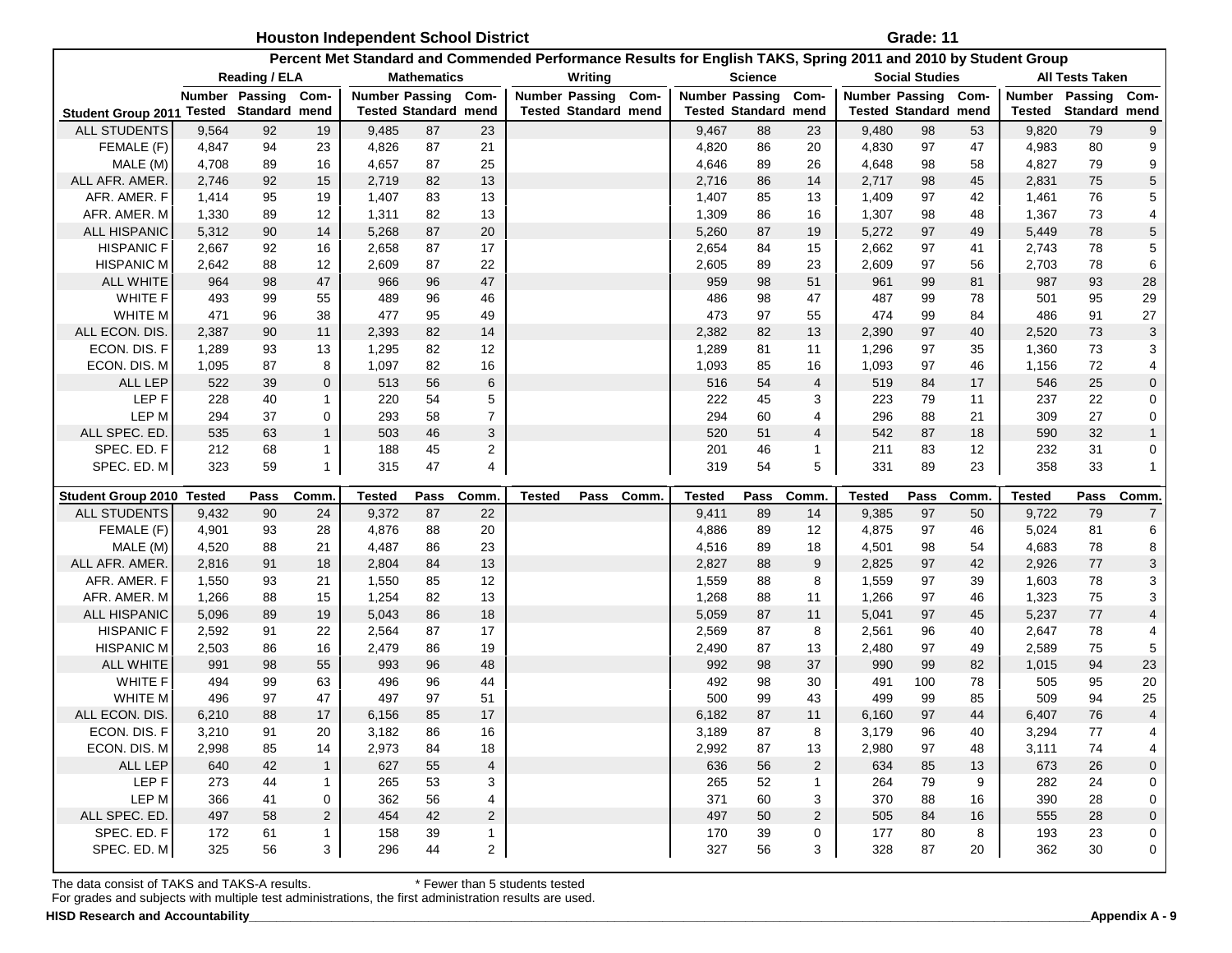|                                         |            |                |                   | <b>Houston Independent School District</b> |                             |                         |                       |                             |             |               |                             |                |                                                                                                                | Grade: 11             |         |               |                        |                           |
|-----------------------------------------|------------|----------------|-------------------|--------------------------------------------|-----------------------------|-------------------------|-----------------------|-----------------------------|-------------|---------------|-----------------------------|----------------|----------------------------------------------------------------------------------------------------------------|-----------------------|---------|---------------|------------------------|---------------------------|
|                                         |            |                |                   |                                            |                             |                         |                       |                             |             |               |                             |                | Percent Met Standard and Commended Performance Results for English TAKS, Spring 2011 and 2010 by Student Group |                       |         |               |                        |                           |
|                                         |            | Reading / ELA  |                   |                                            | <b>Mathematics</b>          |                         |                       | Writing                     |             |               | Science                     |                |                                                                                                                | <b>Social Studies</b> |         |               | <b>All Tests Taken</b> |                           |
|                                         |            | Number Passing | Com-              | <b>Number Passing</b>                      |                             | Com-                    | <b>Number Passing</b> |                             | Com-        |               | <b>Number Passing</b>       | Com-           | Number Passing Com-                                                                                            |                       |         | Number        | Passing                | Com-                      |
| Student Group 2011 Tested Standard mend |            |                |                   |                                            | <b>Tested Standard mend</b> |                         |                       | <b>Tested Standard mend</b> |             |               | <b>Tested Standard mend</b> |                | <b>Tested Standard mend</b>                                                                                    |                       |         | Tested        | Standard mend          |                           |
| <b>ALL STUDENTS</b>                     | 9,564      | 92             | 19                | 9,485                                      | 87                          | 23                      |                       |                             |             | 9,467         | 88                          | 23             | 9,480                                                                                                          | 98                    | 53      | 9,820         | 79                     | 9                         |
| FEMALE (F)                              | 4,847      | 94             | 23                | 4,826                                      | 87                          | 21                      |                       |                             |             | 4,820         | 86                          | 20             | 4,830                                                                                                          | 97                    | 47      | 4,983         | 80                     | 9                         |
| MALE (M)                                | 4,708      | 89             | 16                | 4,657                                      | 87                          | 25                      |                       |                             |             | 4,646         | 89                          | 26             | 4,648                                                                                                          | 98                    | 58      | 4,827         | 79                     | 9                         |
| ALL AFR. AMER.                          | 2,746      | 92             | 15                | 2,719                                      | 82                          | 13                      |                       |                             |             | 2,716         | 86                          | 14             | 2,717                                                                                                          | 98                    | 45      | 2,831         | 75                     | 5                         |
| AFR. AMER. F                            | 1,414      | 95             | 19                | 1,407                                      | 83                          | 13                      |                       |                             |             | 1,407         | 85                          | 13             | 1,409                                                                                                          | 97                    | 42      | 1,461         | 76                     | 5                         |
| AFR. AMER. M                            | 1,330      | 89             | 12                | 1,311                                      | 82                          | 13                      |                       |                             |             | 1,309         | 86                          | 16             | 1,307                                                                                                          | 98                    | 48      | 1,367         | 73                     | 4                         |
| ALL HISPANIC                            | 5,312      | 90             | 14                | 5,268                                      | 87                          | 20                      |                       |                             |             | 5,260         | 87                          | 19             | 5,272                                                                                                          | 97                    | 49      | 5,449         | 78                     | $\,$ 5 $\,$               |
| <b>HISPANIC F</b>                       | 2,667      | 92             | 16                | 2,658                                      | 87                          | 17                      |                       |                             |             | 2,654         | 84                          | 15             | 2,662                                                                                                          | 97                    | 41      | 2,743         | 78                     | 5                         |
| <b>HISPANIC M</b>                       | 2,642      | 88             | 12                | 2,609                                      | 87                          | 22                      |                       |                             |             | 2,605         | 89                          | 23             | 2,609                                                                                                          | 97                    | 56      | 2,703         | 78                     | 6                         |
| <b>ALL WHITE</b>                        | 964        | 98             | 47                | 966                                        | 96                          | 47                      |                       |                             |             | 959           | 98                          | 51             | 961                                                                                                            | 99                    | 81      | 987           | 93                     | 28                        |
| <b>WHITE F</b>                          | 493        | 99             | 55                | 489                                        | 96                          | 46                      |                       |                             |             | 486           | 98                          | 47             | 487                                                                                                            | 99                    | 78      | 501           | 95                     | 29                        |
| WHITE M                                 | 471        | 96             | 38                | 477                                        | 95                          | 49                      |                       |                             |             | 473           | 97                          | 55             | 474                                                                                                            | 99                    | 84      | 486           | 91                     | 27                        |
| ALL ECON. DIS                           | 2,387      | 90             | 11                | 2,393                                      | 82                          | 14                      |                       |                             |             | 2,382         | 82                          | 13             | 2,390                                                                                                          | 97                    | 40      | 2,520         | 73                     | $\ensuremath{\mathsf{3}}$ |
| ECON. DIS. F                            | 1,289      | 93             | 13                | 1,295                                      | 82                          | 12                      |                       |                             |             | 1,289         | 81                          | 11             | 1,296                                                                                                          | 97                    | 35      | 1,360         | 73                     | 3                         |
| ECON. DIS. M                            | 1,095      | 87             | 8                 | 1,097                                      | 82                          | 16                      |                       |                             |             | 1,093         | 85                          | 16             | 1,093                                                                                                          | 97                    | 46      | 1,156         | 72                     | $\overline{\mathbf{4}}$   |
| ALL LEP                                 | 522        | 39             | $\mathbf 0$       | 513                                        | 56                          | $\,6$                   |                       |                             |             | 516           | 54                          | 4              | 519                                                                                                            | 84                    | 17      | 546           | 25                     | $\pmb{0}$                 |
| LEP <sub>F</sub>                        | 228        | 40             | 1                 | 220                                        | 54                          | 5                       |                       |                             |             | 222           | 45                          | 3              | 223                                                                                                            | 79                    | 11      | 237           | 22                     | 0                         |
| LEP M                                   | 294        | 37             | 0                 | 293                                        | 58                          | 7                       |                       |                             |             | 294           | 60                          | 4              | 296                                                                                                            | 88                    | 21      | 309           | 27                     | 0                         |
| ALL SPEC. ED.                           | 535        | 63             | $\mathbf{1}$      | 503                                        | 46                          | 3                       |                       |                             |             | 520           | 51                          | 4              | 542                                                                                                            | 87                    | 18      | 590           | 32                     | $\mathbf{1}$              |
| SPEC. ED. F                             | 212        | 68             | $\mathbf{1}$      | 188                                        | 45                          | 2                       |                       |                             |             | 201           | 46                          | 1              | 211                                                                                                            | 83                    | 12      | 232           | 31                     | 0                         |
| SPEC. ED. M                             | 323        | 59             | $\mathbf{1}$      | 315                                        | 47                          | 4                       |                       |                             |             | 319           | 54                          | 5              | 331                                                                                                            | 89                    | 23      | 358           | 33                     | $\mathbf{1}$              |
|                                         |            |                |                   |                                            |                             |                         |                       |                             |             |               |                             |                |                                                                                                                |                       |         |               |                        |                           |
| Student Group 2010 Tested               |            | Pass           | Comm              | <b>Tested</b>                              | Pass                        | Comm                    | Tested                | Pass                        | <b>Comm</b> | <b>Tested</b> | Pass                        | Comm           | Tested                                                                                                         | Pass                  | Comm    | <b>Tested</b> | Pass                   | Comm                      |
| <b>ALL STUDENTS</b>                     | 9,432      | 90             | 24                | 9,372                                      | 87                          | 22                      |                       |                             |             | 9,411         | 89                          | 14             | 9,385                                                                                                          | 97                    | 50      | 9,722         | 79                     | $\boldsymbol{7}$          |
| FEMALE (F)                              | 4,901      | 93             | 28                | 4,876                                      | 88                          | 20                      |                       |                             |             | 4,886         | 89                          | 12             | 4,875                                                                                                          | 97                    | 46      | 5,024         | 81                     | 6                         |
| MALE (M)                                | 4,520      | 88             | 21                | 4,487                                      | 86                          | 23                      |                       |                             |             | 4,516         | 89                          | 18             | 4,501                                                                                                          | 98                    | 54      | 4,683         | 78                     | 8                         |
| ALL AFR. AMER.                          | 2,816      | 91             | 18                | 2,804                                      | 84                          | 13                      |                       |                             |             | 2,827         | 88                          | 9              | 2,825                                                                                                          | 97                    | 42      | 2,926         | 77                     | 3                         |
| AFR. AMER. F                            | 1,550      | 93             | 21                | 1,550                                      | 85                          | 12                      |                       |                             |             | 1,559         | 88                          | 8              | 1,559                                                                                                          | 97                    | 39      | 1,603         | 78                     | 3                         |
| AFR. AMER. M                            | 1,266      | 88             | 15                | 1,254                                      | 82                          | 13                      |                       |                             |             | 1,268         | 88                          | 11             | 1,266                                                                                                          | 97                    | 46      | 1,323         | 75                     | $\mathsf 3$               |
| ALL HISPANIC                            | 5,096      | 89             | 19                | 5,043                                      | 86                          | 18                      |                       |                             |             | 5,059         | 87                          | 11             | 5,041                                                                                                          | 97                    | 45      | 5,237         | $77\,$                 | $\overline{4}$            |
| <b>HISPANIC F</b>                       | 2,592      | 91             | 22                | 2,564                                      | 87                          | 17                      |                       |                             |             | 2,569         | 87                          | 8              | 2,561                                                                                                          | 96                    | 40      | 2,647         | 78                     | 4                         |
| <b>HISPANIC M</b>                       | 2,503      | 86             | 16                | 2,479                                      | 86                          | 19                      |                       |                             |             | 2,490         | 87                          | 13             | 2,480                                                                                                          | 97                    | 49      | 2,589         | 75                     | 5                         |
| <b>ALL WHITE</b>                        | 991        | 98             | 55                | 993                                        | 96                          | 48                      |                       |                             |             | 992           | 98                          | 37             | 990                                                                                                            | 99                    | 82      | 1,015         | 94                     | 23                        |
| <b>WHITE F</b>                          | 494        | 99             | 63                | 496                                        | 96                          | 44                      |                       |                             |             | 492           | 98                          | 30             | 491                                                                                                            | 100                   | 78      | 505           | 95                     | 20                        |
| WHITE M                                 | 496        | 97             | 47                | 497                                        | 97                          | 51                      |                       |                             |             | 500           | 99                          | 43             | 499                                                                                                            | 99                    | 85      | 509           | 94                     | 25                        |
| ALL ECON. DIS.                          | 6,210      | 88             | 17                | 6,156                                      | 85                          | 17                      |                       |                             |             | 6,182         | 87                          | 11             | 6,160                                                                                                          | 97                    | 44      | 6,407         | 76                     | 4                         |
| ECON. DIS. F                            | 3,210      | 91             | 20                | 3,182                                      | 86                          | 16                      |                       |                             |             | 3,189         | 87                          | 8              | 3,179                                                                                                          | 96                    | 40      | 3,294         | 77                     | 4                         |
| ECON. DIS. M                            | 2,998      | 85             | 14                | 2,973                                      | 84                          | 18                      |                       |                             |             | 2,992         | 87                          | 13             | 2,980                                                                                                          | 97                    | 48      | 3,111         | 74                     | 4                         |
| ALL LEP                                 | 640        | 42             | $\mathbf{1}$      | 627                                        | 55                          | $\overline{\mathbf{4}}$ |                       |                             |             | 636           | 56                          | $\overline{2}$ | 634                                                                                                            | 85                    | 13      | 673           | 26                     | $\pmb{0}$                 |
| LEP F                                   | 273        |                |                   |                                            |                             |                         |                       |                             |             |               |                             |                |                                                                                                                |                       |         |               |                        | 0                         |
|                                         |            | 44             | $\mathbf{1}$      | 265                                        | 53                          | 3                       |                       |                             |             | 265           | 52                          | 1              | 264                                                                                                            | 79                    | 9       | 282           | 24                     |                           |
| LEP M                                   | 366        | 41             | 0                 | 362                                        | 56                          | 4                       |                       |                             |             | 371           | 60                          | 3              | 370                                                                                                            | 88                    | 16      | 390           | 28                     | $\pmb{0}$                 |
| ALL SPEC. ED.                           | 497        | 58             | $\overline{2}$    | 454                                        | 42                          | $\overline{c}$          |                       |                             |             | 497           | 50                          | $\overline{2}$ | 505                                                                                                            | 84                    | 16      | 555           | 28                     | $\pmb{0}$                 |
| SPEC. ED. F<br>SPEC. ED. M              | 172<br>325 | 61<br>56       | $\mathbf{1}$<br>3 | 158<br>296                                 | 39<br>44                    | $\mathbf{1}$<br>2       |                       |                             |             | 170<br>327    | 39<br>56                    | 0<br>3         | 177<br>328                                                                                                     | 80<br>87              | 8<br>20 | 193<br>362    | 23<br>30               | 0<br>$\mathbf 0$          |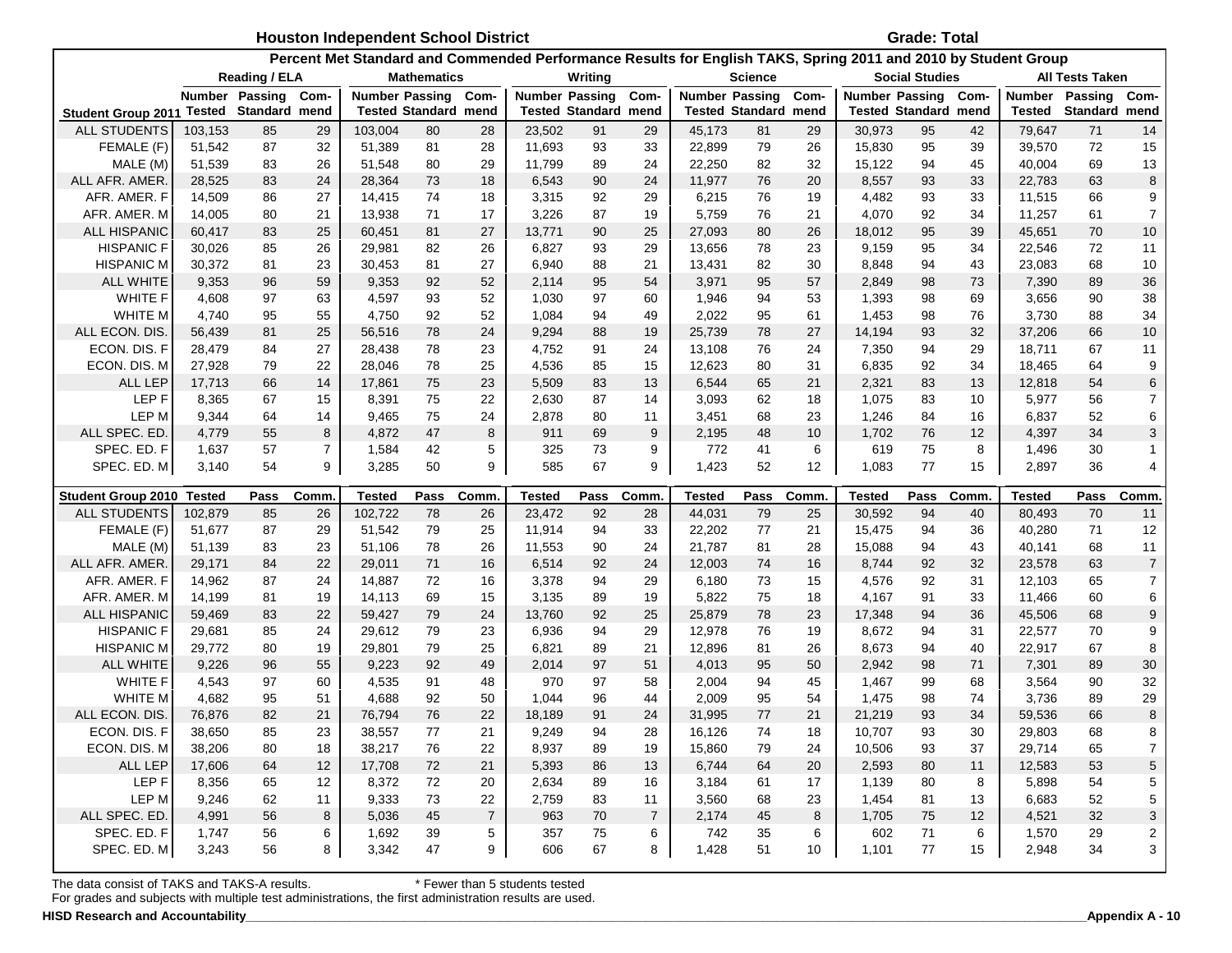|                           |               |                     |                | <b>Houston Independent School District</b> |                             |                |                                                                                                                |         |                |                       |                             |                   |                             | <b>Grade: Total</b>   |                 |               |                 |                           |
|---------------------------|---------------|---------------------|----------------|--------------------------------------------|-----------------------------|----------------|----------------------------------------------------------------------------------------------------------------|---------|----------------|-----------------------|-----------------------------|-------------------|-----------------------------|-----------------------|-----------------|---------------|-----------------|---------------------------|
|                           |               |                     |                |                                            |                             |                | Percent Met Standard and Commended Performance Results for English TAKS, Spring 2011 and 2010 by Student Group |         |                |                       |                             |                   |                             |                       |                 |               |                 |                           |
|                           |               | Reading / ELA       |                |                                            | <b>Mathematics</b>          |                |                                                                                                                | Writing |                |                       | <b>Science</b>              |                   |                             | <b>Social Studies</b> |                 |               | All Tests Taken |                           |
|                           |               | Number Passing Com- |                | <b>Number Passing</b>                      |                             | Com-           | <b>Number Passing</b>                                                                                          |         | Com-           | <b>Number Passing</b> |                             | Com-              | Number Passing Com-         |                       |                 | <b>Number</b> | Passing         | Com-                      |
| <b>Student Group 2011</b> | Tested        | Standard mend       |                |                                            | <b>Tested Standard mend</b> |                | <b>Tested Standard mend</b>                                                                                    |         |                |                       | <b>Tested Standard mend</b> |                   | <b>Tested Standard mend</b> |                       |                 | Tested        | Standard mend   |                           |
| <b>ALL STUDENTS</b>       | 103,153       | 85                  | 29             | 103,004                                    | 80                          | 28             | 23,502                                                                                                         | 91      | 29             | 45,173                | 81                          | 29                | 30,973                      | 95                    | 42              | 79,647        | 71              | 14                        |
| FEMALE (F)                | 51,542        | 87                  | 32             | 51,389                                     | 81                          | 28             | 11,693                                                                                                         | 93      | 33             | 22,899                | 79                          | 26                | 15,830                      | 95                    | 39              | 39,570        | 72              | 15                        |
| MALE (M)                  | 51,539        | 83                  | 26             | 51,548                                     | 80                          | 29             | 11,799                                                                                                         | 89      | 24             | 22,250                | 82                          | 32                | 15,122                      | 94                    | 45              | 40,004        | 69              | 13                        |
| ALL AFR. AMER.            | 28,525        | 83                  | 24             | 28,364                                     | 73                          | 18             | 6,543                                                                                                          | 90      | 24             | 11,977                | 76                          | 20                | 8,557                       | 93                    | 33              | 22,783        | 63              | 8                         |
| AFR. AMER. F              | 14,509        | 86                  | 27             | 14,415                                     | 74                          | 18             | 3,315                                                                                                          | 92      | 29             | 6,215                 | 76                          | 19                | 4,482                       | 93                    | 33              | 11,515        | 66              | 9                         |
| AFR. AMER. M              | 14,005        | 80                  | 21             | 13,938                                     | 71                          | 17             | 3,226                                                                                                          | 87      | 19             | 5,759                 | 76                          | 21                | 4,070                       | 92                    | 34              | 11,257        | 61              | $\overline{7}$            |
| <b>ALL HISPANIC</b>       | 60,417        | 83                  | 25             | 60,451                                     | 81                          | 27             | 13,771                                                                                                         | 90      | 25             | 27,093                | 80                          | 26                | 18,012                      | 95                    | 39              | 45,651        | 70              | 10                        |
| <b>HISPANIC F</b>         | 30,026        | 85                  | 26             | 29,981                                     | 82                          | 26             | 6,827                                                                                                          | 93      | 29             | 13,656                | 78                          | 23                | 9,159                       | 95                    | 34              | 22,546        | 72              | 11                        |
| <b>HISPANIC M</b>         | 30,372        | 81                  | 23             | 30,453                                     | 81                          | 27             | 6,940                                                                                                          | 88      | 21             | 13,431                | 82                          | 30                | 8,848                       | 94                    | 43              | 23,083        | 68              | 10                        |
| <b>ALL WHITE</b>          | 9,353         | 96                  | 59             | 9,353                                      | 92                          | 52             | 2,114                                                                                                          | 95      | 54             | 3,971                 | 95                          | 57                | 2,849                       | 98                    | 73              | 7,390         | 89              | 36                        |
| <b>WHITE F</b>            | 4,608         | 97                  | 63             | 4,597                                      | 93                          | 52             | 1,030                                                                                                          | 97      | 60             | 1,946                 | 94                          | 53                | 1,393                       | 98                    | 69              | 3,656         | 90              | 38                        |
| WHITE M                   | 4,740         | 95                  | 55             | 4,750                                      | 92                          | 52             | 1,084                                                                                                          | 94      | 49             | 2,022                 | 95                          | 61                | 1,453                       | 98                    | 76              | 3,730         | 88              | 34                        |
| ALL ECON. DIS.            | 56,439        | 81                  | 25             | 56,516                                     | 78                          | 24             | 9,294                                                                                                          | 88      | 19             | 25,739                | 78                          | 27                | 14,194                      | 93                    | 32              | 37,206        | 66              | 10                        |
| ECON. DIS. F              | 28,479        | 84                  | 27             | 28,438                                     | 78                          | 23             | 4,752                                                                                                          | 91      | 24             | 13,108                | 76                          | 24                | 7,350                       | 94                    | 29              | 18,711        | 67              | 11                        |
| ECON. DIS. M              | 27,928        | 79                  | 22             | 28,046                                     | 78                          | 25             | 4,536                                                                                                          | 85      | 15             | 12,623                | 80                          | 31                | 6,835                       | 92                    | 34              | 18,465        | 64              | 9                         |
| <b>ALL LEP</b>            | 17,713        | 66                  | 14             | 17,861                                     | 75                          | 23             | 5,509                                                                                                          | 83      | 13             | 6,544                 | 65                          | 21                | 2,321                       | 83                    | 13              | 12,818        | 54              | $6\phantom{1}6$           |
| LEP F                     | 8,365         | 67                  | 15             | 8,391                                      | 75                          | 22             | 2,630                                                                                                          | 87      | 14             | 3,093                 | 62                          | 18                | 1,075                       | 83                    | 10              | 5,977         | 56              | $\overline{7}$            |
| LEP M                     | 9,344         | 64                  | 14             | 9,465                                      | 75                          | 24             | 2,878                                                                                                          | 80      | 11             | 3,451                 | 68                          | 23                | 1,246                       | 84                    | 16              | 6,837         | 52              | 6                         |
| ALL SPEC. ED              | 4,779         | 55                  | 8              | 4,872                                      | 47                          | 8              | 911                                                                                                            | 69      | 9              | 2,195                 | 48                          | 10                | 1,702                       | 76                    | 12 <sup>2</sup> | 4,397         | 34              | 3                         |
| SPEC. ED. F               | 1,637         | 57                  | $\overline{7}$ | 1,584                                      | 42                          | 5              | 325                                                                                                            | 73      | 9              | 772                   | 41                          | 6                 | 619                         | 75                    | 8               | 1,496         | 30              |                           |
| SPEC. ED. M               | 3,140         | 54                  | 9              | 3,285                                      | 50                          | 9              | 585                                                                                                            | 67      | 9              | 1,423                 | 52                          | $12 \overline{ }$ | 1,083                       | 77                    | 15              | 2,897         | 36              | $\overline{4}$            |
| <b>Student Group 2010</b> | <b>Tested</b> | Pass                | Comm           | Tested                                     | Pass                        | Comm.          | Tested                                                                                                         | Pass    | <b>Comm</b>    |                       | Pass                        | Comm.             | Tested                      | Pass                  | Comm.           | Tested        | Pass            | Comm                      |
| <b>ALL STUDENTS</b>       | 102,879       |                     |                |                                            |                             |                |                                                                                                                |         |                |                       |                             |                   |                             |                       |                 |               | 70              |                           |
|                           |               | 85                  | 26             | 102,722                                    | 78                          | 26             | 23,472                                                                                                         | 92      | 28             | Tested<br>44,031      | 79                          | 25                | 30,592                      | 94                    | 40              | 80,493        |                 | 11                        |
| FEMALE (F)                | 51,677        | 87                  | 29             | 51,542                                     | 79                          | 25             | 11,914                                                                                                         | 94      | 33             | 22,202                | 77                          | 21                | 15,475                      | 94                    | 36              | 40,280        | 71              | 12                        |
| MALE (M)                  | 51,139        | 83                  | 23             | 51,106                                     | 78                          | 26             | 11,553                                                                                                         | 90      | 24             | 21,787                | 81                          | 28                | 15,088                      | 94                    | 43              | 40,141        | 68              | 11                        |
| ALL AFR. AMER             | 29,171        | 84                  | 22             | 29,011                                     | 71                          | 16             | 6,514                                                                                                          | 92      | 24             | 12,003                | 74                          | 16                | 8,744                       | 92                    | 32              | 23,578        | 63              | $\overline{7}$            |
| AFR. AMER. F              | 14,962        | 87                  | 24             | 14,887                                     | 72                          | 16             | 3,378                                                                                                          | 94      | 29             | 6,180                 | 73                          | 15                | 4,576                       | 92                    | 31              | 12,103        | 65              | $\overline{7}$            |
| AFR. AMER. M              | 14,199        | 81                  | 19             | 14,113                                     | 69                          | 15             | 3,135                                                                                                          | 89      | 19             | 5,822                 | 75                          | 18                | 4,167                       | 91                    | 33              | 11,466        | 60              | 6                         |
| <b>ALL HISPANIC</b>       | 59,469        | 83                  | 22             | 59,427                                     | 79                          | 24             | 13,760                                                                                                         | 92      | 25             | 25,879                | 78                          | 23                | 17,348                      | 94                    | 36              | 45,506        | 68              | 9                         |
| <b>HISPANIC F</b>         | 29,681        | 85                  | 24             | 29,612                                     | 79                          | 23             | 6,936                                                                                                          | 94      | 29             | 12,978                | 76                          | 19                | 8,672                       | 94                    | 31              | 22,577        | 70              | 9                         |
| <b>HISPANIC M</b>         | 29,772        | 80                  | 19             | 29,801                                     | 79                          | 25             | 6,821                                                                                                          | 89      | 21             | 12,896                | 81                          | 26                | 8,673                       | 94                    | 40              | 22,917        | 67              | 8                         |
| <b>ALL WHITE</b>          | 9,226         | 96                  | 55             | 9,223                                      | 92                          | 49             | 2,014                                                                                                          | 97      | 51             | 4,013                 | 95                          | 50                | 2,942                       | 98                    | 71              | 7,301         | 89              | 30                        |
| <b>WHITE F</b>            | 4,543         | 97                  | 60             | 4,535                                      | 91                          | 48             | 970                                                                                                            | 97      | 58             | 2,004                 | 94                          | 45                | 1,467                       | 99                    | 68              | 3,564         | 90              | 32                        |
| WHITE M                   | 4,682         | 95                  | 51             | 4,688                                      | 92                          | 50             | 1,044                                                                                                          | 96      | 44             | 2,009                 | 95                          | 54                | 1,475                       | 98                    | 74              | 3,736         | 89              | 29                        |
| ALL ECON. DIS.            | 76,876        | 82                  | 21             | 76,794                                     | 76                          | 22             | 18,189                                                                                                         | 91      | 24             | 31,995                | 77                          | 21                | 21,219                      | 93                    | 34              | 59,536        | 66              | 8                         |
| ECON. DIS. F              | 38,650        | 85                  | 23             | 38,557                                     | 77                          | 21             | 9,249                                                                                                          | 94      | 28             | 16,126                | 74                          | 18                | 10,707                      | 93                    | 30              | 29,803        | 68              | 8                         |
| ECON. DIS. M              | 38,206        | 80                  | 18             | 38,217                                     | ${\bf 76}$                  | 22             | 8,937                                                                                                          | 89      | 19             | 15,860                | 79                          | 24                | 10,506                      | 93                    | 37              | 29,714        | 65              | $\boldsymbol{7}$          |
| ALL LEP                   | 17,606        | 64                  | 12             | 17,708                                     | $72\,$                      | 21             | 5,393                                                                                                          | 86      | 13             | 6,744                 | 64                          | 20                | 2,593                       | 80                    | 11              | 12,583        | 53              |                           |
| LEP F                     | 8,356         | 65                  | 12             | 8,372                                      | $72\,$                      | 20             | 2,634                                                                                                          | 89      | 16             | 3,184                 | 61                          | 17                | 1,139                       | 80                    | 8               | 5,898         | 54              | 5<br>5                    |
| LEP M                     | 9,246         | 62                  | 11             | 9,333                                      | $73\,$                      | 22             | 2,759                                                                                                          | 83      | 11             | 3,560                 | 68                          | 23                | 1,454                       | 81                    | 13              | 6,683         | 52              | 5                         |
| ALL SPEC. ED.             | 4,991         | 56                  | 8              | 5,036                                      | 45                          | $\overline{7}$ | 963                                                                                                            | 70      | $\overline{7}$ | 2,174                 | 45                          | 8                 | 1,705                       | 75                    | 12              | 4,521         | 32              | $\ensuremath{\mathsf{3}}$ |
| SPEC. ED. F               | 1,747         | 56                  | 6              | 1,692                                      | 39                          | 5              | 357                                                                                                            | 75      | 6              | 742                   | 35                          | 6                 | 602                         | 71                    | 6               | 1,570         | 29              | $\overline{\mathbf{c}}$   |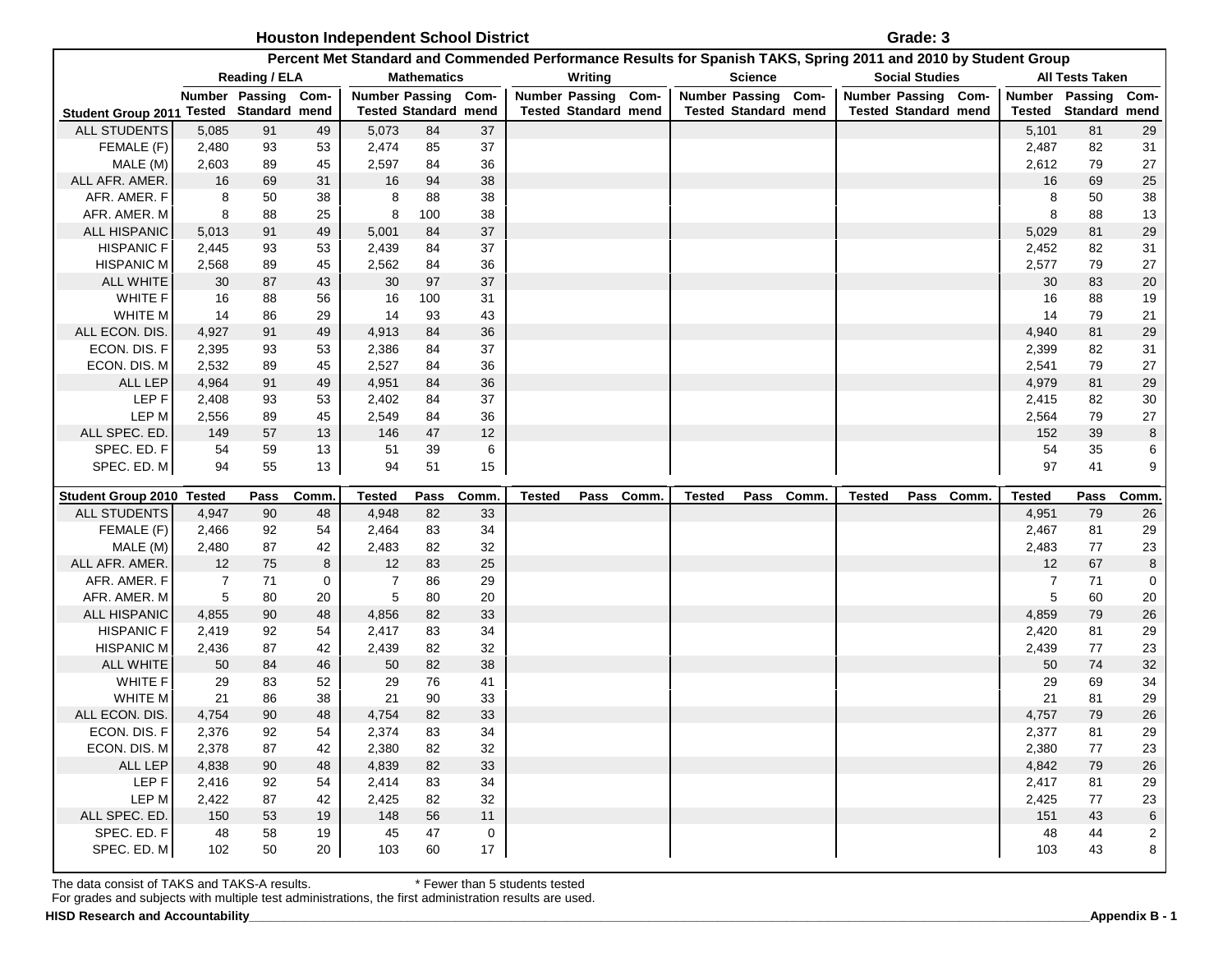| Houston Independent School District | Grade: 3 |
|-------------------------------------|----------|
|-------------------------------------|----------|

|                                         |                      |                      |          |                             |                    |                 | Percent Met Standard and Commended Performance Results for Spanish TAKS, Spring 2011 and 2010 by Student Group |            |      |                             |                |            |                             |                       |            |                     |                        |                |
|-----------------------------------------|----------------------|----------------------|----------|-----------------------------|--------------------|-----------------|----------------------------------------------------------------------------------------------------------------|------------|------|-----------------------------|----------------|------------|-----------------------------|-----------------------|------------|---------------------|------------------------|----------------|
|                                         |                      | <b>Reading / ELA</b> |          |                             | <b>Mathematics</b> |                 |                                                                                                                | Writing    |      |                             | <b>Science</b> |            |                             | <b>Social Studies</b> |            |                     | <b>All Tests Taken</b> |                |
|                                         |                      | Number Passing Com-  |          | <b>Number Passing</b>       |                    | Com-            | <b>Number Passing</b>                                                                                          |            | Com- | Number Passing Com-         |                |            | Number Passing Com-         |                       |            | Number Passing Com- |                        |                |
| Student Group 2011 Tested Standard mend |                      |                      |          | <b>Tested Standard mend</b> |                    |                 | <b>Tested Standard mend</b>                                                                                    |            |      | <b>Tested Standard mend</b> |                |            | <b>Tested Standard mend</b> |                       |            | Tested              | Standard mend          |                |
| ALL STUDENTS                            | 5,085                | 91                   | 49       | 5,073                       | 84                 | 37              |                                                                                                                |            |      |                             |                |            |                             |                       |            | 5,101               | 81                     | 29             |
| FEMALE (F)                              | 2,480                | 93                   | 53       | 2,474                       | 85                 | 37              |                                                                                                                |            |      |                             |                |            |                             |                       |            | 2,487               | 82                     | 31             |
| MALE (M)                                | 2,603                | 89                   | 45       | 2,597                       | 84                 | 36              |                                                                                                                |            |      |                             |                |            |                             |                       |            | 2,612               | 79                     | 27             |
| ALL AFR. AMER.                          | 16                   | 69                   | 31       | 16                          | 94                 | 38              |                                                                                                                |            |      |                             |                |            |                             |                       |            | 16                  | 69                     | 25             |
| AFR. AMER. F                            | 8                    | 50                   | 38       | 8                           | 88                 | 38              |                                                                                                                |            |      |                             |                |            |                             |                       |            | 8                   | 50                     | 38             |
| AFR. AMER. M                            | 8                    | 88                   | 25       | 8                           | 100                | 38              |                                                                                                                |            |      |                             |                |            |                             |                       |            | 8                   | 88                     | 13             |
| <b>ALL HISPANIC</b>                     | 5,013                | 91                   | 49       | 5,001                       | 84                 | 37              |                                                                                                                |            |      |                             |                |            |                             |                       |            | 5,029               | 81                     | 29             |
| <b>HISPANIC F</b>                       | 2,445                | 93                   | 53       | 2,439                       | 84                 | 37              |                                                                                                                |            |      |                             |                |            |                             |                       |            | 2,452               | 82                     | 31             |
| <b>HISPANIC M</b>                       | 2,568                | 89                   | 45       | 2,562                       | 84                 | 36              |                                                                                                                |            |      |                             |                |            |                             |                       |            | 2,577               | 79                     | 27             |
| <b>ALL WHITE</b>                        | 30                   | 87                   | 43       | 30                          | 97                 | 37              |                                                                                                                |            |      |                             |                |            |                             |                       |            | 30                  | 83                     | 20             |
| WHITE F                                 | 16                   | 88                   | 56       | 16                          | 100                | 31              |                                                                                                                |            |      |                             |                |            |                             |                       |            | 16                  | 88                     | 19             |
| WHITE M                                 | 14                   | 86                   | 29       | 14                          | 93                 | 43              |                                                                                                                |            |      |                             |                |            |                             |                       |            | 14                  | 79                     | 21             |
| ALL ECON. DIS.                          | 4,927                | 91                   | 49       | 4,913                       | 84                 | 36              |                                                                                                                |            |      |                             |                |            |                             |                       |            | 4,940               | 81                     | 29             |
| ECON. DIS. F                            | 2,395                | 93                   | 53       | 2,386                       | 84                 | 37              |                                                                                                                |            |      |                             |                |            |                             |                       |            | 2,399               | 82                     | 31             |
| ECON. DIS. M                            | 2,532                | 89                   | 45       | 2,527                       | 84                 | 36              |                                                                                                                |            |      |                             |                |            |                             |                       |            | 2,541               | 79                     | 27             |
| ALL LEP                                 | 4,964                | 91                   | 49       | 4,951                       | 84                 | 36              |                                                                                                                |            |      |                             |                |            |                             |                       |            | 4,979               | 81                     | 29             |
| LEP F                                   | 2,408                | 93                   | 53       | 2,402                       | 84                 | 37              |                                                                                                                |            |      |                             |                |            |                             |                       |            | 2,415               | 82                     | 30             |
| LEP M                                   | 2,556                | 89                   | 45       | 2,549                       | 84                 | 36              |                                                                                                                |            |      |                             |                |            |                             |                       |            | 2,564               | 79                     | 27             |
| ALL SPEC. ED.                           | 149                  | 57                   | 13       | 146                         | 47                 | 12              |                                                                                                                |            |      |                             |                |            |                             |                       |            | 152                 | 39                     | 8              |
| SPEC. ED. F                             | 54                   | 59                   | 13       | 51                          | 39                 | 6               |                                                                                                                |            |      |                             |                |            |                             |                       |            | 54                  | 35                     | 6              |
| SPEC. ED. M                             | 94                   | 55                   | 13       | 94                          | 51                 | 15              |                                                                                                                |            |      |                             |                |            |                             |                       |            | 97                  | 41                     | 9              |
| Student Group 2010 Tested               |                      | Pass                 | Comm     | <b>Tested</b>               | Pass               | Comm.           | <b>Tested</b>                                                                                                  | Pass Comm. |      | <b>Tested</b>               |                | Pass Comm. | <b>Tested</b>               |                       | Pass Comm. | <b>Tested</b>       | Pass                   | Comm           |
| ALL STUDENTS                            | 4,947                | 90                   | 48       | 4,948                       | 82                 | 33              |                                                                                                                |            |      |                             |                |            |                             |                       |            | 4,951               | 79                     | 26             |
| FEMALE (F)                              |                      |                      |          |                             |                    |                 |                                                                                                                |            |      |                             |                |            |                             |                       |            |                     |                        |                |
|                                         |                      |                      |          |                             |                    |                 |                                                                                                                |            |      |                             |                |            |                             |                       |            |                     |                        |                |
|                                         | 2,466                | 92                   | 54       | 2,464                       | 83                 | 34              |                                                                                                                |            |      |                             |                |            |                             |                       |            | 2,467               | 81<br>77               | 29             |
| MALE (M)                                | 2,480                | 87                   | 42       | 2,483                       | 82                 | 32              |                                                                                                                |            |      |                             |                |            |                             |                       |            | 2,483<br>12         |                        | 23             |
| ALL AFR. AMER.                          | 12<br>$\overline{7}$ | 75                   | 8<br>0   | 12<br>$\overline{7}$        | 83<br>86           | 25              |                                                                                                                |            |      |                             |                |            |                             |                       |            | 7                   | 67<br>71               | 8              |
| AFR. AMER. F<br>AFR. AMER. M            | 5                    | 71<br>80             | 20       | 5                           | 80                 | 29              |                                                                                                                |            |      |                             |                |            |                             |                       |            | 5                   | 60                     | 0              |
| <b>ALL HISPANIC</b>                     | 4,855                |                      | 48       | 4,856                       |                    | 20              |                                                                                                                |            |      |                             |                |            |                             |                       |            | 4,859               |                        | 20             |
| <b>HISPANIC F</b>                       | 2,419                | 90<br>92             | 54       | 2,417                       | 82<br>83           | 33<br>34        |                                                                                                                |            |      |                             |                |            |                             |                       |            | 2,420               | 79<br>81               | 26             |
| <b>HISPANIC M</b>                       |                      | 87                   | 42       |                             | 82                 | 32              |                                                                                                                |            |      |                             |                |            |                             |                       |            |                     | 77                     | 29<br>23       |
| <b>ALL WHITE</b>                        | 2,436                | 84                   |          | 2,439<br>50                 | 82                 |                 |                                                                                                                |            |      |                             |                |            |                             |                       |            | 2,439<br>50         | 74                     |                |
| <b>WHITE F</b>                          | 50<br>29             | 83                   | 46<br>52 | 29                          | 76                 | 38<br>41        |                                                                                                                |            |      |                             |                |            |                             |                       |            | 29                  | 69                     | $32\,$         |
| WHITE M                                 | 21                   | 86                   | 38       | 21                          | 90                 | 33              |                                                                                                                |            |      |                             |                |            |                             |                       |            | 21                  | 81                     | 34<br>29       |
| ALL ECON. DIS.                          | 4,754                | 90                   | 48       | 4,754                       | 82                 | 33              |                                                                                                                |            |      |                             |                |            |                             |                       |            | 4,757               | 79                     | 26             |
| ECON. DIS. F                            | 2,376                | 92                   | 54       | 2,374                       | 83                 | 34              |                                                                                                                |            |      |                             |                |            |                             |                       |            | 2,377               | 81                     | 29             |
| ECON. DIS. M                            | 2,378                | 87                   | 42       | 2,380                       | 82                 | 32              |                                                                                                                |            |      |                             |                |            |                             |                       |            | 2,380               | 77                     | 23             |
| ALL LEP                                 | 4,838                | 90                   | 48       | 4,839                       | 82                 | 33              |                                                                                                                |            |      |                             |                |            |                             |                       |            | 4,842               | 79                     | 26             |
| LEP F                                   | 2,416                | 92                   | 54       | 2,414                       | 83                 | 34              |                                                                                                                |            |      |                             |                |            |                             |                       |            | 2,417               | 81                     | 29             |
| LEP M                                   | 2,422                | 87                   | 42       | 2,425                       | 82                 | 32              |                                                                                                                |            |      |                             |                |            |                             |                       |            | 2,425               | 77                     | 23             |
| ALL SPEC. ED.                           | 150                  | 53                   | 19       | 148                         | 56                 | 11              |                                                                                                                |            |      |                             |                |            |                             |                       |            | 151                 | 43                     | 6              |
| SPEC. ED. F                             | 48                   | 58                   | 19       | 45                          | 47                 | $\mathbf 0$     |                                                                                                                |            |      |                             |                |            |                             |                       |            | 48                  | 44                     | $\overline{c}$ |
| SPEC. ED. M                             | 102                  | 50                   | 20       | 103                         | 60                 | 17 <sup>7</sup> |                                                                                                                |            |      |                             |                |            |                             |                       |            | 103                 | 43                     | 8              |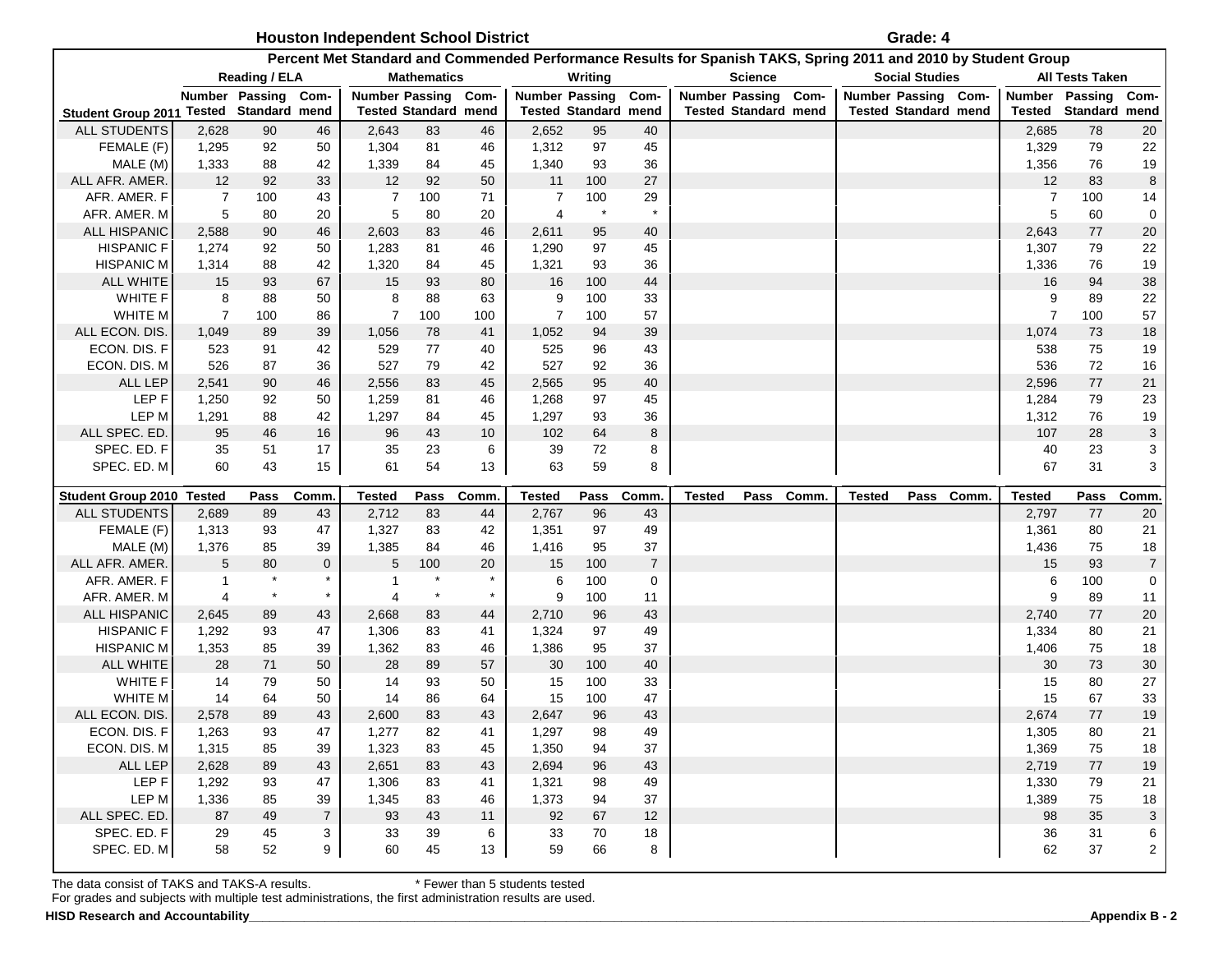| <b>Houston Independent School District</b> | Grade: 4 |
|--------------------------------------------|----------|
|--------------------------------------------|----------|

|                                        |                |                             |                |                |                             |          |                       |                             |                  | Percent Met Standard and Commended Performance Results for Spanish TAKS, Spring 2011 and 2010 by Student Group |                             |           |               |                             |                |                        |                |
|----------------------------------------|----------------|-----------------------------|----------------|----------------|-----------------------------|----------|-----------------------|-----------------------------|------------------|----------------------------------------------------------------------------------------------------------------|-----------------------------|-----------|---------------|-----------------------------|----------------|------------------------|----------------|
|                                        |                | Reading / ELA               |                |                | <b>Mathematics</b>          |          |                       | Writing                     |                  |                                                                                                                | <b>Science</b>              |           |               | <b>Social Studies</b>       |                | <b>All Tests Taken</b> |                |
|                                        |                | Number Passing              | Com-           |                | <b>Number Passing</b>       | Com-     | <b>Number Passing</b> |                             | Com-             |                                                                                                                | <b>Number Passing</b>       | Com-      |               | Number Passing Com-         | Number         | Passing                | Com-           |
| <b>Student Group 2011</b>              |                | <b>Tested Standard mend</b> |                |                | <b>Tested Standard mend</b> |          |                       | <b>Tested Standard mend</b> |                  |                                                                                                                | <b>Tested Standard mend</b> |           |               | <b>Tested Standard mend</b> | Tested         | Standard mend          |                |
| <b>ALL STUDENTS</b>                    | 2,628          | 90                          | 46             | 2,643          | 83                          | 46       | 2,652                 | 95                          | 40               |                                                                                                                |                             |           |               |                             | 2,685          | 78                     | 20             |
| FEMALE (F)                             | 1,295          | 92                          | 50             | 1,304          | 81                          | 46       | 1,312                 | 97                          | 45               |                                                                                                                |                             |           |               |                             | 1,329          | 79                     | 22             |
| MALE (M)                               | 1,333          | 88                          | 42             | 1,339          | 84                          | 45       | 1,340                 | 93                          | 36               |                                                                                                                |                             |           |               |                             | 1,356          | 76                     | 19             |
| ALL AFR. AMER.                         | 12             | 92                          | 33             | 12             | 92                          | 50       | 11                    | 100                         | 27               |                                                                                                                |                             |           |               |                             | 12             | 83                     | $\,8\,$        |
| AFR. AMER. F                           | $\overline{7}$ | 100                         | 43             | 7              | 100                         | 71       | 7                     | 100                         | 29               |                                                                                                                |                             |           |               |                             | 7              | 100                    | 14             |
| AFR. AMER. M                           | 5              | 80                          | 20             | 5              | 80                          | 20       | 4                     | $^\star$                    | $\star$          |                                                                                                                |                             |           |               |                             | 5              | 60                     | 0              |
| <b>ALL HISPANIC</b>                    | 2,588          | 90                          | 46             | 2,603          | 83                          | 46       | 2,611                 | 95                          | 40               |                                                                                                                |                             |           |               |                             | 2,643          | 77                     | 20             |
| <b>HISPANIC F</b>                      | 1,274          | 92                          | 50             | 1,283          | 81                          | 46       | 1,290                 | 97                          | 45               |                                                                                                                |                             |           |               |                             | 1,307          | 79                     | 22             |
| <b>HISPANIC M</b>                      | 1,314          | 88                          | 42             | 1,320          | 84                          | 45       | 1,321                 | 93                          | 36               |                                                                                                                |                             |           |               |                             | 1,336          | 76                     | 19             |
| <b>ALL WHITE</b>                       | 15             | 93                          | 67             | 15             | 93                          | 80       | 16                    | 100                         | 44               |                                                                                                                |                             |           |               |                             | 16             | 94                     | 38             |
| WHITE F                                | 8              | 88                          | 50             | 8              | 88                          | 63       | 9                     | 100                         | 33               |                                                                                                                |                             |           |               |                             | 9              | 89                     | 22             |
| WHITE M                                | 7              | 100                         | 86             | $\overline{7}$ | 100                         | 100      | 7                     | 100                         | 57               |                                                                                                                |                             |           |               |                             | $\overline{7}$ | 100                    | 57             |
| ALL ECON. DIS                          | 1,049          | 89                          | 39             | 1,056          | 78                          | 41       | 1,052                 | 94                          | 39               |                                                                                                                |                             |           |               |                             | 1,074          | 73                     | 18             |
| ECON. DIS. F                           | 523            | 91                          | 42             | 529            | 77                          | 40       | 525                   | 96                          | 43               |                                                                                                                |                             |           |               |                             | 538            | 75                     | 19             |
| ECON, DIS, M                           | 526            | 87                          | 36             | 527            | 79                          | 42       | 527                   | 92                          | 36               |                                                                                                                |                             |           |               |                             | 536            | 72                     | 16             |
| <b>ALL LEP</b>                         | 2,541          | 90                          | 46             | 2,556          | 83                          | 45       | 2,565                 | 95                          | 40               |                                                                                                                |                             |           |               |                             | 2,596          | 77                     | 21             |
| LEP F                                  | 1,250          | 92                          | 50             | 1,259          | 81                          | 46       | 1,268                 | 97                          | 45               |                                                                                                                |                             |           |               |                             | 1,284          | 79                     | 23             |
| LEP M                                  | 1,291          | 88                          | 42             | 1,297          | 84                          | 45       | 1,297                 | 93                          | 36               |                                                                                                                |                             |           |               |                             | 1,312          | 76                     | 19             |
| ALL SPEC. ED.                          | 95             | 46                          | 16             | 96             | 43                          | 10       | 102                   | 64                          | 8                |                                                                                                                |                             |           |               |                             | 107            | 28                     | $\mathbf{3}$   |
| SPEC. ED. F                            | 35             | 51                          | 17             | 35             | 23                          | 6        | 39                    | 72                          | 8                |                                                                                                                |                             |           |               |                             | 40             | 23                     | 3              |
|                                        |                |                             |                |                |                             |          |                       |                             |                  |                                                                                                                |                             |           |               |                             |                |                        |                |
| SPEC. ED. M                            | 60             | 43                          | 15             | 61             | 54                          | 13       | 63                    | 59                          | 8                |                                                                                                                |                             |           |               |                             | 67             | 31                     | 3              |
|                                        |                |                             |                |                |                             |          |                       |                             |                  |                                                                                                                |                             |           |               |                             |                |                        |                |
| Student Group 2010 Tested              |                | Pass                        | Comm.          | <b>Tested</b>  | Pass                        | Comm.    | <b>Tested</b>         | Pass                        | <b>Comm</b>      | <b>Tested</b>                                                                                                  |                             | Pass Comm | <b>Tested</b> | Pass Comm.                  | <b>Tested</b>  | Pass                   | Comm.          |
| <b>ALL STUDENTS</b>                    | 2,689          | 89                          | 43<br>47       | 2,712          | 83                          | 44       | 2,767                 | 96                          | 43               |                                                                                                                |                             |           |               |                             | 2,797          | 77                     | 20             |
| FEMALE (F)                             | 1,313          | 93                          |                | 1,327          | 83                          | 42       | 1,351                 | 97                          | 49               |                                                                                                                |                             |           |               |                             | 1,361          | 80                     | 21             |
| MALE (M)                               | 1,376          | 85                          | 39             | 1,385          | 84                          | 46       | 1,416                 | 95                          | 37               |                                                                                                                |                             |           |               |                             | 1,436          | 75                     | 18             |
| ALL AFR. AMER.                         | 5              | 80                          | $\mathbf 0$    | 5              | 100                         | 20       | 15                    | 100                         | $\boldsymbol{7}$ |                                                                                                                |                             |           |               |                             | 15             | 93                     | $\overline{7}$ |
| AFR. AMER. F<br>AFR. AMER. M           | $\overline{4}$ |                             | $\star$        | 4              | $\star$                     | $\star$  | 6<br>9                | 100<br>100                  | 0<br>11          |                                                                                                                |                             |           |               |                             | 6<br>9         | 100                    | 0              |
|                                        |                |                             |                |                |                             | 44       |                       |                             |                  |                                                                                                                |                             |           |               |                             |                | 89                     | 11             |
| <b>ALL HISPANIC</b>                    | 2,645          | 89                          | 43<br>47       | 2,668          | 83                          | 41       | 2,710                 | 96                          | 43               |                                                                                                                |                             |           |               |                             | 2,740          | 77                     | 20             |
| <b>HISPANIC F</b><br><b>HISPANIC M</b> | 1,292          | 93                          | 39             | 1,306          | 83                          | 46       | 1,324                 | 97<br>95                    | 49<br>37         |                                                                                                                |                             |           |               |                             | 1,334          | 80                     | 21             |
|                                        | 1,353          | 85                          |                | 1,362          | 83                          |          | 1,386                 |                             |                  |                                                                                                                |                             |           |               |                             | 1,406          | 75                     | 18             |
| <b>ALL WHITE</b>                       | 28             | 71                          | 50             | 28             | 89                          | 57<br>50 | 30                    | 100<br>100                  | 40               |                                                                                                                |                             |           |               |                             | 30             | 73                     | $30\,$         |
| WHITE F                                | 14<br>14       | 79<br>64                    | 50<br>50       | 14<br>14       | 93<br>86                    | 64       | 15<br>15              | 100                         | 33<br>47         |                                                                                                                |                             |           |               |                             | 15<br>15       | 80<br>67               | 27             |
| WHITE M                                | 2,578          |                             |                | 2,600          |                             | 43       | 2,647                 | 96                          |                  |                                                                                                                |                             |           |               |                             | 2,674          |                        | 33             |
| ALL ECON. DIS<br>ECON. DIS. F          | 1,263          | 89<br>93                    | 43<br>47       | 1,277          | 83<br>82                    | 41       | 1,297                 | 98                          | 43<br>49         |                                                                                                                |                             |           |               |                             | 1,305          | 77<br>80               | 19<br>21       |
| ECON. DIS. M                           |                | 85                          |                |                |                             |          |                       | 94                          | 37               |                                                                                                                |                             |           |               |                             |                |                        | 18             |
| ALL LEP                                | 1,315<br>2,628 | 89                          | 39<br>43       | 1,323<br>2,651 | 83<br>83                    | 45<br>43 | 1,350                 | 96                          | 43               |                                                                                                                |                             |           |               |                             | 1,369          | 75<br>77               |                |
| LEP F                                  |                | 93                          | 47             |                | 83                          | 41       | 2,694                 | 98                          | 49               |                                                                                                                |                             |           |               |                             | 2,719          | 79                     | $19$           |
| LEP M                                  | 1,292<br>1,336 |                             | 39             | 1,306          | 83                          | 46       | 1,321                 | 94                          | 37               |                                                                                                                |                             |           |               |                             | 1,330          | 75                     | 21             |
| ALL SPEC. ED.                          | 87             | 85<br>49                    | $\overline{7}$ | 1,345<br>93    | 43                          | 11       | 1,373<br>92           | 67                          | 12               |                                                                                                                |                             |           |               |                             | 1,389<br>98    | 35                     | 18<br>3        |
| SPEC. ED. F                            | 29             | 45                          | 3              | 33             | 39                          | 6        | 33                    | 70                          | 18               |                                                                                                                |                             |           |               |                             | 36             | 31                     | 6              |
| SPEC. ED. M                            | 58             | 52                          | $9 \mid$       | 60             | 45                          | 13       | 59                    | 66                          | 8                |                                                                                                                |                             |           |               |                             | 62             | 37                     | $\overline{c}$ |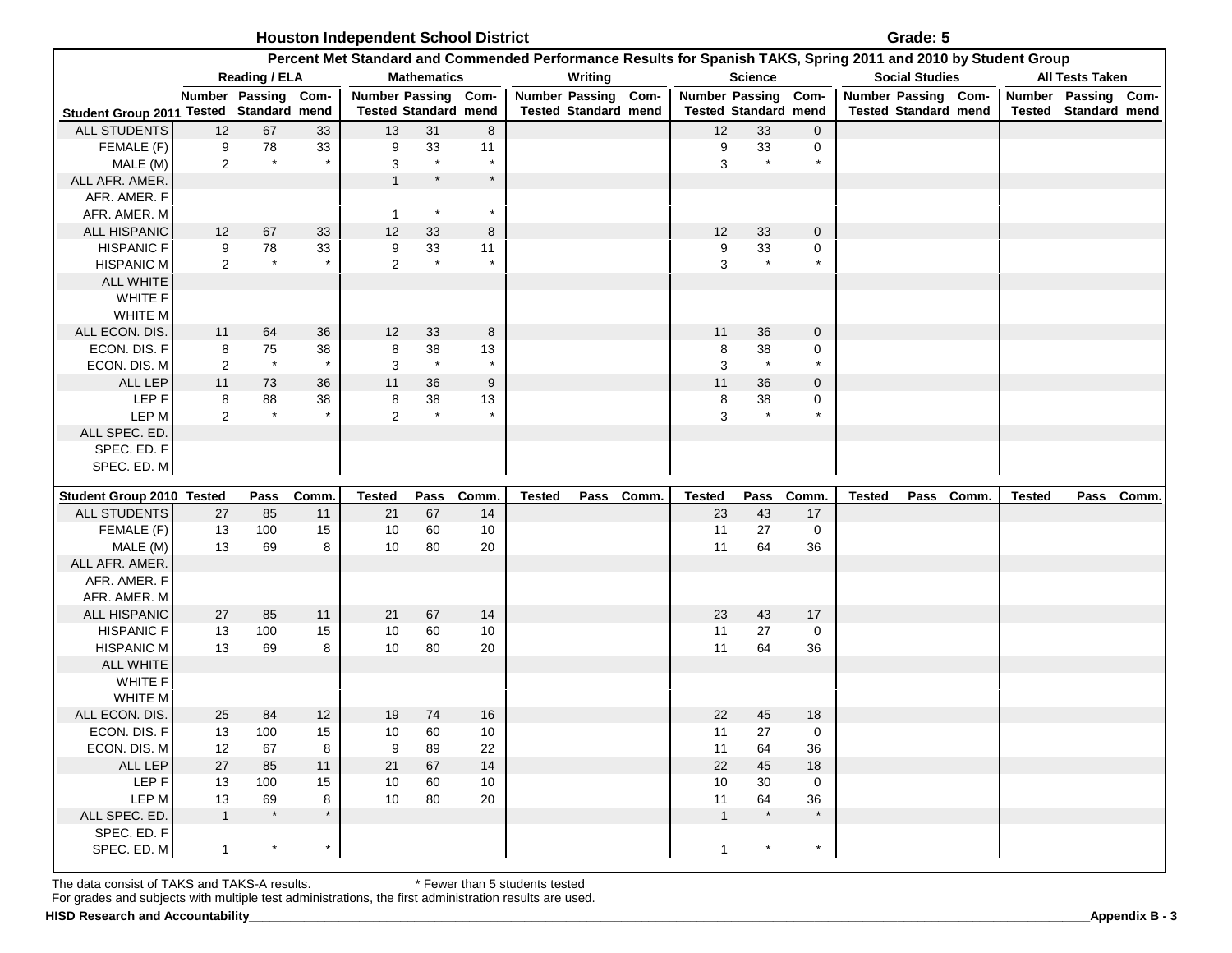| <b>Houston Independent School District</b> | Grade: 5 |
|--------------------------------------------|----------|
|--------------------------------------------|----------|

|                                         |                      |                     |               | Percent Met Standard and Commended Performance Results for Spanish TAKS, Spring 2011 and 2010 by Student Group |                       |               |                     |                             |                       |                             |                   |                     |                             |            |                     |                             |           |
|-----------------------------------------|----------------------|---------------------|---------------|----------------------------------------------------------------------------------------------------------------|-----------------------|---------------|---------------------|-----------------------------|-----------------------|-----------------------------|-------------------|---------------------|-----------------------------|------------|---------------------|-----------------------------|-----------|
|                                         |                      | Reading / ELA       |               |                                                                                                                | <b>Mathematics</b>    |               |                     | Writing                     |                       | <b>Science</b>              |                   |                     | <b>Social Studies</b>       |            |                     | <b>All Tests Taken</b>      |           |
|                                         |                      | Number Passing Com- |               | Number Passing Com-                                                                                            |                       |               | Number Passing Com- |                             | <b>Number Passing</b> |                             | Com-              | Number Passing Com- |                             |            | Number Passing Com- |                             |           |
| Student Group 2011 Tested Standard mend |                      |                     |               | <b>Tested Standard mend</b>                                                                                    |                       |               |                     | <b>Tested Standard mend</b> |                       | <b>Tested Standard mend</b> |                   |                     | <b>Tested Standard mend</b> |            |                     | <b>Tested Standard mend</b> |           |
| <b>ALL STUDENTS</b>                     | 12                   | 67                  | 33            | 13                                                                                                             | 31                    | 8             |                     |                             | 12                    | 33                          | $\mathbf 0$       |                     |                             |            |                     |                             |           |
| FEMALE (F)                              | 9                    | 78<br>$\star$       | 33            | 9                                                                                                              | 33<br>$\star$         | 11            |                     |                             | 9                     | 33<br>$\star$               | 0                 |                     |                             |            |                     |                             |           |
| MALE (M)<br>ALL AFR. AMER.              | $\overline{2}$       |                     |               | 3<br>$\mathbf{1}$                                                                                              | $\star$               | $\star$       |                     |                             | 3                     |                             |                   |                     |                             |            |                     |                             |           |
| AFR. AMER. F                            |                      |                     |               |                                                                                                                |                       |               |                     |                             |                       |                             |                   |                     |                             |            |                     |                             |           |
| AFR. AMER. M                            |                      |                     |               | $\mathbf{1}$                                                                                                   | $\star$               |               |                     |                             |                       |                             |                   |                     |                             |            |                     |                             |           |
| ALL HISPANIC                            | 12                   | 67                  | 33            | 12                                                                                                             | 33                    | 8             |                     |                             | 12                    | 33                          | $\mathbf 0$       |                     |                             |            |                     |                             |           |
| <b>HISPANIC F</b>                       | 9                    | 78                  | 33            | 9                                                                                                              | 33                    | 11            |                     |                             | 9                     | 33                          | 0                 |                     |                             |            |                     |                             |           |
| <b>HISPANIC M</b>                       | $\overline{2}$       | $\star$             |               | $\overline{2}$                                                                                                 | $\;\;$ $\;\;$         |               |                     |                             | 3                     | $\star$                     | $\star$           |                     |                             |            |                     |                             |           |
| <b>ALL WHITE</b>                        |                      |                     |               |                                                                                                                |                       |               |                     |                             |                       |                             |                   |                     |                             |            |                     |                             |           |
| WHITE F                                 |                      |                     |               |                                                                                                                |                       |               |                     |                             |                       |                             |                   |                     |                             |            |                     |                             |           |
| WHITE M                                 |                      |                     |               |                                                                                                                |                       |               |                     |                             |                       |                             |                   |                     |                             |            |                     |                             |           |
| ALL ECON. DIS.                          | 11                   | 64                  | $36\,$        | 12                                                                                                             | 33                    | $\bf8$        |                     |                             | 11                    | 36                          | $\mathbf 0$       |                     |                             |            |                     |                             |           |
| ECON. DIS. F                            | 8                    | 75<br>$\star$       | 38<br>$\star$ | 8                                                                                                              | 38<br>$\quad$ $\star$ | 13<br>$\star$ |                     |                             | 8                     | 38<br>$\;\;$ $\star$        | 0<br>$\star$      |                     |                             |            |                     |                             |           |
| ECON. DIS. M<br>ALL LEP                 | $\overline{2}$<br>11 | 73                  |               | 3<br>11                                                                                                        | 36                    | 9             |                     |                             | 3<br>11               | 36                          | $\mathbf 0$       |                     |                             |            |                     |                             |           |
| LEP F                                   | 8                    | 88                  | 36<br>38      | 8                                                                                                              | 38                    | 13            |                     |                             | 8                     | 38                          | 0                 |                     |                             |            |                     |                             |           |
| LEP M                                   | $\overline{2}$       | $\star$             |               | $\overline{2}$                                                                                                 | $\star$               |               |                     |                             | 3                     | $\star$                     |                   |                     |                             |            |                     |                             |           |
| ALL SPEC. ED.                           |                      |                     |               |                                                                                                                |                       |               |                     |                             |                       |                             |                   |                     |                             |            |                     |                             |           |
| SPEC. ED. F                             |                      |                     |               |                                                                                                                |                       |               |                     |                             |                       |                             |                   |                     |                             |            |                     |                             |           |
|                                         |                      |                     |               |                                                                                                                |                       |               |                     |                             |                       |                             |                   |                     |                             |            |                     |                             |           |
| SPEC. ED. M                             |                      |                     |               |                                                                                                                |                       |               |                     |                             |                       |                             |                   |                     |                             |            |                     |                             |           |
|                                         |                      |                     |               |                                                                                                                |                       |               |                     |                             |                       |                             |                   |                     |                             |            |                     |                             |           |
| Student Group 2010 Tested               |                      | Pass                | Comm.         | <b>Tested</b>                                                                                                  | Pass                  | Comm.         | <b>Tested</b>       | Pass Comm.                  | <b>Tested</b>         | Pass                        | Comm.             | <b>Tested</b>       |                             | Pass Comm. | <b>Tested</b>       |                             | Pass Comm |
| ALL STUDENTS                            | 27                   | 85                  | 11            | 21                                                                                                             | 67                    | 14            |                     |                             | 23                    | 43                          | 17                |                     |                             |            |                     |                             |           |
| FEMALE (F)                              | 13<br>13             | 100<br>69           | 15<br>8       | 10<br>10                                                                                                       | 60<br>80              | 10<br>20      |                     |                             | 11<br>11              | 27<br>64                    | $\mathbf 0$<br>36 |                     |                             |            |                     |                             |           |
| MALE (M)<br>ALL AFR. AMER.              |                      |                     |               |                                                                                                                |                       |               |                     |                             |                       |                             |                   |                     |                             |            |                     |                             |           |
| AFR. AMER. F                            |                      |                     |               |                                                                                                                |                       |               |                     |                             |                       |                             |                   |                     |                             |            |                     |                             |           |
| AFR. AMER. M                            |                      |                     |               |                                                                                                                |                       |               |                     |                             |                       |                             |                   |                     |                             |            |                     |                             |           |
| ALL HISPANIC                            | 27                   | 85                  | 11            | 21                                                                                                             | 67                    | 14            |                     |                             | 23                    | 43                          | 17                |                     |                             |            |                     |                             |           |
| <b>HISPANIC F</b>                       | 13                   | 100                 | 15            | 10                                                                                                             | 60                    | 10            |                     |                             | 11                    | 27                          | $\mathbf 0$       |                     |                             |            |                     |                             |           |
| <b>HISPANIC M</b>                       | 13                   | 69                  | 8             | 10                                                                                                             | 80                    | 20            |                     |                             | 11                    | 64                          | 36                |                     |                             |            |                     |                             |           |
| <b>ALL WHITE</b>                        |                      |                     |               |                                                                                                                |                       |               |                     |                             |                       |                             |                   |                     |                             |            |                     |                             |           |
| WHITE F                                 |                      |                     |               |                                                                                                                |                       |               |                     |                             |                       |                             |                   |                     |                             |            |                     |                             |           |
| WHITE M                                 |                      |                     |               |                                                                                                                |                       |               |                     |                             |                       |                             |                   |                     |                             |            |                     |                             |           |
| ALL ECON. DIS.<br>ECON. DIS. F          | 25<br>13             | 84<br>100           | 12<br>15      | 19<br>10                                                                                                       | 74<br>60              | 16<br>10      |                     |                             | 22<br>11              | 45<br>27                    | 18<br>0           |                     |                             |            |                     |                             |           |
| ECON. DIS. M                            | 12                   | 67                  | 8             | 9                                                                                                              | 89                    | 22            |                     |                             | 11                    | 64                          | 36                |                     |                             |            |                     |                             |           |
| ALL LEP                                 | 27                   | 85                  | 11            | 21                                                                                                             | 67                    | 14            |                     |                             | 22                    | 45                          | 18                |                     |                             |            |                     |                             |           |
| LEP F                                   | 13                   | 100                 | 15            | 10                                                                                                             | 60                    | 10            |                     |                             | 10                    | 30                          | $\mathbf 0$       |                     |                             |            |                     |                             |           |
| LEP M                                   | 13                   | 69                  | 8             | 10                                                                                                             | 80                    | 20            |                     |                             | 11                    | 64                          | 36                |                     |                             |            |                     |                             |           |
| ALL SPEC. ED.                           | $\mathbf{1}$         | $\star$             | $\star$       |                                                                                                                |                       |               |                     |                             | $\mathbf{1}$          | $\star$                     | $\star$           |                     |                             |            |                     |                             |           |
| SPEC. ED. F<br>SPEC. ED. M              | $\mathbf{1}$         |                     | $\star$       |                                                                                                                |                       |               |                     |                             | $\mathbf{1}$          |                             | $\star$           |                     |                             |            |                     |                             |           |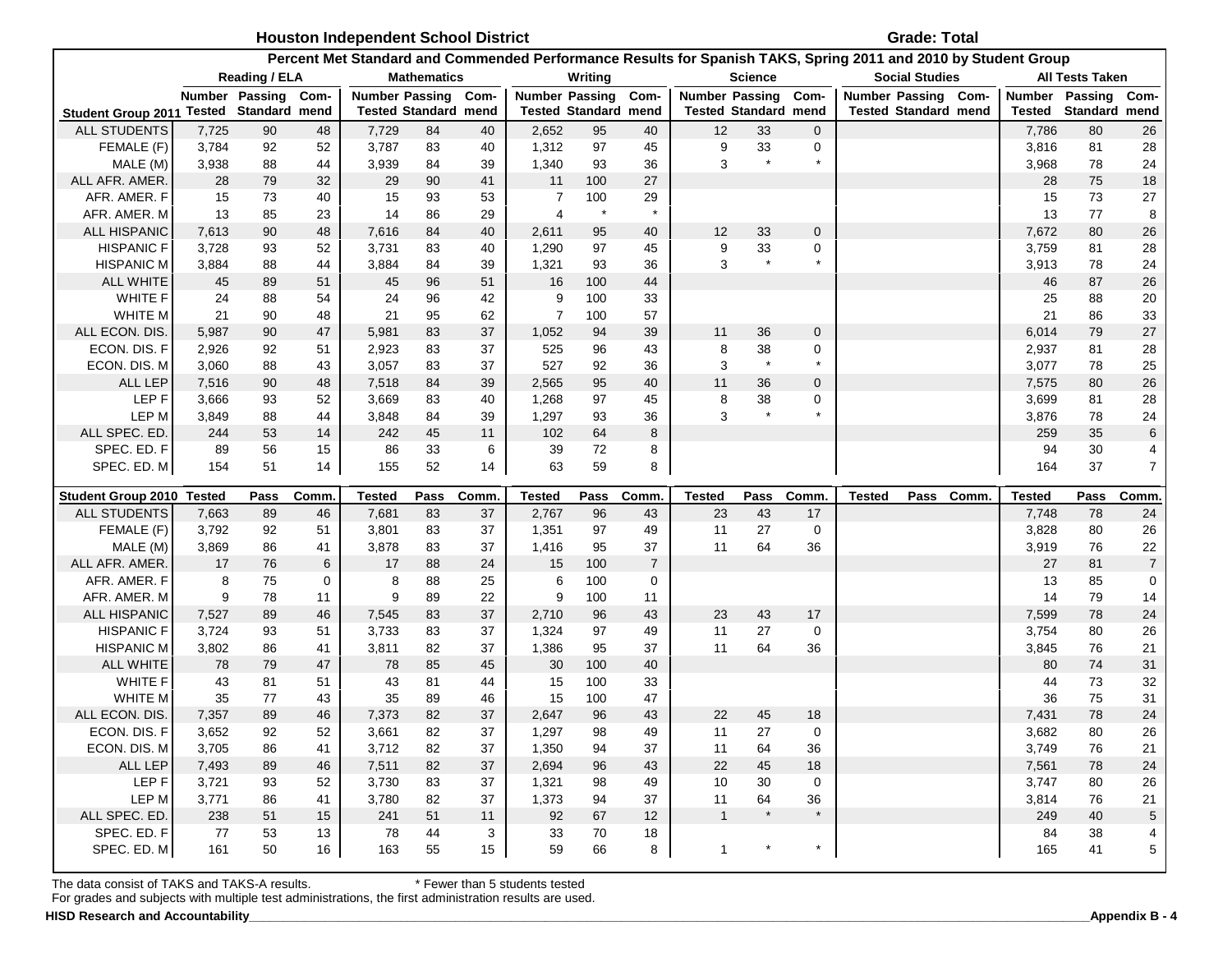**Grade: Total** 

|                                         |                |                      |             |                |                             |          |                |                             |                | Percent Met Standard and Commended Performance Results for Spanish TAKS, Spring 2011 and 2010 by Student Group |                             |                   |                     |                             |            |                |                        |                 |
|-----------------------------------------|----------------|----------------------|-------------|----------------|-----------------------------|----------|----------------|-----------------------------|----------------|----------------------------------------------------------------------------------------------------------------|-----------------------------|-------------------|---------------------|-----------------------------|------------|----------------|------------------------|-----------------|
|                                         |                | <b>Reading / ELA</b> |             |                | <b>Mathematics</b>          |          |                | Writing                     |                |                                                                                                                | <b>Science</b>              |                   |                     | <b>Social Studies</b>       |            |                | <b>All Tests Taken</b> |                 |
|                                         |                | Number Passing       | Com-        |                | Number Passing Com-         |          |                | <b>Number Passing</b>       | Com-           |                                                                                                                | <b>Number Passing</b>       | Com-              | Number Passing Com- |                             |            | <b>Number</b>  | Passing                | Com-            |
| Student Group 2011 Tested Standard mend |                |                      |             |                | <b>Tested Standard mend</b> |          |                | <b>Tested Standard mend</b> |                |                                                                                                                | <b>Tested Standard mend</b> |                   |                     | <b>Tested Standard mend</b> |            | <b>Tested</b>  | Standard mend          |                 |
| <b>ALL STUDENTS</b>                     | 7,725          | 90                   | 48          | 7,729          | 84                          | 40       | 2,652          | 95                          | 40             | 12                                                                                                             | 33                          | $\mathbf 0$       |                     |                             |            | 7,786          | 80                     | 26              |
| FEMALE (F)                              | 3,784          | 92                   | 52          | 3,787          | 83                          | 40       | 1,312          | 97                          | 45             | 9                                                                                                              | 33                          | $\mathbf 0$       |                     |                             |            | 3,816          | 81                     | 28              |
| MALE (M)                                | 3,938          | 88                   | 44          | 3,939          | 84                          | 39       | 1,340          | 93                          | 36             | 3                                                                                                              | $\star$                     |                   |                     |                             |            | 3,968          | 78                     | 24              |
| ALL AFR. AMER.                          | 28             | 79                   | 32          | 29             | 90                          | 41       | 11             | 100                         | 27             |                                                                                                                |                             |                   |                     |                             |            | 28             | 75                     | 18              |
| AFR. AMER. F                            | 15             | 73                   | 40          | 15             | 93                          | 53       | 7              | 100                         | 29             |                                                                                                                |                             |                   |                     |                             |            | 15             | 73                     | 27              |
| AFR. AMER. M                            | 13             | 85                   | 23          | 14             | 86                          | 29       | $\overline{4}$ | $\star$                     | $\star$        |                                                                                                                |                             |                   |                     |                             |            | 13             | 77                     | 8               |
| <b>ALL HISPANIC</b>                     | 7,613          | 90                   | 48          | 7,616          | 84                          | 40       | 2,611          | 95                          | 40             | 12                                                                                                             | 33                          | $\mathbf 0$       |                     |                             |            | 7,672          | 80                     | 26              |
| <b>HISPANIC F</b>                       | 3,728          | 93                   | 52          | 3,731          | 83                          | 40       | 1,290          | 97                          | 45             | 9                                                                                                              | 33                          | $\mathbf 0$       |                     |                             |            | 3,759          | 81                     | 28              |
| <b>HISPANIC M</b>                       | 3,884          | 88                   | 44          | 3,884          | 84                          | 39       | 1,321          | 93                          | 36             | 3                                                                                                              | $\star$                     | $\star$           |                     |                             |            | 3,913          | 78                     | 24              |
| <b>ALL WHITE</b>                        | 45             | 89                   | 51          | 45             | 96                          | 51       | 16             | 100                         | 44             |                                                                                                                |                             |                   |                     |                             |            | 46             | 87                     | 26              |
| <b>WHITE F</b>                          | 24             | 88                   | 54          | 24             | 96                          | 42       | 9              | 100                         | 33             |                                                                                                                |                             |                   |                     |                             |            | 25             | 88                     | 20              |
| WHITE M                                 | 21             | 90                   | 48          | 21             | 95                          | 62       | $\overline{7}$ | 100                         | 57             |                                                                                                                |                             |                   |                     |                             |            | 21             | 86                     | 33              |
| ALL ECON. DIS.                          | 5,987          | 90                   | 47          | 5,981          | 83                          | 37       | 1,052          | 94                          | 39             | 11                                                                                                             | 36                          | $\mathbf 0$       |                     |                             |            | 6,014          | 79                     | 27              |
| ECON. DIS. F                            | 2,926          | 92                   | 51          | 2,923          | 83                          | 37       | 525            | 96                          | 43             | $\bf8$                                                                                                         | 38                          | 0                 |                     |                             |            | 2,937          | 81                     | 28              |
| ECON. DIS. M                            | 3,060          | 88                   | 43          | 3,057          | 83                          | 37       | 527            | 92                          | 36             | 3                                                                                                              | $^{\star}$                  | $\star$           |                     |                             |            | 3,077          | 78                     | 25              |
| <b>ALL LEP</b>                          | 7,516          | 90                   | 48          | 7,518          | 84                          | 39       | 2,565          | 95                          | 40             | 11                                                                                                             | 36                          | $\mathbf 0$       |                     |                             |            | 7,575          | 80                     | 26              |
| LEP F                                   | 3,666          | 93                   | 52          | 3,669          | 83                          | 40       | 1,268          | 97                          | 45             | 8                                                                                                              | 38                          | $\mathbf 0$       |                     |                             |            | 3,699          | 81                     | 28              |
| LEP M                                   | 3,849          | 88                   | 44          | 3,848          | 84                          | 39       | 1,297          | 93                          | 36             | 3                                                                                                              |                             |                   |                     |                             |            | 3,876          | 78                     | 24              |
| ALL SPEC. ED.                           | 244            | 53                   | 14          | 242            | 45                          | 11       | 102            | 64                          | 8              |                                                                                                                |                             |                   |                     |                             |            | 259            | 35                     | $6\phantom{1}6$ |
| SPEC. ED. F                             | 89             | 56                   | 15          | 86             | 33                          | 6        | 39             | 72                          | 8              |                                                                                                                |                             |                   |                     |                             |            | 94             | 30                     | 4               |
|                                         | 154            |                      | 14          |                |                             | 14       |                | 59                          | 8              |                                                                                                                |                             |                   |                     |                             |            | 164            | 37                     | $\overline{7}$  |
| SPEC. ED. M                             |                | 51                   |             | 155            | 52                          |          | 63             |                             |                |                                                                                                                |                             |                   |                     |                             |            |                |                        |                 |
|                                         |                |                      |             |                |                             |          |                |                             |                |                                                                                                                |                             |                   |                     |                             |            |                |                        |                 |
| Student Group 2010 Tested               |                | Pass                 | Comm        | <b>Tested</b>  | Pass                        | Comm.    | <b>Tested</b>  | Pass                        | <b>Comm</b>    | <b>Tested</b>                                                                                                  | Pass                        | Comm.             | <b>Tested</b>       |                             | Pass Comm. | <b>Tested</b>  | Pass                   | Comm            |
| <b>ALL STUDENTS</b>                     | 7,663          | 89                   | 46          | 7,681          | 83                          | 37       | 2,767          | 96                          | 43             | 23                                                                                                             | 43                          | 17                |                     |                             |            | 7,748          | 78                     | 24              |
| FEMALE (F)                              | 3,792          | 92                   | 51          | 3,801          | 83                          | 37       | 1,351          | 97                          | 49             | 11                                                                                                             | 27                          | $\mathbf 0$       |                     |                             |            | 3,828          | 80                     | 26              |
| MALE (M)                                | 3,869          | 86                   | 41          | 3,878          | 83                          | 37       | 1,416          | 95                          | 37             | 11                                                                                                             | 64                          | 36                |                     |                             |            | 3,919          | 76                     | 22              |
| ALL AFR. AMER.                          | 17             | 76                   | 6           | 17             | 88                          | 24       | 15             | 100                         | $\overline{7}$ |                                                                                                                |                             |                   |                     |                             |            | 27             | 81                     | $\overline{7}$  |
| AFR. AMER. F                            | 8              | 75                   | $\mathbf 0$ | 8              | 88                          | 25       | 6              | 100                         | 0              |                                                                                                                |                             |                   |                     |                             |            | 13             | 85                     | $\mathbf 0$     |
| AFR. AMER. M                            | 9              | 78<br>89             | 11          | 9              | 89                          | 22       | 9              | 100<br>96                   | 11             | 23                                                                                                             | 43                          | 17                |                     |                             |            | 14             | 79                     | 14              |
| ALL HISPANIC                            | 7,527          |                      | 46          | 7,545          | 83                          | 37       | 2,710          |                             | 43             |                                                                                                                |                             |                   |                     |                             |            | 7,599          | 78                     | 24              |
| <b>HISPANIC F</b>                       | 3,724          | 93                   | 51          | 3,733          | 83                          | 37       | 1,324          | 97                          | 49             | 11                                                                                                             | 27                          | $\mathsf 0$       |                     |                             |            | 3,754          | 80                     | 26              |
| <b>HISPANIC M</b>                       | 3,802          | 86                   | 41          | 3,811          | 82                          | 37       | 1,386          | 95                          | 37             | 11                                                                                                             | 64                          | 36                |                     |                             |            | 3,845          | 76                     | 21              |
| <b>ALL WHITE</b>                        | 78             | 79                   | 47          | 78             | 85                          | 45<br>44 | 30             | 100                         | 40             |                                                                                                                |                             |                   |                     |                             |            | 80             | 74                     | 31              |
| WHITE F                                 | 43             | 81                   | 51          | 43             | 81                          |          | 15             | 100                         | 33             |                                                                                                                |                             |                   |                     |                             |            | 44             | 73                     | 32              |
| <b>WHITE M</b>                          | 35             | 77                   | 43          | 35             | 89                          | 46       | 15             | 100                         | 47             |                                                                                                                |                             |                   |                     |                             |            | 36             | 75                     | 31              |
| ALL ECON. DIS.                          | 7,357          | 89                   | 46          | 7,373          | 82                          | 37       | 2,647          | 96                          | 43             | 22                                                                                                             | 45                          | 18                |                     |                             |            | 7,431          | 78                     | 24              |
| ECON. DIS. F                            | 3,652<br>3,705 | 92<br>86             | 52<br>41    | 3,661          | 82                          | 37<br>37 | 1,297          | 98<br>94                    | 49<br>37       | 11                                                                                                             | 27<br>64                    | $\mathbf 0$<br>36 |                     |                             |            | 3,682<br>3,749 | 80                     | 26              |
| ECON. DIS. M                            |                |                      |             | 3,712          | 82                          |          | 1,350          |                             |                | 11                                                                                                             |                             |                   |                     |                             |            |                | 76                     | 21              |
| ALL LEP                                 | 7,493<br>3,721 | 89<br>93             | 46<br>52    | 7,511<br>3,730 | 82<br>83                    | 37<br>37 | 2,694          | 96<br>98                    | 43<br>49       | 22                                                                                                             | 45<br>30                    | 18<br>$\mathbf 0$ |                     |                             |            | 7,561<br>3,747 | 78<br>80               | 24              |
| LEP <sub>F</sub><br>LEP M               |                |                      | 41          |                |                             | 37       | 1,321          | 94                          |                | 10<br>11                                                                                                       | 64                          | 36                |                     |                             |            |                |                        | 26              |
|                                         | 3,771          | 86                   |             | 3,780          | 82<br>51                    |          | 1,373          | 67                          | 37             | $\overline{1}$                                                                                                 | $\star$                     | $\star$           |                     |                             |            | 3,814          | 76                     | 21              |
| ALL SPEC. ED.<br>SPEC. ED. F            | 238<br>77      | 51<br>53             | 15<br>13    | 241<br>78      | 44                          | 11<br>3  | 92<br>33       | 70                          | 12<br>18       |                                                                                                                |                             |                   |                     |                             |            | 249<br>84      | 40<br>38               | $\sqrt{5}$<br>4 |

The data consist of TAKS and TAKS-A results. \* Fewer than 5 students tested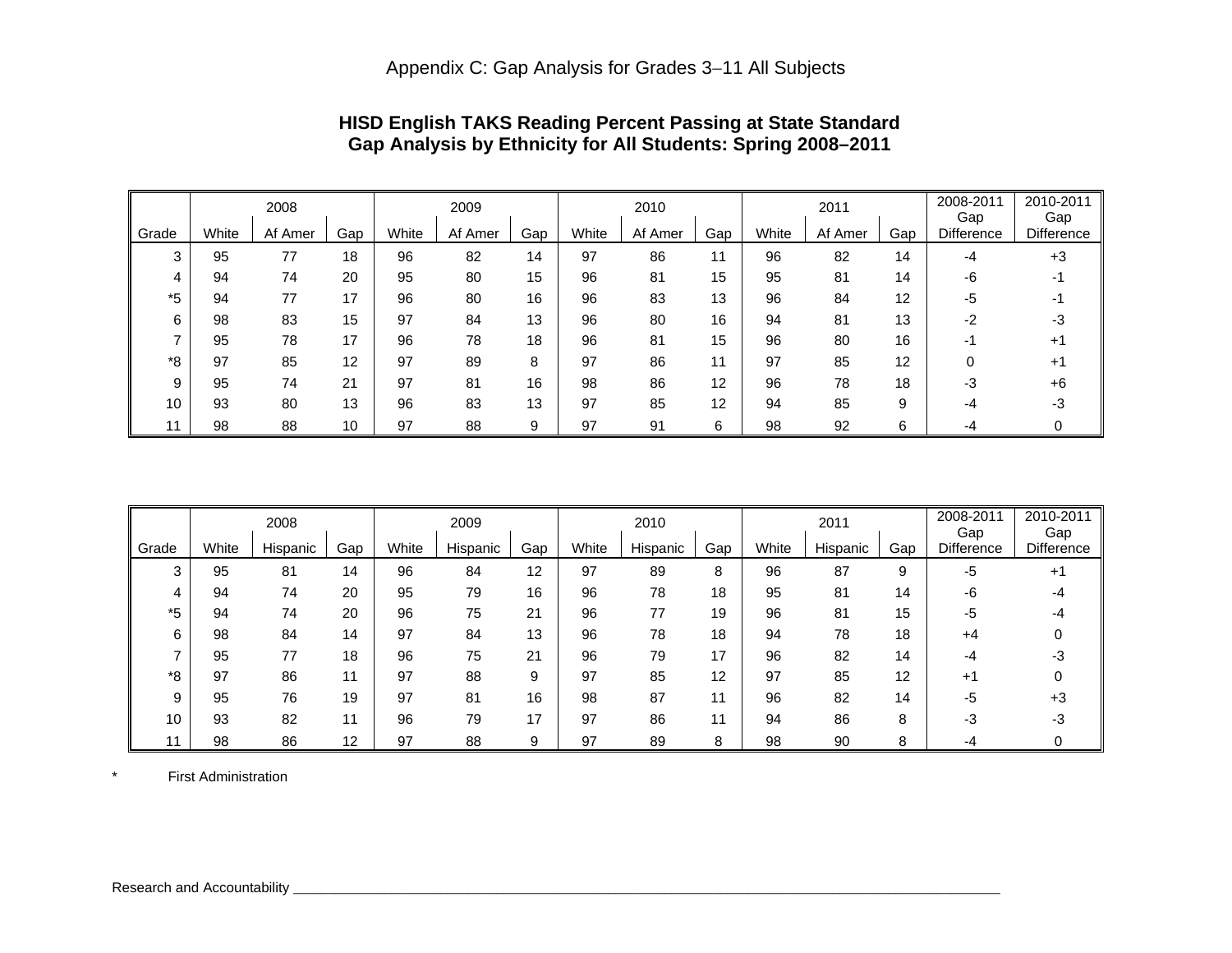|       |       | 2008    |     |       | 2009    |     |       | 2010    |     |       | 2011    |     | 2008-2011<br>Gap  | 2010-2011<br>Gap  |
|-------|-------|---------|-----|-------|---------|-----|-------|---------|-----|-------|---------|-----|-------------------|-------------------|
| Grade | White | Af Amer | Gap | White | Af Amer | Gap | White | Af Amer | Gap | White | Af Amer | Gap | <b>Difference</b> | <b>Difference</b> |
| 3     | 95    | 77      | 18  | 96    | 82      | 14  | 97    | 86      | 11  | 96    | 82      | 14  | -4                | $+3$              |
| 4     | 94    | 74      | 20  | 95    | 80      | 15  | 96    | 81      | 15  | 95    | 81      | 14  | -6                |                   |
| *5    | 94    | 77      | 17  | 96    | 80      | 16  | 96    | 83      | 13  | 96    | 84      | 12  | -5                |                   |
| 6     | 98    | 83      | 15  | 97    | 84      | 13  | 96    | 80      | 16  | 94    | 81      | 13  | -2                | -3                |
|       | 95    | 78      | 17  | 96    | 78      | 18  | 96    | 81      | 15  | 96    | 80      | 16  | -1                | $+1$              |
| *8    | 97    | 85      | 12  | 97    | 89      | 8   | 97    | 86      | 11  | 97    | 85      | 12  | 0                 | $+1$              |
| 9     | 95    | 74      | 21  | 97    | 81      | 16  | 98    | 86      | 12  | 96    | 78      | 18  | -3                | $+6$              |
| 10    | 93    | 80      | 13  | 96    | 83      | 13  | 97    | 85      | 12  | 94    | 85      | 9   | -4                | -3                |
| 11    | 98    | 88      | 10  | 97    | 88      | 9   | 97    | 91      | 6   | 98    | 92      | 6   | -4                |                   |

# **HISD English TAKS Reading Percent Passing at State Standard Gap Analysis by Ethnicity for All Students: Spring 2008–2011**

|       |       | 2008     |     |       | 2009     |     |       | 2010     |     |       | 2011     |     | 2008-2011<br>Gap | 2010-2011<br>Gap  |
|-------|-------|----------|-----|-------|----------|-----|-------|----------|-----|-------|----------|-----|------------------|-------------------|
| Grade | White | Hispanic | Gap | White | Hispanic | Gap | White | Hispanic | Gap | White | Hispanic | Gap | Difference       | <b>Difference</b> |
| 3     | 95    | 81       | 14  | 96    | 84       | 12  | 97    | 89       | 8   | 96    | 87       | 9   | -5               | $+1$              |
| 4     | 94    | 74       | 20  | 95    | 79       | 16  | 96    | 78       | 18  | 95    | 81       | 14  | -6               |                   |
| *5    | 94    | 74       | 20  | 96    | 75       | 21  | 96    | 77       | 19  | 96    | 81       | 15  | -5               |                   |
| 6     | 98    | 84       | 14  | 97    | 84       | 13  | 96    | 78       | 18  | 94    | 78       | 18  | +4               |                   |
|       | 95    | 77       | 18  | 96    | 75       | 21  | 96    | 79       | 17  | 96    | 82       | 14  | -4               | - 3               |
| *8    | 97    | 86       | 11  | 97    | 88       | 9   | 97    | 85       | 12  | 97    | 85       | 12  | $+1$             |                   |
| 9     | 95    | 76       | 19  | 97    | 81       | 16  | 98    | 87       |     | 96    | 82       | 14  | -5               | +3                |
| 10    | 93    | 82       | 11  | 96    | 79       | 17  | 97    | 86       | 11  | 94    | 86       | 8   | -3               | - 3               |
| 11    | 98    | 86       | 12  | 97    | 88       | 9   | 97    | 89       | 8   | 98    | 90       | 8   | -4               |                   |

\* First Administration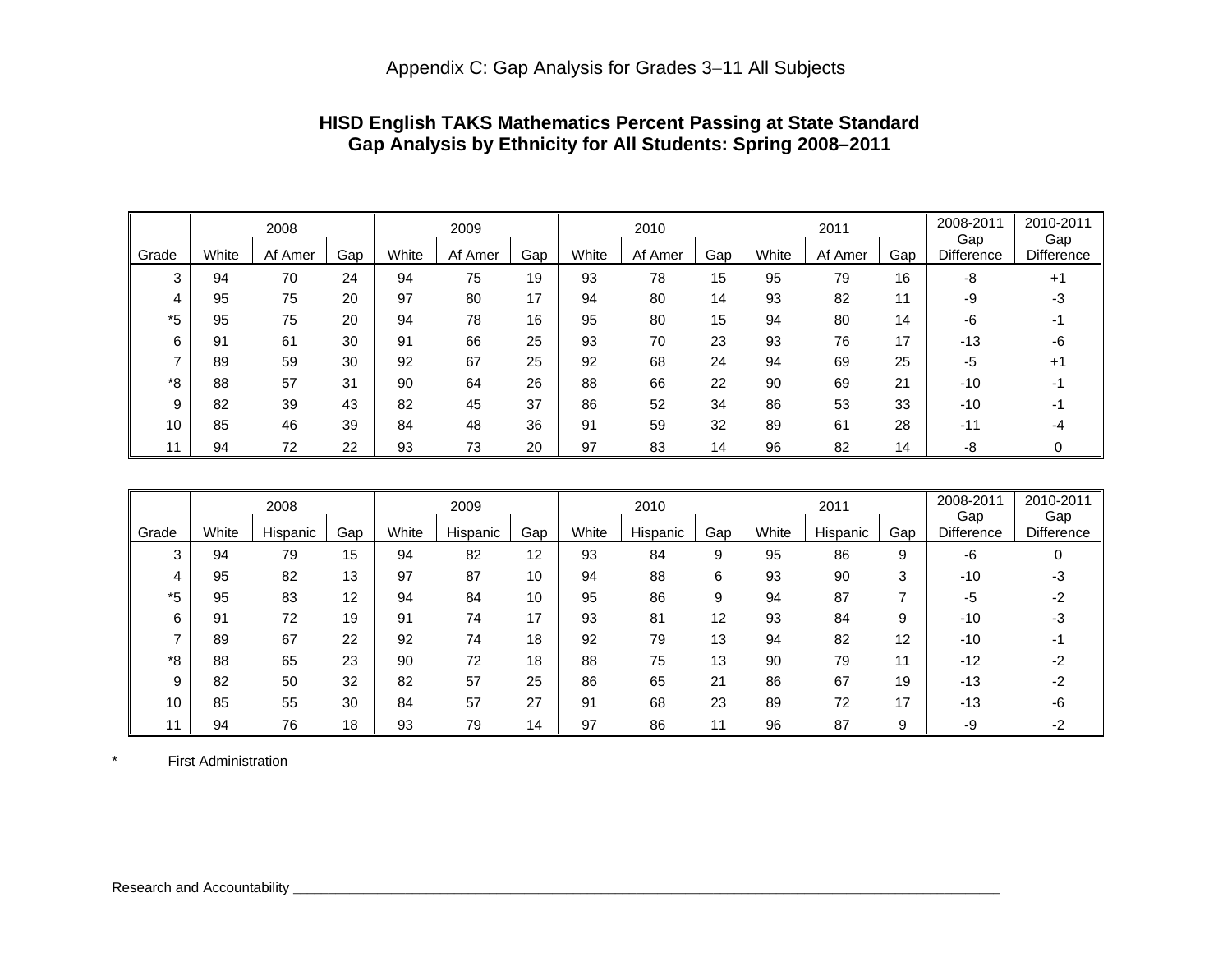|       |       | 2008    |     |       | 2009    |     |       | 2010    |     |       | 2011    |     | 2008-2011<br>Gap  | 2010-2011<br>Gap  |
|-------|-------|---------|-----|-------|---------|-----|-------|---------|-----|-------|---------|-----|-------------------|-------------------|
| Grade | White | Af Amer | Gap | White | Af Amer | Gap | White | Af Amer | Gap | White | Af Amer | Gap | <b>Difference</b> | <b>Difference</b> |
| 3     | 94    | 70      | 24  | 94    | 75      | 19  | 93    | 78      | 15  | 95    | 79      | 16  | -8                | $+1$              |
| 4     | 95    | 75      | 20  | 97    | 80      | 17  | 94    | 80      | 14  | 93    | 82      | 11  | -9                | -3                |
| *5    | 95    | 75      | 20  | 94    | 78      | 16  | 95    | 80      | 15  | 94    | 80      | 14  | -6                |                   |
| 6     | 91    | 61      | 30  | 91    | 66      | 25  | 93    | 70      | 23  | 93    | 76      | 17  | $-13$             | -6                |
|       | 89    | 59      | 30  | 92    | 67      | 25  | 92    | 68      | 24  | 94    | 69      | 25  | -5                | $+1$              |
| *8    | 88    | 57      | 31  | 90    | 64      | 26  | 88    | 66      | 22  | 90    | 69      | 21  | $-10$             | -1                |
| 9     | 82    | 39      | 43  | 82    | 45      | 37  | 86    | 52      | 34  | 86    | 53      | 33  | $-10$             |                   |
| 10    | 85    | 46      | 39  | 84    | 48      | 36  | 91    | 59      | 32  | 89    | 61      | 28  | $-11$             | -4                |
| 11    | 94    | 72      | 22  | 93    | 73      | 20  | 97    | 83      | 14  | 96    | 82      | 14  | -8                |                   |

# **HISD English TAKS Mathematics Percent Passing at State Standard Gap Analysis by Ethnicity for All Students: Spring 2008–2011**

|       |       | 2008     |                   |       | 2009     |     |       | 2010     |     |       | 2011     |     | 2008-2011<br>Gap  | 2010-2011<br>Gap |
|-------|-------|----------|-------------------|-------|----------|-----|-------|----------|-----|-------|----------|-----|-------------------|------------------|
| Grade | White | Hispanic | Gap               | White | Hispanic | Gap | White | Hispanic | Gap | White | Hispanic | Gap | <b>Difference</b> | Difference       |
| 3     | 94    | 79       | 15                | 94    | 82       | 12  | 93    | 84       | 9   | 95    | 86       | 9   | -6                |                  |
| 4     | 95    | 82       | 13                | 97    | 87       | 10  | 94    | 88       | 6   | 93    | 90       | 3   | $-10$             |                  |
| *5    | 95    | 83       | $12 \overline{ }$ | 94    | 84       | 10  | 95    | 86       | 9   | 94    | 87       |     | -5                |                  |
| 6     | 91    | 72       | 19                | 91    | 74       | 17  | 93    | 81       | 12  | 93    | 84       | 9   | $-10$             | -3               |
| ⇁     | 89    | 67       | 22                | 92    | 74       | 18  | 92    | 79       | 13  | 94    | 82       | 12  | $-10$             |                  |
| *8    | 88    | 65       | 23                | 90    | 72       | 18  | 88    | 75       | 13  | 90    | 79       | 11  | $-12$             |                  |
| 9     | 82    | 50       | 32                | 82    | 57       | 25  | 86    | 65       | 21  | 86    | 67       | 19  | $-13$             |                  |
| 10    | 85    | 55       | 30                | 84    | 57       | 27  | 91    | 68       | 23  | 89    | 72       | 17  | $-13$             |                  |
| 11    | 94    | 76       | 18                | 93    | 79       | 14  | 97    | 86       |     | 96    | 87       | 9   | -9                |                  |

\* First Administration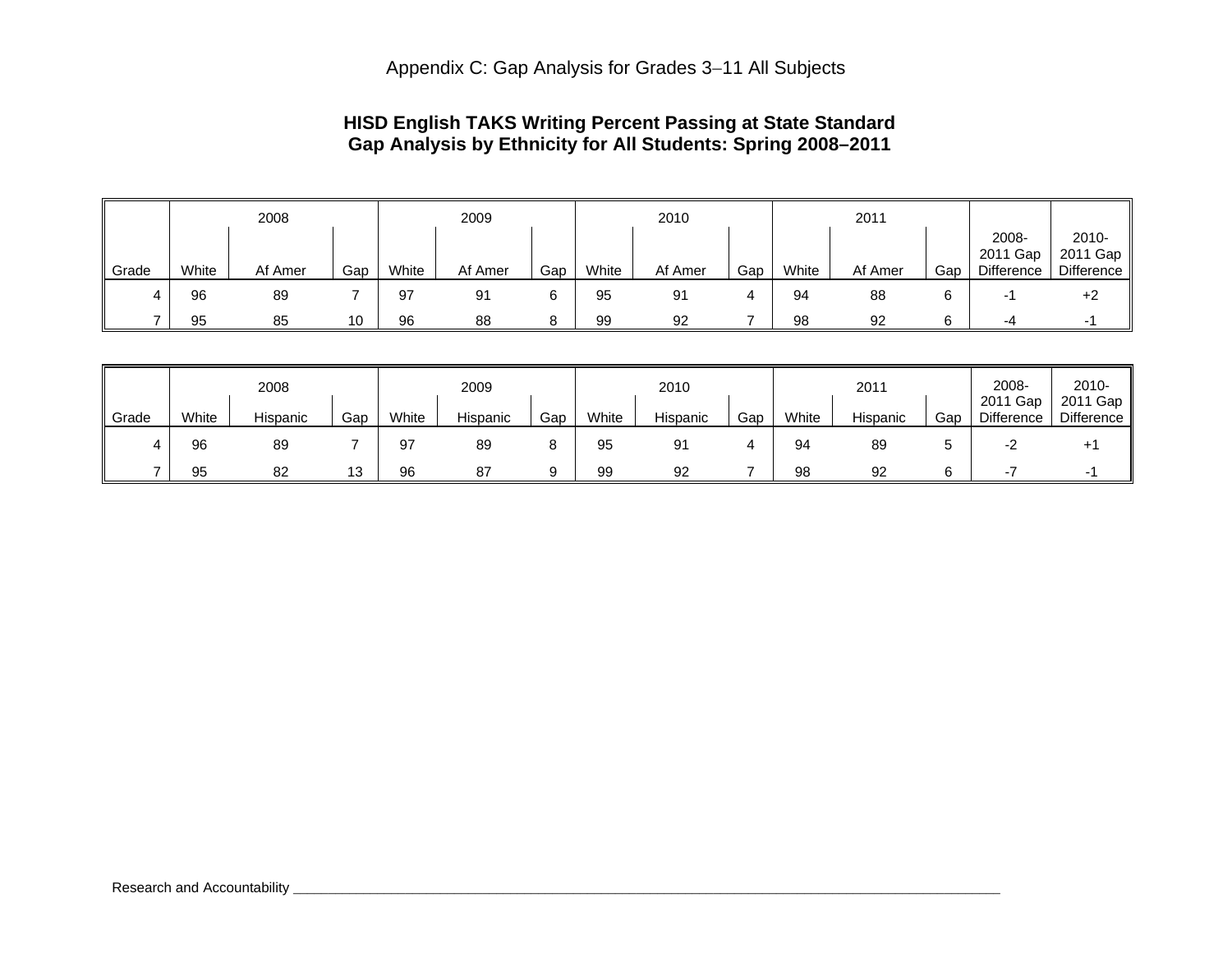# **HISD English TAKS Writing Percent Passing at State Standard Gap Analysis by Ethnicity for All Students: Spring 2008–2011**

|       |       | 2008    |     |       | 2009    |     |       | 2010    |     |       | 2011    |     |                                        |                                    |
|-------|-------|---------|-----|-------|---------|-----|-------|---------|-----|-------|---------|-----|----------------------------------------|------------------------------------|
| Grade | White | Af Amer | Gap | White | Af Amer | Gap | White | Af Amer | Gap | White | Af Amer | Gap | 2008-<br>2011 Gap<br><b>Difference</b> | $2010 -$<br>2011 Gap<br>Difference |
|       | 96    | 89      |     | 97    | 91      |     | 95    | 91      |     | 94    | 88      |     | $\overline{\phantom{a}}$               | $+2$                               |
|       | 95    | 85      | 10  | 96    | 88      | я   | 99    | 92      |     | 98    | 92      | 6   | -4                                     |                                    |

|       |       | 2008     |     |       | 2009     |     |       | 2010     |     |       | 2011     |     | 2008-                  | $2010 -$                 |
|-------|-------|----------|-----|-------|----------|-----|-------|----------|-----|-------|----------|-----|------------------------|--------------------------|
| Grade | White | Hispanic | Gap | White | Hispanic | Gap | White | Hispanic | Gap | White | Hispanic | Gap | 2011 Gap<br>Difference | 2011 Gap  <br>Difference |
|       | 96    | 89       |     | 97    | 89       |     | 95    | 91       |     | 94    | 89       |     |                        |                          |
|       | 95    | 82       | 13  | 96    | 87       |     | 99    | 92       |     | 98    | 92       |     |                        |                          |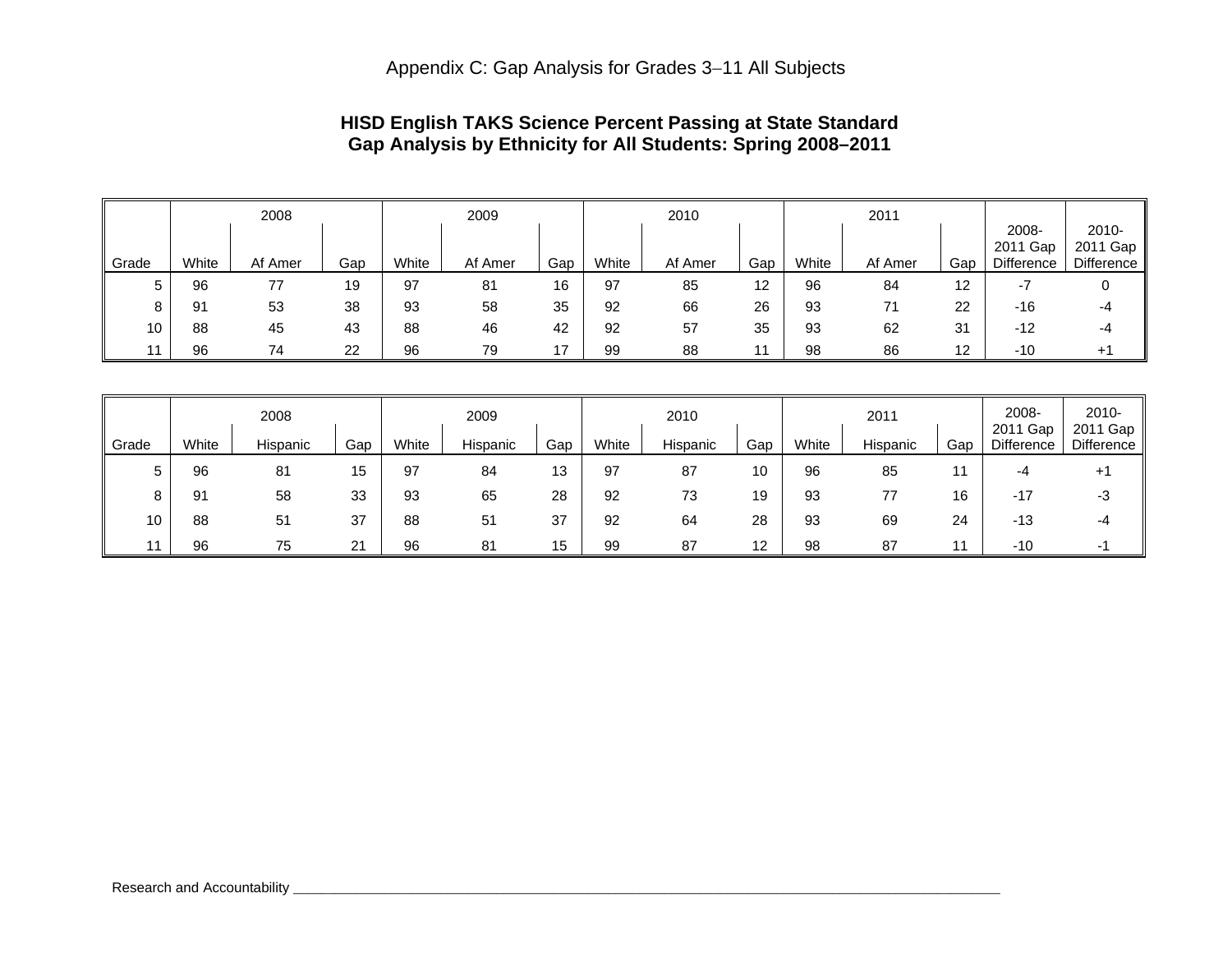# **HISD English TAKS Science Percent Passing at State Standard Gap Analysis by Ethnicity for All Students: Spring 2008–2011**

|       |       | 2008    |     |       | 2009    |     |       | 2010    |     |       | 2011    |     |                                    |                                    |
|-------|-------|---------|-----|-------|---------|-----|-------|---------|-----|-------|---------|-----|------------------------------------|------------------------------------|
| Grade | White | Af Amer | Gap | White | Af Amer | Gap | White | Af Amer | Gap | White | Af Amer | Gap | 2008-<br>Gap<br>2011<br>Difference | $2010 -$<br>2011 Gap<br>Difference |
| 5     | 96    | 77      | 19  | 97    | 81      | 16  | 97    | 85      | 12  | 96    | 84      | 12  | - 1                                |                                    |
| 8     | 91    | 53      | 38  | 93    | 58      | 35  | 92    | 66      | 26  | 93    | 71      | 22  | $-16$                              | -4                                 |
| 10    | 88    | 45      | 43  | 88    | 46      | 42  | 92    | 57      | 35  | 93    | 62      | 31  | $-12$                              | -4                                 |
|       | 96    | 74      | 22  | 96    | 79      | 17  | 99    | 88      |     | 98    | 86      | 12  | $-10$                              | $+1$                               |

|       |       | 2008     |     |       | 2009     |     |       | 2010     |     |       | 2011     |     | 2008-                  | $2010 -$               |
|-------|-------|----------|-----|-------|----------|-----|-------|----------|-----|-------|----------|-----|------------------------|------------------------|
| Grade | White | Hispanic | Gap | White | Hispanic | Gap | White | Hispanic | Gap | White | Hispanic | Gap | 2011 Gap<br>Difference | 2011 Gap<br>Difference |
| 5     | 96    | 81       | 15  | 97    | 84       | 13  | 97    | 87       | 10  | 96    | 85       | 11  | -4                     | $+1$                   |
| 8     | 91    | 58       | 33  | 93    | 65       | 28  | 92    | 73       | 19  | 93    | 77       | 16  | $-17$                  | -3                     |
| 10    | 88    | 51       | 37  | 88    | 51       | 37  | 92    | 64       | 28  | 93    | 69       | 24  | $-13$                  | -4                     |
|       | 96    | 75       | 21  | 96    | 81       | 15  | 99    | 87       | 12  | 98    | 87       | 11  | $-10$                  | - 1                    |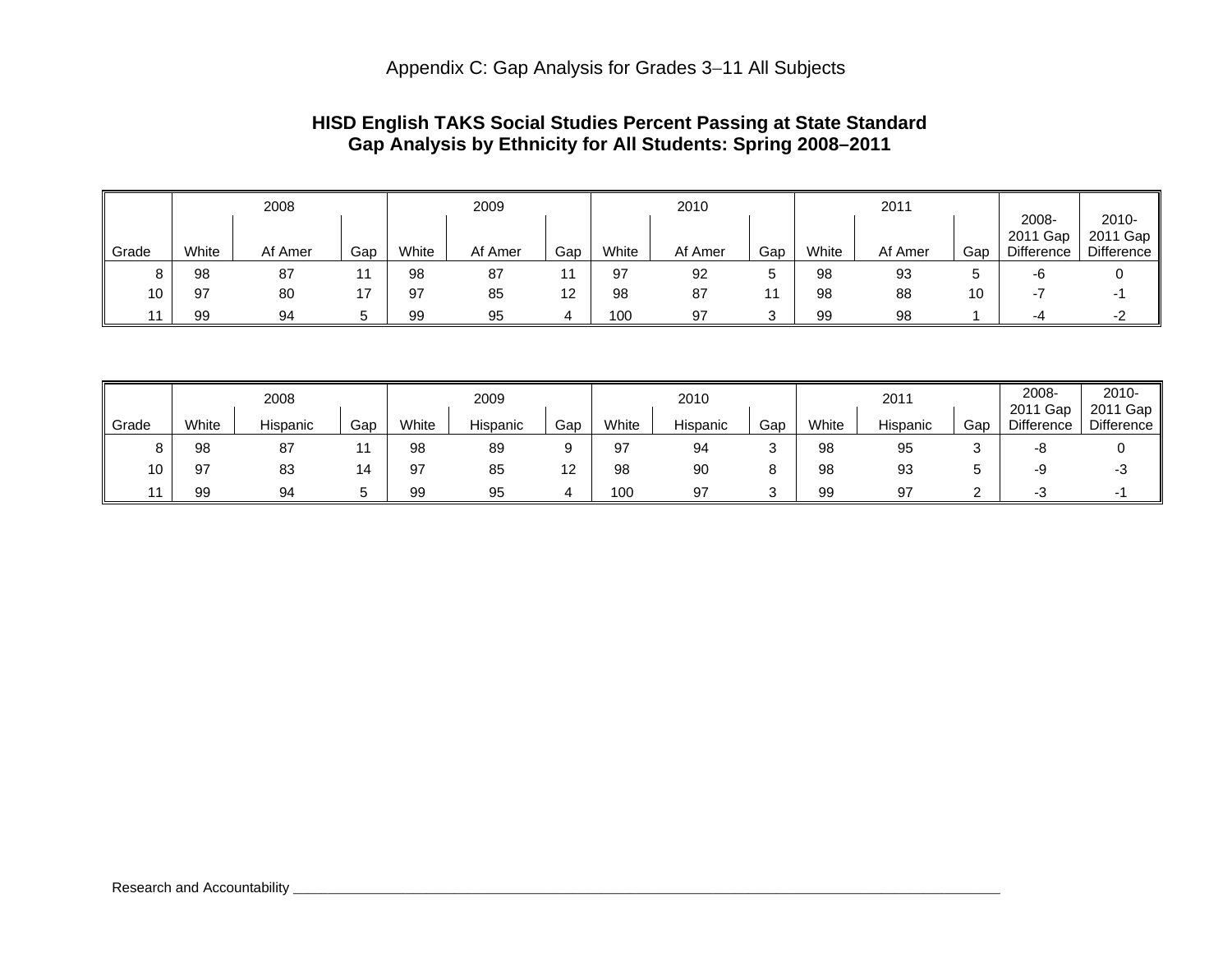# **HISD English TAKS Social Studies Percent Passing at State Standard Gap Analysis by Ethnicity for All Students: Spring 2008–2011**

|       |       | 2008    |     |       | 2009    |     |       | 2010    |     |       | 2011    |     |                                 |                                 |
|-------|-------|---------|-----|-------|---------|-----|-------|---------|-----|-------|---------|-----|---------------------------------|---------------------------------|
| Grade | White | Af Amer | Gap | White | Af Amer | Gap | White | Af Amer | Gap | White | Af Amer | Gap | 2008-<br>2011 Gap<br>Difference | 2010-<br>2011 Gap<br>Difference |
| 8     | 98    | 87      | 11  | 98    | 87      |     | 97    | 92      |     | 98    | 93      | C   | -6                              |                                 |
| 10    | 97    | 80      | 17  | 97    | 85      | 12  | 98    | 87      |     | 98    | 88      | 10  | $\overline{\phantom{a}}$        |                                 |
|       | 99    | 94      | ∽   | 99    | 95      |     | 100   | 97      |     | 99    | 98      |     | -4                              | -2                              |

|       |       | 2008     |        |       | 2009     |                          |       | 2010     |     |       | 2011     |             | 2008-                  | 2010-                  |
|-------|-------|----------|--------|-------|----------|--------------------------|-------|----------|-----|-------|----------|-------------|------------------------|------------------------|
| Grade | White | Hispanic | Gap    | White | Hispanic | Gap                      | White | Hispanic | Gap | White | Hispanic | Gap         | 2011 Gap<br>Difference | 2011 Gap<br>Difference |
| 8     | 98    | 87       |        | 98    | 89       |                          | 97    | 94       |     | 98    | 95       |             | -8                     |                        |
| 10    | 97    | 83       | 14     | 97    | 85       | $\sqrt{2}$<br>. <u>.</u> | 98    | 90       |     | 98    | 93       |             | -9                     |                        |
|       | 99    | 94       | ∽<br>ັ | 99    | 95       |                          | 100   | 97       |     | 99    | 97       | $\sim$<br>_ | - 3                    | - 1                    |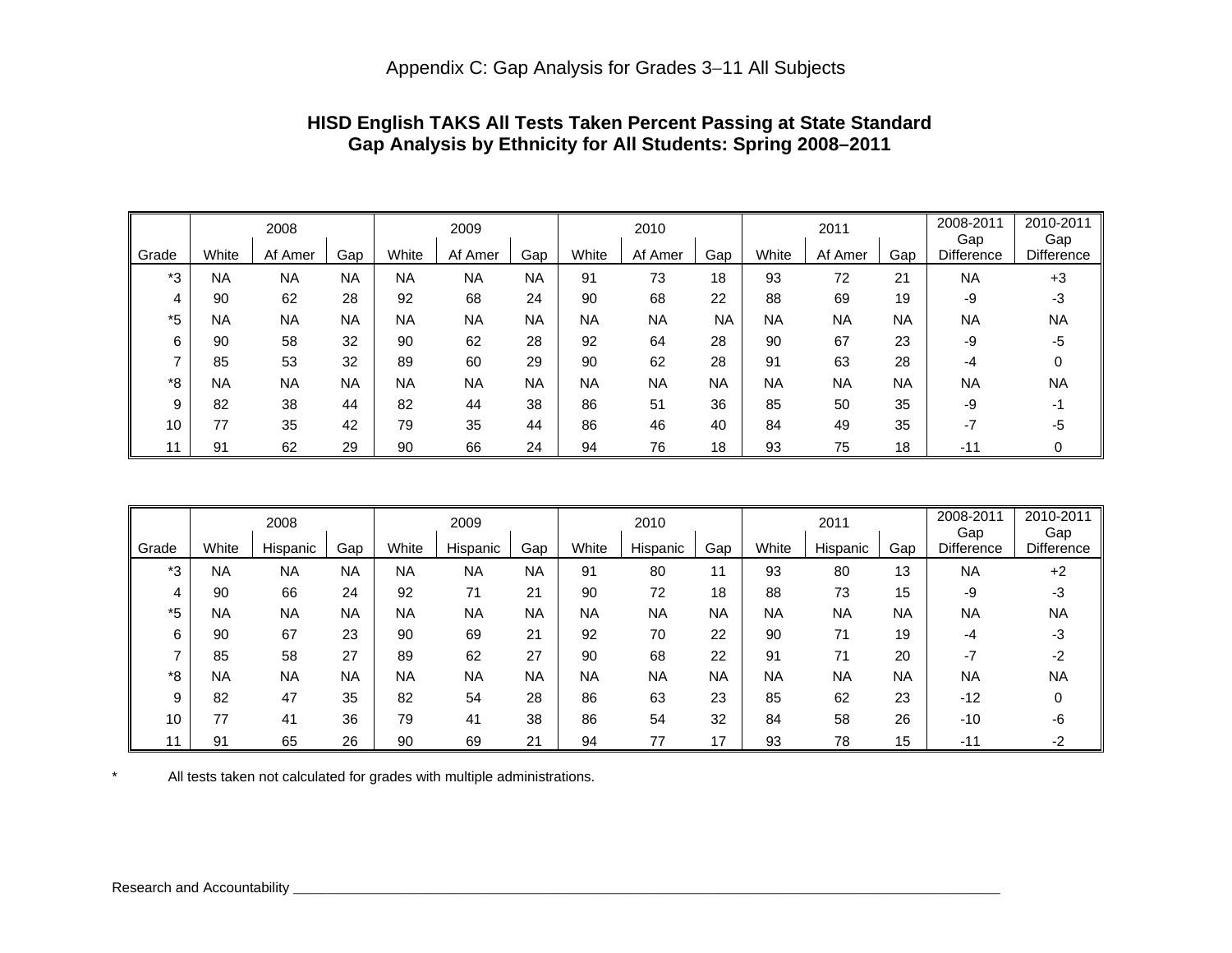|       |           | 2008      |           | 2009      |           |           |           | 2010      |           |           | 2011      |           | 2008-2011<br>Gap  | 2010-2011<br>Gap |
|-------|-----------|-----------|-----------|-----------|-----------|-----------|-----------|-----------|-----------|-----------|-----------|-----------|-------------------|------------------|
| Grade | White     | Af Amer   | Gap       | White     | Af Amer   | Gap       | White     | Af Amer   | Gap       | White     | Af Amer   | Gap       | <b>Difference</b> | Difference       |
| *3    | <b>NA</b> | <b>NA</b> | <b>NA</b> | <b>NA</b> | <b>NA</b> | <b>NA</b> | 91        | 73        | 18        | 93        | 72        | 21        | <b>NA</b>         | $+3$             |
| 4     | 90        | 62        | 28        | 92        | 68        | 24        | 90        | 68        | 22        | 88        | 69        | 19        | -9                | -3               |
| *5    | <b>NA</b> | <b>NA</b> | <b>NA</b> | <b>NA</b> | <b>NA</b> | <b>NA</b> | <b>NA</b> | <b>NA</b> | <b>NA</b> | <b>NA</b> | <b>NA</b> | <b>NA</b> | <b>NA</b>         | <b>NA</b>        |
| 6     | 90        | 58        | 32        | 90        | 62        | 28        | 92        | 64        | 28        | 90        | 67        | 23        | -9                | -5               |
| –     | 85        | 53        | 32        | 89        | 60        | 29        | 90        | 62        | 28        | 91        | 63        | 28        | -4                |                  |
| *8    | <b>NA</b> | <b>NA</b> | <b>NA</b> | <b>NA</b> | <b>NA</b> | <b>NA</b> | <b>NA</b> | <b>NA</b> | <b>NA</b> | <b>NA</b> | <b>NA</b> | <b>NA</b> | <b>NA</b>         | <b>NA</b>        |
| 9     | 82        | 38        | 44        | 82        | 44        | 38        | 86        | 51        | 36        | 85        | 50        | 35        | -9                | -1               |
| 10    | 77        | 35        | 42        | 79        | 35        | 44        | 86        | 46        | 40        | 84        | 49        | 35        | $-7$              | -5               |
|       | 91        | 62        | 29        | 90        | 66        | 24        | 94        | 76        | 18        | 93        | 75        | 18        | $-11$             |                  |

# **HISD English TAKS All Tests Taken Percent Passing at State Standard Gap Analysis by Ethnicity for All Students: Spring 2008–2011**

|       |           | 2008      |           | 2009      |           |           |           | 2010      |           |           | 2011      |           | 2008-2011<br>Gap  | 2010-2011<br>Gap  |
|-------|-----------|-----------|-----------|-----------|-----------|-----------|-----------|-----------|-----------|-----------|-----------|-----------|-------------------|-------------------|
| Grade | White     | Hispanic  | Gap       | White     | Hispanic  | Gap       | White     | Hispanic  | Gap       | White     | Hispanic  | Gap       | <b>Difference</b> | <b>Difference</b> |
| *3    | ΝA        | <b>NA</b> | <b>NA</b> | <b>NA</b> | <b>NA</b> | <b>NA</b> | 91        | 80        | 11        | 93        | 80        | 13        | <b>NA</b>         | $+2$              |
| 4     | 90        | 66        | 24        | 92        | 71        | 21        | 90        | 72        | 18        | 88        | 73        | 15        | -9                | -3                |
| *5    | <b>NA</b> | <b>NA</b> | <b>NA</b> | <b>NA</b> | <b>NA</b> | <b>NA</b> | <b>NA</b> | <b>NA</b> | <b>NA</b> | NA        | <b>NA</b> | <b>NA</b> | <b>NA</b>         | <b>NA</b>         |
| 6     | 90        | 67        | 23        | 90        | 69        | 21        | 92        | 70        | 22        | 90        | 71        | 19        | -4                | -3                |
|       | 85        | 58        | 27        | 89        | 62        | 27        | 90        | 68        | 22        | 91        | 71        | 20        | $-7$              | -2                |
| *8    | ΝA        | <b>NA</b> | <b>NA</b> | <b>NA</b> | <b>NA</b> | NA        | <b>NA</b> | <b>NA</b> | <b>NA</b> | <b>NA</b> | <b>NA</b> | <b>NA</b> | <b>NA</b>         | <b>NA</b>         |
| 9     | 82        | 47        | 35        | 82        | 54        | 28        | 86        | 63        | 23        | 85        | 62        | 23        | $-12$             |                   |
| 10    | 77        | 41        | 36        | 79        | 41        | 38        | 86        | 54        | 32        | 84        | 58        | 26        | $-10$             | -6                |
| 11    | 91        | 65        | 26        | 90        | 69        | 21        | 94        | 77        | 17        | 93        | 78        | 15        | -11               | -2                |

\* All tests taken not calculated for grades with multiple administrations.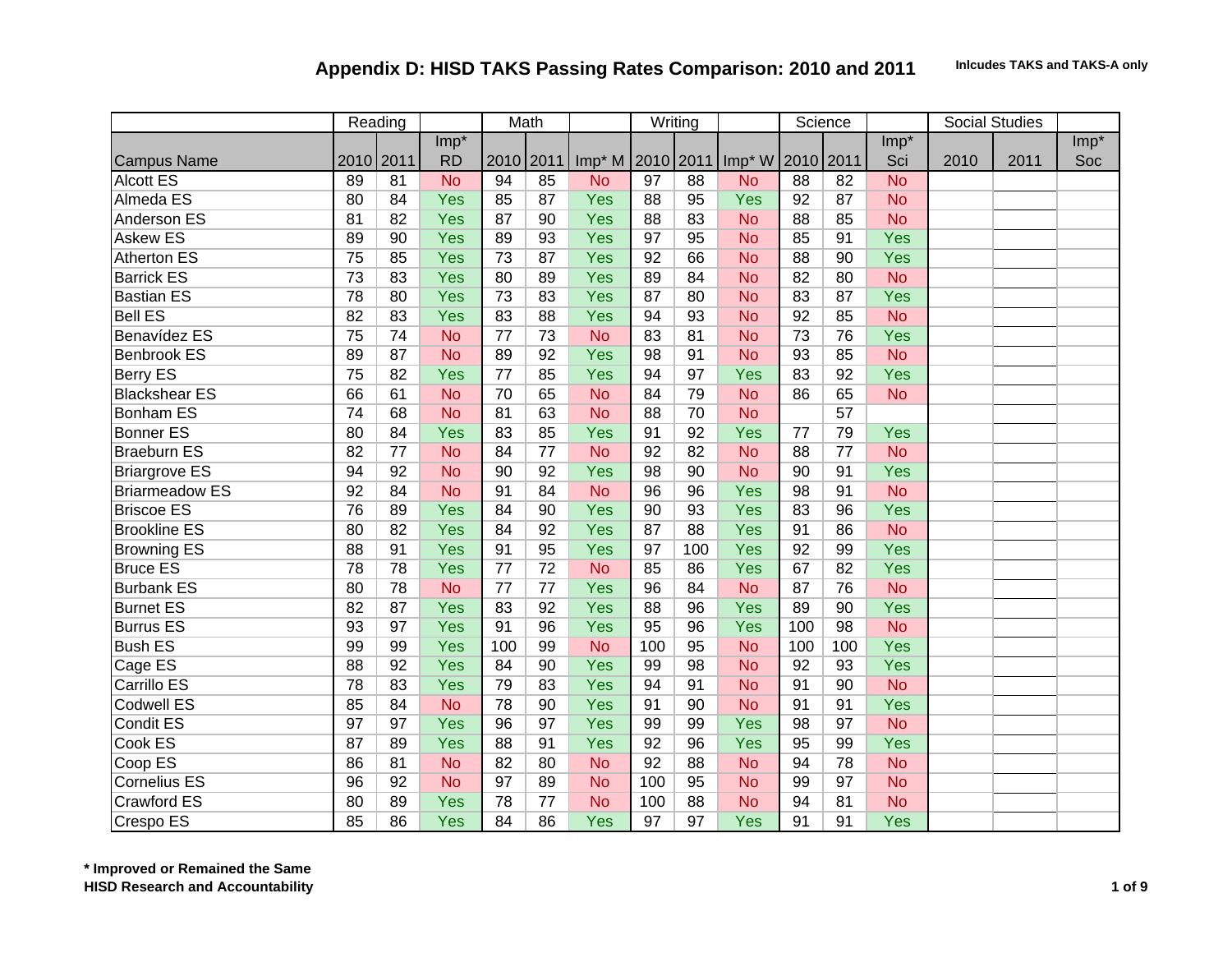|                       |                 | Reading |           |           | Math            |                  |                 | Writing         |                    |           | Science         |            |      | Social Studies |        |
|-----------------------|-----------------|---------|-----------|-----------|-----------------|------------------|-----------------|-----------------|--------------------|-----------|-----------------|------------|------|----------------|--------|
|                       |                 |         | Imp*      |           |                 |                  |                 |                 |                    |           |                 | $Imp*$     |      |                | $Imp*$ |
| <b>Campus Name</b>    | 2010 2011       |         | <b>RD</b> | 2010 2011 |                 | Imp* M 2010 2011 |                 |                 | Imp <sup>*</sup> W | 2010 2011 |                 | Sci        | 2010 | 2011           | Soc    |
| <b>Alcott ES</b>      | 89              | 81      | <b>No</b> | 94        | 85              | <b>No</b>        | $\overline{97}$ | $\overline{88}$ | <b>No</b>          | 88        | $\overline{82}$ | <b>No</b>  |      |                |        |
| Almeda ES             | 80              | 84      | Yes       | 85        | 87              | Yes              | 88              | 95              | Yes                | 92        | 87              | <b>No</b>  |      |                |        |
| <b>Anderson ES</b>    | 81              | 82      | Yes       | 87        | 90              | Yes              | 88              | 83              | <b>No</b>          | 88        | 85              | <b>No</b>  |      |                |        |
| <b>Askew ES</b>       | 89              | 90      | Yes       | 89        | 93              | Yes              | 97              | 95              | <b>No</b>          | 85        | 91              | Yes        |      |                |        |
| <b>Atherton ES</b>    | 75              | 85      | Yes       | 73        | 87              | Yes              | 92              | 66              | <b>No</b>          | 88        | 90              | <b>Yes</b> |      |                |        |
| <b>Barrick ES</b>     | 73              | 83      | Yes       | 80        | 89              | Yes              | 89              | 84              | <b>No</b>          | 82        | 80              | <b>No</b>  |      |                |        |
| <b>Bastian ES</b>     | 78              | 80      | Yes       | 73        | 83              | Yes              | 87              | 80              | <b>No</b>          | 83        | 87              | Yes        |      |                |        |
| <b>Bell ES</b>        | 82              | 83      | Yes       | 83        | 88              | Yes              | 94              | 93              | <b>No</b>          | 92        | 85              | <b>No</b>  |      |                |        |
| Benavídez ES          | $\overline{75}$ | 74      | <b>No</b> | 77        | 73              | <b>No</b>        | 83              | 81              | <b>No</b>          | 73        | 76              | Yes        |      |                |        |
| <b>Benbrook ES</b>    | 89              | 87      | <b>No</b> | 89        | 92              | Yes              | 98              | 91              | <b>No</b>          | 93        | 85              | <b>No</b>  |      |                |        |
| Berry ES              | 75              | 82      | Yes       | 77        | 85              | Yes              | 94              | 97              | Yes                | 83        | 92              | Yes        |      |                |        |
| <b>Blackshear ES</b>  | 66              | 61      | <b>No</b> | 70        | 65              | <b>No</b>        | 84              | 79              | <b>No</b>          | 86        | 65              | <b>No</b>  |      |                |        |
| <b>Bonham ES</b>      | $\overline{74}$ | 68      | <b>No</b> | 81        | 63              | <b>No</b>        | 88              | 70              | <b>No</b>          |           | 57              |            |      |                |        |
| <b>Bonner ES</b>      | 80              | 84      | Yes       | 83        | 85              | Yes              | 91              | 92              | Yes                | 77        | 79              | Yes        |      |                |        |
| <b>Braeburn ES</b>    | 82              | 77      | <b>No</b> | 84        | $\overline{77}$ | <b>No</b>        | 92              | 82              | <b>No</b>          | 88        | $\overline{77}$ | <b>No</b>  |      |                |        |
| <b>Briargrove ES</b>  | 94              | 92      | <b>No</b> | 90        | 92              | Yes              | 98              | 90              | <b>No</b>          | 90        | 91              | Yes        |      |                |        |
| <b>Briarmeadow ES</b> | 92              | 84      | <b>No</b> | 91        | 84              | <b>No</b>        | 96              | 96              | Yes                | 98        | 91              | <b>No</b>  |      |                |        |
| <b>Briscoe ES</b>     | 76              | 89      | Yes       | 84        | 90              | Yes              | 90              | 93              | Yes                | 83        | 96              | Yes        |      |                |        |
| <b>Brookline ES</b>   | 80              | 82      | Yes       | 84        | 92              | Yes              | 87              | 88              | Yes                | 91        | 86              | <b>No</b>  |      |                |        |
| <b>Browning ES</b>    | 88              | 91      | Yes       | 91        | 95              | Yes              | 97              | 100             | Yes                | 92        | 99              | Yes        |      |                |        |
| <b>Bruce ES</b>       | 78              | 78      | Yes       | 77        | 72              | <b>No</b>        | 85              | 86              | Yes                | 67        | 82              | Yes        |      |                |        |
| <b>Burbank ES</b>     | 80              | 78      | <b>No</b> | 77        | 77              | Yes              | 96              | 84              | <b>No</b>          | 87        | 76              | <b>No</b>  |      |                |        |
| <b>Burnet ES</b>      | 82              | 87      | Yes       | 83        | 92              | Yes              | 88              | 96              | Yes                | 89        | 90              | Yes        |      |                |        |
| <b>Burrus ES</b>      | 93              | 97      | Yes       | 91        | 96              | Yes              | 95              | 96              | Yes                | 100       | 98              | <b>No</b>  |      |                |        |
| <b>Bush ES</b>        | 99              | 99      | Yes       | 100       | 99              | <b>No</b>        | 100             | 95              | <b>No</b>          | 100       | 100             | Yes        |      |                |        |
| Cage ES               | 88              | 92      | Yes       | 84        | 90              | Yes              | 99              | 98              | <b>No</b>          | 92        | 93              | <b>Yes</b> |      |                |        |
| <b>Carrillo ES</b>    | 78              | 83      | Yes       | 79        | 83              | Yes              | 94              | 91              | <b>No</b>          | 91        | 90              | <b>No</b>  |      |                |        |
| <b>Codwell ES</b>     | 85              | 84      | <b>No</b> | 78        | 90              | Yes              | 91              | 90              | <b>No</b>          | 91        | 91              | Yes        |      |                |        |
| <b>Condit ES</b>      | 97              | 97      | Yes       | 96        | 97              | Yes              | 99              | 99              | Yes                | 98        | 97              | <b>No</b>  |      |                |        |
| Cook ES               | 87              | 89      | Yes       | 88        | 91              | Yes              | 92              | 96              | Yes                | 95        | 99              | Yes        |      |                |        |
| Coop ES               | 86              | 81      | <b>No</b> | 82        | 80              | <b>No</b>        | 92              | 88              | <b>No</b>          | 94        | 78              | <b>No</b>  |      |                |        |
| <b>Cornelius ES</b>   | 96              | 92      | <b>No</b> | 97        | 89              | <b>No</b>        | 100             | 95              | <b>No</b>          | 99        | 97              | <b>No</b>  |      |                |        |
| <b>Crawford ES</b>    | 80              | 89      | Yes       | 78        | 77              | <b>No</b>        | 100             | 88              | <b>No</b>          | 94        | 81              | <b>No</b>  |      |                |        |
| <b>Crespo ES</b>      | 85              | 86      | Yes       | 84        | 86              | Yes              | 97              | 97              | Yes                | 91        | 91              | <b>Yes</b> |      |                |        |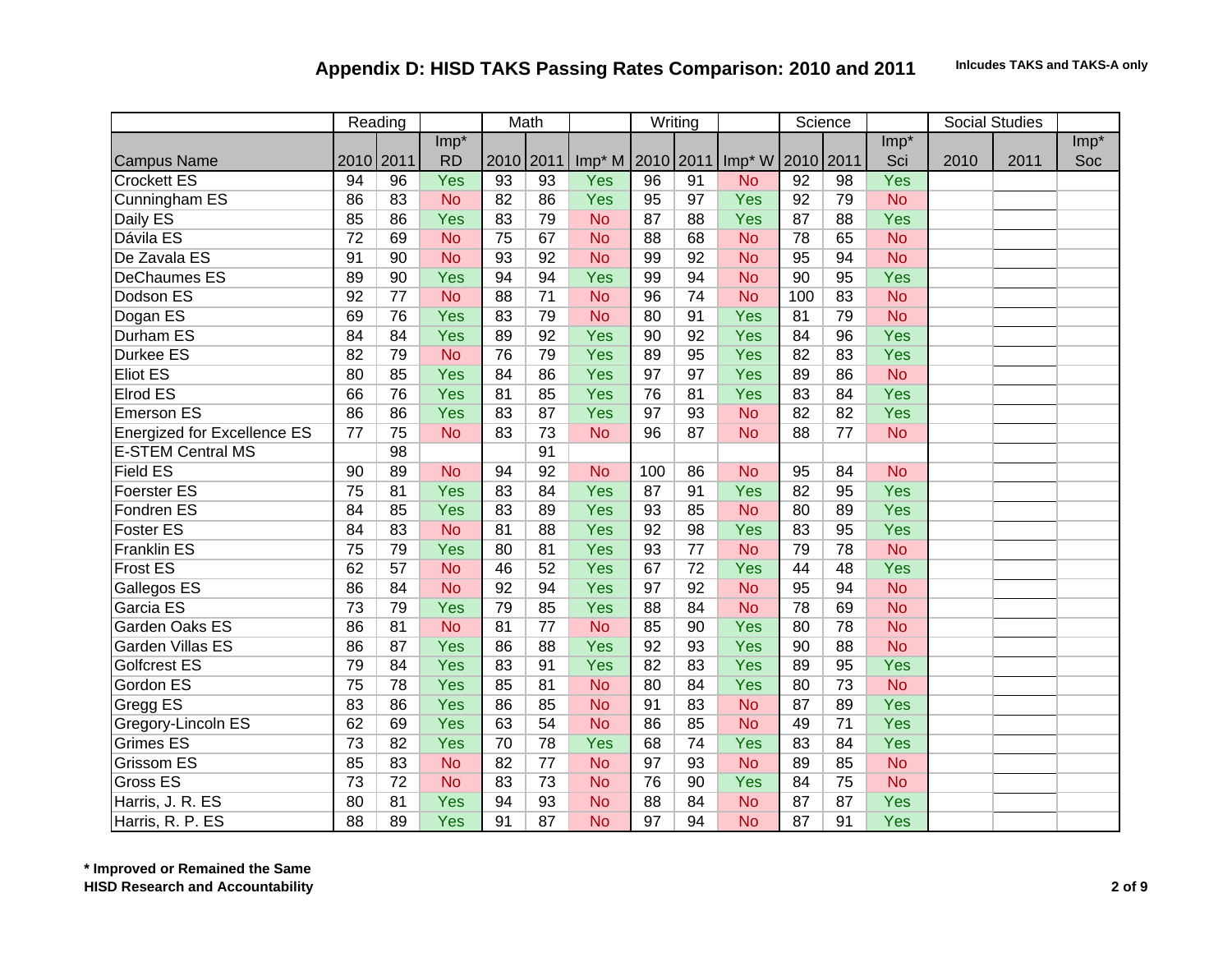|                                    |                 | Reading   |           |           | Math            |           |                 | Writing         |                    |           | Science         |            |      | <b>Social Studies</b> |        |
|------------------------------------|-----------------|-----------|-----------|-----------|-----------------|-----------|-----------------|-----------------|--------------------|-----------|-----------------|------------|------|-----------------------|--------|
|                                    |                 |           | $Imp*$    |           |                 |           |                 |                 |                    |           |                 | $Imp*$     |      |                       | $Imp*$ |
| <b>Campus Name</b>                 |                 | 2010 2011 | <b>RD</b> | 2010 2011 |                 | $Imp^*M$  | 2010 2011       |                 | Imp <sup>*</sup> W | 2010 2011 |                 | Sci        | 2010 | 2011                  | Soc    |
| Crockett ES                        | 94              | 96        | Yes       | 93        | $\overline{93}$ | Yes       | $\overline{96}$ | $\overline{91}$ | <b>No</b>          | 92        | $\overline{98}$ | Yes        |      |                       |        |
| Cunningham ES                      | 86              | 83        | <b>No</b> | 82        | 86              | Yes       | 95              | 97              | Yes                | 92        | 79              | <b>No</b>  |      |                       |        |
| Daily ES                           | 85              | 86        | Yes       | 83        | 79              | <b>No</b> | 87              | 88              | Yes                | 87        | 88              | Yes        |      |                       |        |
| Dávila ES                          | $\overline{72}$ | 69        | <b>No</b> | 75        | 67              | <b>No</b> | 88              | 68              | <b>No</b>          | 78        | 65              | <b>No</b>  |      |                       |        |
| De Zavala ES                       | 91              | 90        | <b>No</b> | 93        | 92              | <b>No</b> | 99              | 92              | <b>No</b>          | 95        | 94              | <b>No</b>  |      |                       |        |
| <b>DeChaumes ES</b>                | 89              | 90        | Yes       | 94        | 94              | Yes       | 99              | 94              | <b>No</b>          | 90        | 95              | Yes        |      |                       |        |
| Dodson ES                          | 92              | 77        | <b>No</b> | 88        | 71              | <b>No</b> | 96              | 74              | <b>No</b>          | 100       | 83              | <b>No</b>  |      |                       |        |
| Dogan ES                           | 69              | 76        | Yes       | 83        | 79              | <b>No</b> | 80              | 91              | Yes                | 81        | 79              | <b>No</b>  |      |                       |        |
| <b>Durham ES</b>                   | 84              | 84        | Yes       | 89        | 92              | Yes       | 90              | 92              | Yes                | 84        | 96              | <b>Yes</b> |      |                       |        |
| <b>Durkee ES</b>                   | 82              | 79        | <b>No</b> | 76        | 79              | Yes       | 89              | 95              | Yes                | 82        | 83              | <b>Yes</b> |      |                       |        |
| Eliot ES                           | 80              | 85        | Yes       | 84        | 86              | Yes       | 97              | 97              | Yes                | 89        | 86              | <b>No</b>  |      |                       |        |
| <b>Elrod ES</b>                    | 66              | 76        | Yes       | 81        | 85              | Yes       | 76              | 81              | Yes                | 83        | 84              | <b>Yes</b> |      |                       |        |
| <b>Emerson ES</b>                  | 86              | 86        | Yes       | 83        | 87              | Yes       | 97              | 93              | <b>No</b>          | 82        | 82              | Yes        |      |                       |        |
| <b>Energized for Excellence ES</b> | 77              | 75        | <b>No</b> | 83        | 73              | <b>No</b> | 96              | 87              | <b>No</b>          | 88        | 77              | <b>No</b>  |      |                       |        |
| <b>E-STEM Central MS</b>           |                 | 98        |           |           | 91              |           |                 |                 |                    |           |                 |            |      |                       |        |
| <b>Field ES</b>                    | 90              | 89        | <b>No</b> | 94        | 92              | <b>No</b> | 100             | 86              | <b>No</b>          | 95        | 84              | <b>No</b>  |      |                       |        |
| <b>Foerster ES</b>                 | 75              | 81        | Yes       | 83        | 84              | Yes       | 87              | 91              | Yes                | 82        | 95              | Yes        |      |                       |        |
| Fondren ES                         | 84              | 85        | Yes       | 83        | 89              | Yes       | 93              | 85              | <b>No</b>          | 80        | 89              | Yes        |      |                       |        |
| <b>Foster ES</b>                   | 84              | 83        | <b>No</b> | 81        | 88              | Yes       | 92              | 98              | Yes                | 83        | 95              | Yes        |      |                       |        |
| <b>Franklin ES</b>                 | 75              | 79        | Yes       | 80        | 81              | Yes       | 93              | 77              | <b>No</b>          | 79        | 78              | <b>No</b>  |      |                       |        |
| <b>Frost ES</b>                    | 62              | 57        | <b>No</b> | 46        | 52              | Yes       | 67              | 72              | Yes                | 44        | 48              | Yes        |      |                       |        |
| Gallegos ES                        | 86              | 84        | <b>No</b> | 92        | 94              | Yes       | 97              | 92              | <b>No</b>          | 95        | 94              | <b>No</b>  |      |                       |        |
| Garcia ES                          | 73              | 79        | Yes       | 79        | 85              | Yes       | 88              | 84              | <b>No</b>          | 78        | 69              | <b>No</b>  |      |                       |        |
| Garden Oaks ES                     | 86              | 81        | <b>No</b> | 81        | 77              | <b>No</b> | 85              | 90              | Yes                | 80        | 78              | <b>No</b>  |      |                       |        |
| Garden Villas ES                   | 86              | 87        | Yes       | 86        | 88              | Yes       | 92              | 93              | Yes                | 90        | 88              | <b>No</b>  |      |                       |        |
| <b>Golfcrest ES</b>                | 79              | 84        | Yes       | 83        | 91              | Yes       | 82              | 83              | Yes                | 89        | 95              | Yes        |      |                       |        |
| Gordon ES                          | 75              | 78        | Yes       | 85        | 81              | <b>No</b> | 80              | 84              | Yes                | 80        | 73              | <b>No</b>  |      |                       |        |
| Gregg ES                           | 83              | 86        | Yes       | 86        | 85              | <b>No</b> | 91              | 83              | <b>No</b>          | 87        | 89              | Yes        |      |                       |        |
| Gregory-Lincoln ES                 | 62              | 69        | Yes       | 63        | 54              | <b>No</b> | 86              | 85              | <b>No</b>          | 49        | 71              | Yes        |      |                       |        |
| <b>Grimes ES</b>                   | 73              | 82        | Yes       | 70        | 78              | Yes       | 68              | 74              | Yes                | 83        | 84              | Yes        |      |                       |        |
| <b>Grissom ES</b>                  | 85              | 83        | <b>No</b> | 82        | 77              | <b>No</b> | 97              | 93              | <b>No</b>          | 89        | 85              | <b>No</b>  |      |                       |        |
| Gross ES                           | 73              | 72        | <b>No</b> | 83        | 73              | <b>No</b> | 76              | 90              | Yes                | 84        | 75              | <b>No</b>  |      |                       |        |
| Harris, J. R. ES                   | 80              | 81        | Yes       | 94        | 93              | <b>No</b> | 88              | 84              | <b>No</b>          | 87        | 87              | Yes        |      |                       |        |
| Harris, R. P. ES                   | 88              | 89        | Yes       | 91        | 87              | <b>No</b> | 97              | 94              | <b>No</b>          | 87        | 91              | Yes        |      |                       |        |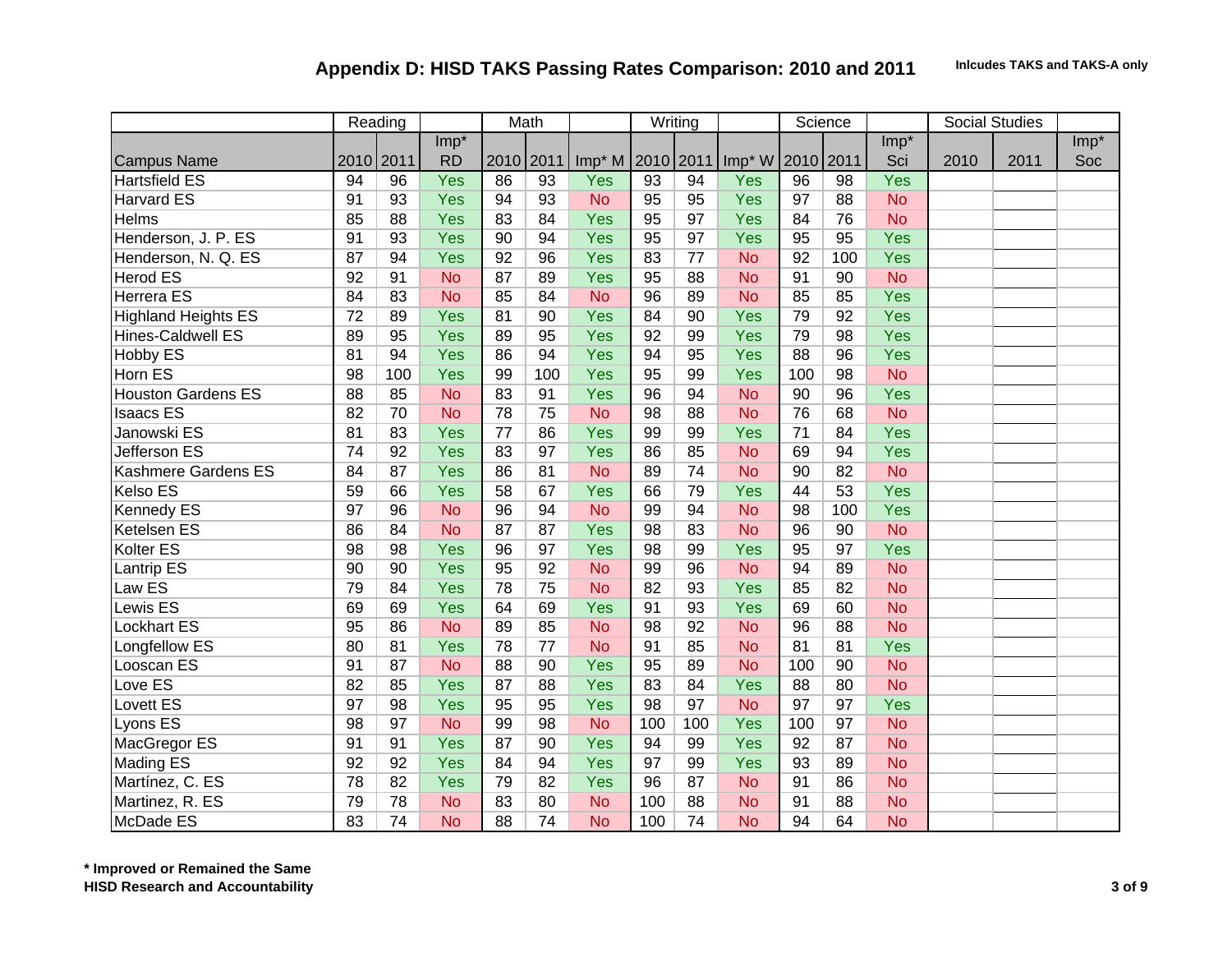|                            |                 | Reading   |           |           | Math            |                              |     | Writing |            |           | Science         |            |      | <b>Social Studies</b> |        |
|----------------------------|-----------------|-----------|-----------|-----------|-----------------|------------------------------|-----|---------|------------|-----------|-----------------|------------|------|-----------------------|--------|
|                            |                 |           | Imp*      |           |                 |                              |     |         |            |           |                 | $Imp*$     |      |                       | $Imp*$ |
| <b>Campus Name</b>         |                 | 2010 2011 | <b>RD</b> | 2010 2011 |                 | Imp <sup>*</sup> M 2010 2011 |     |         | Imp* W     | 2010 2011 |                 | Sci        | 2010 | 2011                  | Soc    |
| <b>Hartsfield ES</b>       | 94              | 96        | Yes       | 86        | $\overline{93}$ | Yes                          | 93  | 94      | Yes        | 96        | $\overline{98}$ | Yes        |      |                       |        |
| <b>Harvard ES</b>          | 91              | 93        | Yes       | 94        | 93              | <b>No</b>                    | 95  | 95      | Yes        | 97        | 88              | <b>No</b>  |      |                       |        |
| <b>Helms</b>               | 85              | 88        | Yes       | 83        | 84              | Yes                          | 95  | 97      | Yes        | 84        | 76              | <b>No</b>  |      |                       |        |
| Henderson, J. P. ES        | 91              | 93        | Yes       | 90        | 94              | Yes                          | 95  | 97      | Yes        | 95        | 95              | Yes        |      |                       |        |
| Henderson, N. Q. ES        | 87              | 94        | Yes       | 92        | 96              | Yes                          | 83  | 77      | <b>No</b>  | 92        | 100             | <b>Yes</b> |      |                       |        |
| <b>Herod ES</b>            | 92              | 91        | <b>No</b> | 87        | 89              | Yes                          | 95  | 88      | <b>No</b>  | 91        | 90              | <b>No</b>  |      |                       |        |
| <b>Herrera ES</b>          | 84              | 83        | <b>No</b> | 85        | 84              | <b>No</b>                    | 96  | 89      | <b>No</b>  | 85        | 85              | Yes        |      |                       |        |
| <b>Highland Heights ES</b> | $\overline{72}$ | 89        | Yes       | 81        | 90              | Yes                          | 84  | 90      | Yes        | 79        | 92              | <b>Yes</b> |      |                       |        |
| <b>Hines-Caldwell ES</b>   | 89              | 95        | Yes       | 89        | 95              | Yes                          | 92  | 99      | Yes        | 79        | 98              | <b>Yes</b> |      |                       |        |
| Hobby ES                   | 81              | 94        | Yes       | 86        | 94              | Yes                          | 94  | 95      | Yes        | 88        | 96              | Yes        |      |                       |        |
| Horn ES                    | 98              | 100       | Yes       | 99        | 100             | Yes                          | 95  | 99      | Yes        | 100       | 98              | <b>No</b>  |      |                       |        |
| <b>Houston Gardens ES</b>  | 88              | 85        | <b>No</b> | 83        | 91              | Yes                          | 96  | 94      | <b>No</b>  | 90        | 96              | Yes        |      |                       |        |
| <b>Isaacs ES</b>           | 82              | 70        | <b>No</b> | 78        | 75              | <b>No</b>                    | 98  | 88      | <b>No</b>  | 76        | 68              | <b>No</b>  |      |                       |        |
| Janowski ES                | 81              | 83        | Yes       | 77        | 86              | Yes                          | 99  | 99      | <b>Yes</b> | 71        | 84              | Yes        |      |                       |        |
| <b>Jefferson ES</b>        | 74              | 92        | Yes       | 83        | 97              | Yes                          | 86  | 85      | <b>No</b>  | 69        | 94              | Yes        |      |                       |        |
| <b>Kashmere Gardens ES</b> | 84              | 87        | Yes       | 86        | 81              | <b>No</b>                    | 89  | 74      | <b>No</b>  | 90        | 82              | <b>No</b>  |      |                       |        |
| <b>Kelso ES</b>            | 59              | 66        | Yes       | 58        | 67              | Yes                          | 66  | 79      | <b>Yes</b> | 44        | 53              | Yes        |      |                       |        |
| <b>Kennedy ES</b>          | 97              | 96        | <b>No</b> | 96        | 94              | <b>No</b>                    | 99  | 94      | <b>No</b>  | 98        | 100             | Yes        |      |                       |        |
| <b>Ketelsen ES</b>         | 86              | 84        | <b>No</b> | 87        | 87              | Yes                          | 98  | 83      | <b>No</b>  | 96        | 90              | <b>No</b>  |      |                       |        |
| <b>Kolter ES</b>           | 98              | 98        | Yes       | 96        | 97              | Yes                          | 98  | 99      | Yes        | 95        | 97              | Yes        |      |                       |        |
| Lantrip ES                 | 90              | 90        | Yes       | 95        | 92              | <b>No</b>                    | 99  | 96      | <b>No</b>  | 94        | 89              | <b>No</b>  |      |                       |        |
| Law ES                     | 79              | 84        | Yes       | 78        | 75              | <b>No</b>                    | 82  | 93      | Yes        | 85        | 82              | <b>No</b>  |      |                       |        |
| <b>Lewis ES</b>            | 69              | 69        | Yes       | 64        | 69              | Yes                          | 91  | 93      | Yes        | 69        | 60              | <b>No</b>  |      |                       |        |
| <b>Lockhart ES</b>         | 95              | 86        | <b>No</b> | 89        | 85              | <b>No</b>                    | 98  | 92      | <b>No</b>  | 96        | 88              | <b>No</b>  |      |                       |        |
| Longfellow ES              | 80              | 81        | Yes       | 78        | 77              | <b>No</b>                    | 91  | 85      | <b>No</b>  | 81        | 81              | Yes        |      |                       |        |
| Looscan ES                 | 91              | 87        | <b>No</b> | 88        | 90              | Yes                          | 95  | 89      | <b>No</b>  | 100       | 90              | <b>No</b>  |      |                       |        |
| Love ES                    | 82              | 85        | Yes       | 87        | 88              | Yes                          | 83  | 84      | Yes        | 88        | 80              | <b>No</b>  |      |                       |        |
| <b>Lovett ES</b>           | 97              | 98        | Yes       | 95        | 95              | Yes                          | 98  | 97      | <b>No</b>  | 97        | 97              | Yes        |      |                       |        |
| Lyons ES                   | 98              | 97        | <b>No</b> | 99        | 98              | <b>No</b>                    | 100 | 100     | Yes        | 100       | 97              | <b>No</b>  |      |                       |        |
| MacGregor ES               | 91              | 91        | Yes       | 87        | 90              | Yes                          | 94  | 99      | Yes        | 92        | 87              | <b>No</b>  |      |                       |        |
| <b>Mading ES</b>           | 92              | 92        | Yes       | 84        | 94              | Yes                          | 97  | 99      | Yes        | 93        | 89              | <b>No</b>  |      |                       |        |
| Martínez, C. ES            | 78              | 82        | Yes       | 79        | 82              | Yes                          | 96  | 87      | <b>No</b>  | 91        | 86              | <b>No</b>  |      |                       |        |
| Martinez, R. ES            | 79              | 78        | <b>No</b> | 83        | 80              | <b>No</b>                    | 100 | 88      | <b>No</b>  | 91        | 88              | <b>No</b>  |      |                       |        |
| McDade ES                  | 83              | 74        | <b>No</b> | 88        | 74              | <b>No</b>                    | 100 | 74      | <b>No</b>  | 94        | 64              | <b>No</b>  |      |                       |        |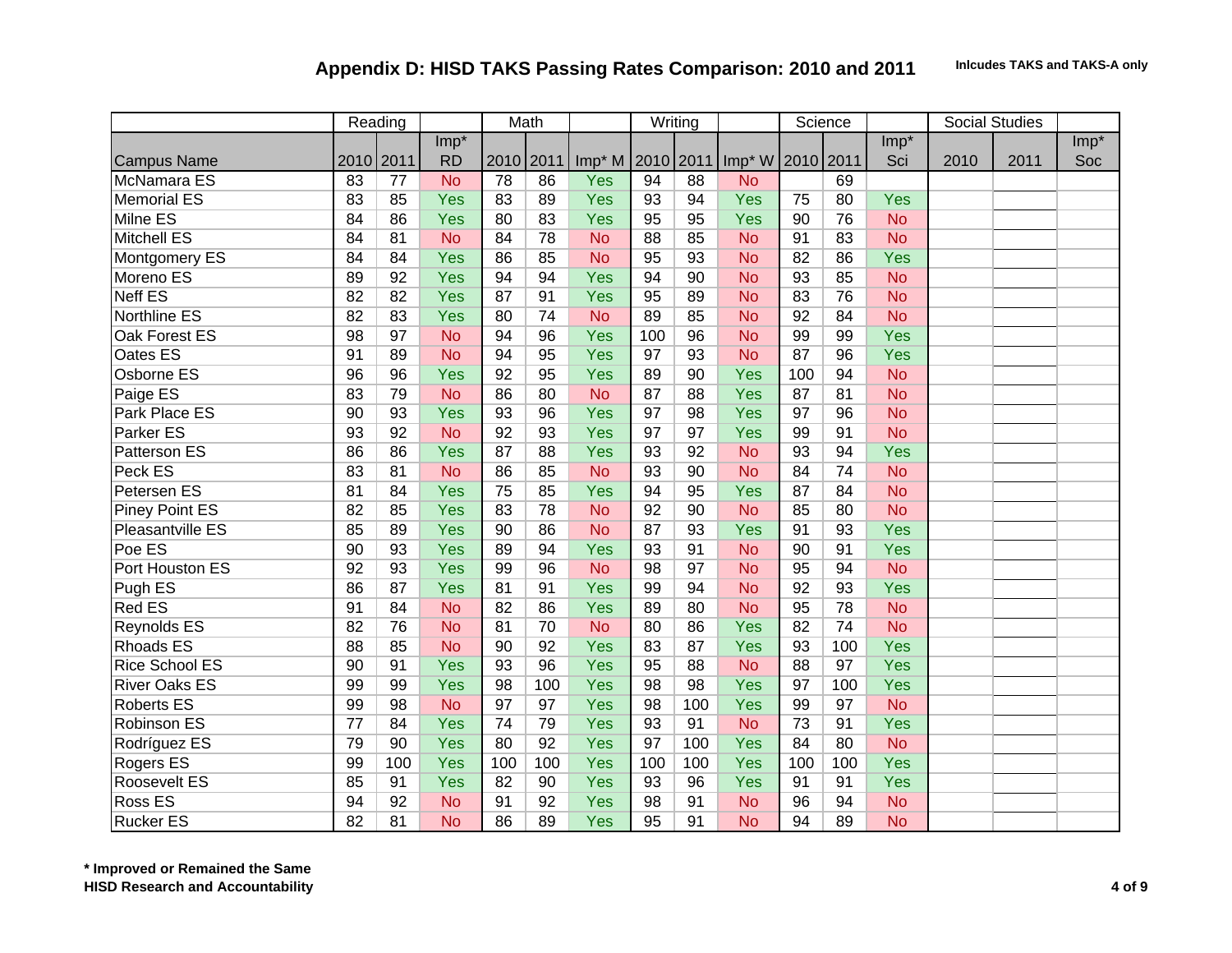|                       |           | Reading |           |           | Math |                  |     | Writing |                    |           | Science |            |      | Social Studies |        |
|-----------------------|-----------|---------|-----------|-----------|------|------------------|-----|---------|--------------------|-----------|---------|------------|------|----------------|--------|
|                       |           |         | Imp*      |           |      |                  |     |         |                    |           |         | $Imp*$     |      |                | $Imp*$ |
| <b>Campus Name</b>    | 2010 2011 |         | <b>RD</b> | 2010 2011 |      | Imp* M 2010 2011 |     |         | Imp <sup>*</sup> W | 2010 2011 |         | Sci        | 2010 | 2011           | Soc    |
| McNamara ES           | 83        | 77      | <b>No</b> | 78        | 86   | Yes              | 94  | 88      | <b>No</b>          |           | 69      |            |      |                |        |
| <b>Memorial ES</b>    | 83        | 85      | Yes       | 83        | 89   | Yes              | 93  | 94      | Yes                | 75        | 80      | Yes        |      |                |        |
| Milne ES              | 84        | 86      | Yes       | 80        | 83   | Yes              | 95  | 95      | Yes                | 90        | 76      | <b>No</b>  |      |                |        |
| <b>Mitchell ES</b>    | 84        | 81      | <b>No</b> | 84        | 78   | <b>No</b>        | 88  | 85      | <b>No</b>          | 91        | 83      | <b>No</b>  |      |                |        |
| <b>Montgomery ES</b>  | 84        | 84      | Yes       | 86        | 85   | <b>No</b>        | 95  | 93      | <b>No</b>          | 82        | 86      | <b>Yes</b> |      |                |        |
| Moreno ES             | 89        | 92      | Yes       | 94        | 94   | Yes              | 94  | 90      | <b>No</b>          | 93        | 85      | <b>No</b>  |      |                |        |
| <b>Neff ES</b>        | 82        | 82      | Yes       | 87        | 91   | Yes              | 95  | 89      | <b>No</b>          | 83        | 76      | <b>No</b>  |      |                |        |
| <b>Northline ES</b>   | 82        | 83      | Yes       | 80        | 74   | <b>No</b>        | 89  | 85      | <b>No</b>          | 92        | 84      | <b>No</b>  |      |                |        |
| <b>Oak Forest ES</b>  | 98        | 97      | <b>No</b> | 94        | 96   | Yes              | 100 | 96      | <b>No</b>          | 99        | 99      | <b>Yes</b> |      |                |        |
| Oates ES              | 91        | 89      | <b>No</b> | 94        | 95   | Yes              | 97  | 93      | <b>No</b>          | 87        | 96      | <b>Yes</b> |      |                |        |
| Osborne ES            | 96        | 96      | Yes       | 92        | 95   | Yes              | 89  | 90      | Yes                | 100       | 94      | <b>No</b>  |      |                |        |
| Paige ES              | 83        | 79      | <b>No</b> | 86        | 80   | <b>No</b>        | 87  | 88      | Yes                | 87        | 81      | <b>No</b>  |      |                |        |
| Park Place ES         | 90        | 93      | Yes       | 93        | 96   | Yes              | 97  | 98      | Yes                | 97        | 96      | <b>No</b>  |      |                |        |
| Parker ES             | 93        | 92      | <b>No</b> | 92        | 93   | Yes              | 97  | 97      | Yes                | 99        | 91      | <b>No</b>  |      |                |        |
| <b>Patterson ES</b>   | 86        | 86      | Yes       | 87        | 88   | Yes              | 93  | 92      | <b>No</b>          | 93        | 94      | <b>Yes</b> |      |                |        |
| Peck ES               | 83        | 81      | <b>No</b> | 86        | 85   | <b>No</b>        | 93  | 90      | <b>No</b>          | 84        | 74      | <b>No</b>  |      |                |        |
| Petersen ES           | 81        | 84      | Yes       | 75        | 85   | Yes              | 94  | 95      | Yes                | 87        | 84      | <b>No</b>  |      |                |        |
| <b>Piney Point ES</b> | 82        | 85      | Yes       | 83        | 78   | <b>No</b>        | 92  | 90      | <b>No</b>          | 85        | 80      | <b>No</b>  |      |                |        |
| Pleasantville ES      | 85        | 89      | Yes       | 90        | 86   | <b>No</b>        | 87  | 93      | Yes                | 91        | 93      | <b>Yes</b> |      |                |        |
| Poe ES                | 90        | 93      | Yes       | 89        | 94   | Yes              | 93  | 91      | <b>No</b>          | 90        | 91      | Yes        |      |                |        |
| Port Houston ES       | 92        | 93      | Yes       | 99        | 96   | <b>No</b>        | 98  | 97      | <b>No</b>          | 95        | 94      | <b>No</b>  |      |                |        |
| Pugh ES               | 86        | 87      | Yes       | 81        | 91   | Yes              | 99  | 94      | <b>No</b>          | 92        | 93      | Yes        |      |                |        |
| <b>Red ES</b>         | 91        | 84      | <b>No</b> | 82        | 86   | Yes              | 89  | 80      | <b>No</b>          | 95        | 78      | <b>No</b>  |      |                |        |
| <b>Reynolds ES</b>    | 82        | 76      | <b>No</b> | 81        | 70   | <b>No</b>        | 80  | 86      | Yes                | 82        | 74      | <b>No</b>  |      |                |        |
| <b>Rhoads ES</b>      | 88        | 85      | <b>No</b> | 90        | 92   | Yes              | 83  | 87      | Yes                | 93        | 100     | Yes        |      |                |        |
| <b>Rice School ES</b> | 90        | 91      | Yes       | 93        | 96   | Yes              | 95  | 88      | <b>No</b>          | 88        | 97      | Yes        |      |                |        |
| <b>River Oaks ES</b>  | 99        | 99      | Yes       | 98        | 100  | Yes              | 98  | 98      | Yes                | 97        | 100     | Yes        |      |                |        |
| <b>Roberts ES</b>     | 99        | 98      | <b>No</b> | 97        | 97   | Yes              | 98  | 100     | Yes                | 99        | 97      | <b>No</b>  |      |                |        |
| Robinson ES           | 77        | 84      | Yes       | 74        | 79   | Yes              | 93  | 91      | <b>No</b>          | 73        | 91      | Yes        |      |                |        |
| Rodríguez ES          | 79        | 90      | Yes       | 80        | 92   | Yes              | 97  | 100     | Yes                | 84        | 80      | <b>No</b>  |      |                |        |
| Rogers ES             | 99        | 100     | Yes       | 100       | 100  | Yes              | 100 | 100     | Yes                | 100       | 100     | Yes        |      |                |        |
| <b>Roosevelt ES</b>   | 85        | 91      | Yes       | 82        | 90   | Yes              | 93  | 96      | Yes                | 91        | 91      | Yes        |      |                |        |
| Ross ES               | 94        | 92      | <b>No</b> | 91        | 92   | Yes              | 98  | 91      | <b>No</b>          | 96        | 94      | <b>No</b>  |      |                |        |
| <b>Rucker ES</b>      | 82        | 81      | <b>No</b> | 86        | 89   | Yes              | 95  | 91      | <b>No</b>          | 94        | 89      | <b>No</b>  |      |                |        |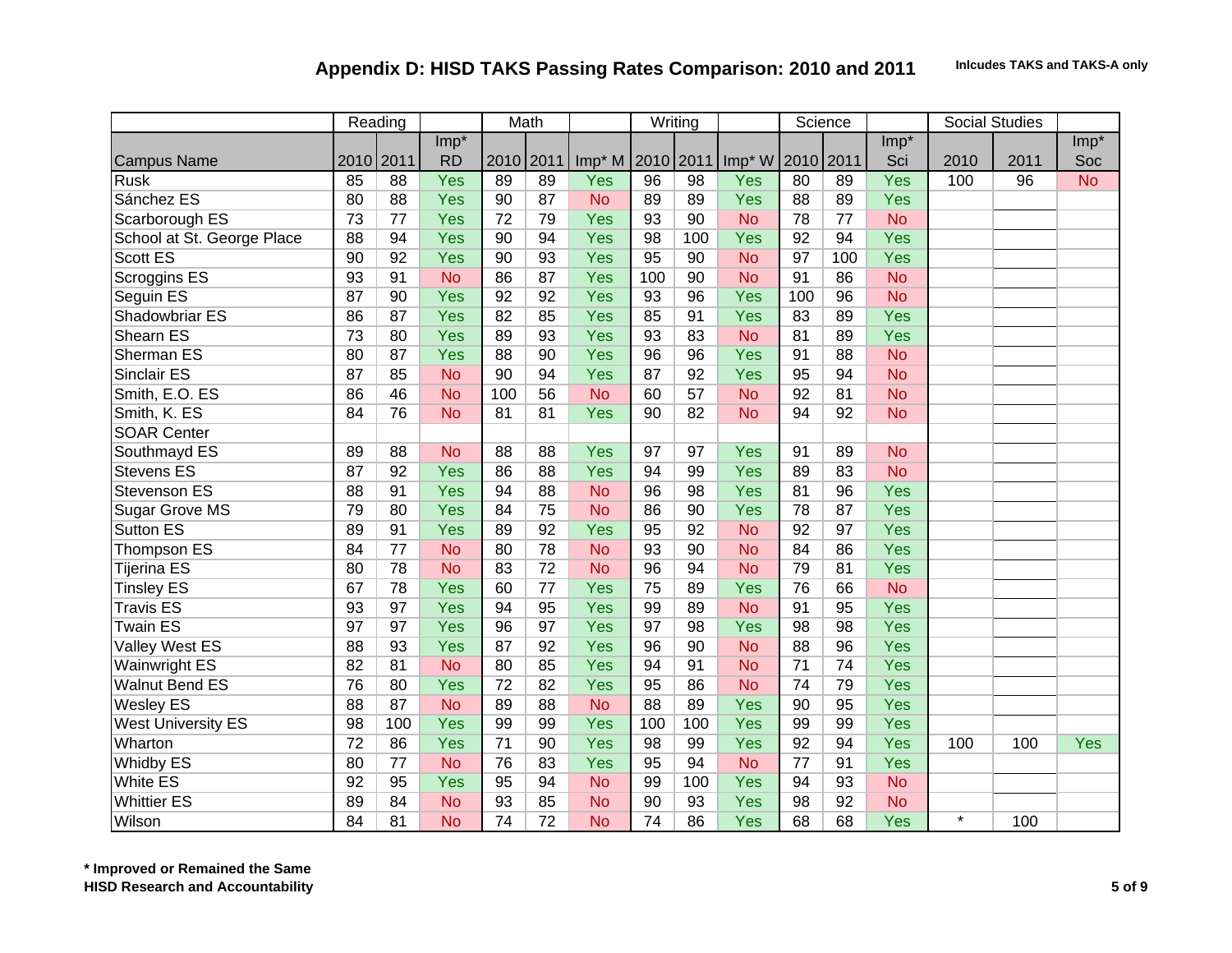|                            |                 | Reading   |           |           | Math            |           |           | Writing         |           |           | Science |            |         | <b>Social Studies</b> |           |
|----------------------------|-----------------|-----------|-----------|-----------|-----------------|-----------|-----------|-----------------|-----------|-----------|---------|------------|---------|-----------------------|-----------|
|                            |                 |           | Imp*      |           |                 |           |           |                 |           |           |         | $Imp*$     |         |                       | $Imp*$    |
| <b>Campus Name</b>         |                 | 2010 2011 | <b>RD</b> | 2010 2011 |                 | $Imp^*M$  | 2010 2011 |                 | Imp* W    | 2010 2011 |         | Sci        | 2010    | 2011                  | Soc       |
| <b>Rusk</b>                | 85              | 88        | Yes       | 89        | 89              | Yes       | 96        | $\overline{98}$ | Yes       | 80        | 89      | Yes        | 100     | $\overline{96}$       | <b>No</b> |
| Sánchez ES                 | 80              | 88        | Yes       | 90        | 87              | <b>No</b> | 89        | 89              | Yes       | 88        | 89      | Yes        |         |                       |           |
| Scarborough ES             | 73              | 77        | Yes       | 72        | 79              | Yes       | 93        | 90              | <b>No</b> | 78        | 77      | <b>No</b>  |         |                       |           |
| School at St. George Place | 88              | 94        | Yes       | 90        | 94              | Yes       | 98        | 100             | Yes       | 92        | 94      | Yes        |         |                       |           |
| <b>Scott ES</b>            | 90              | 92        | Yes       | 90        | 93              | Yes       | 95        | 90              | <b>No</b> | 97        | 100     | <b>Yes</b> |         |                       |           |
| <b>Scroggins ES</b>        | 93              | 91        | <b>No</b> | 86        | 87              | Yes       | 100       | 90              | <b>No</b> | 91        | 86      | <b>No</b>  |         |                       |           |
| Seguin ES                  | 87              | 90        | Yes       | 92        | 92              | Yes       | 93        | 96              | Yes       | 100       | 96      | <b>No</b>  |         |                       |           |
| <b>Shadowbriar ES</b>      | 86              | 87        | Yes       | 82        | 85              | Yes       | 85        | 91              | Yes       | 83        | 89      | <b>Yes</b> |         |                       |           |
| <b>Shearn ES</b>           | 73              | 80        | Yes       | 89        | 93              | Yes       | 93        | 83              | <b>No</b> | 81        | 89      | <b>Yes</b> |         |                       |           |
| <b>Sherman ES</b>          | 80              | 87        | Yes       | 88        | 90              | Yes       | 96        | 96              | Yes       | 91        | 88      | <b>No</b>  |         |                       |           |
| <b>Sinclair ES</b>         | 87              | 85        | <b>No</b> | 90        | 94              | Yes       | 87        | 92              | Yes       | 95        | 94      | <b>No</b>  |         |                       |           |
| Smith, E.O. ES             | 86              | 46        | <b>No</b> | 100       | 56              | <b>No</b> | 60        | 57              | <b>No</b> | 92        | 81      | <b>No</b>  |         |                       |           |
| Smith, K. ES               | 84              | 76        | <b>No</b> | 81        | 81              | Yes       | 90        | 82              | <b>No</b> | 94        | 92      | <b>No</b>  |         |                       |           |
| <b>SOAR Center</b>         |                 |           |           |           |                 |           |           |                 |           |           |         |            |         |                       |           |
| Southmayd ES               | 89              | 88        | <b>No</b> | 88        | 88              | Yes       | 97        | 97              | Yes       | 91        | 89      | <b>No</b>  |         |                       |           |
| <b>Stevens ES</b>          | 87              | 92        | Yes       | 86        | 88              | Yes       | 94        | 99              | Yes       | 89        | 83      | <b>No</b>  |         |                       |           |
| <b>Stevenson ES</b>        | 88              | 91        | Yes       | 94        | 88              | <b>No</b> | 96        | 98              | Yes       | 81        | 96      | Yes        |         |                       |           |
| Sugar Grove MS             | 79              | 80        | Yes       | 84        | 75              | <b>No</b> | 86        | 90              | Yes       | 78        | 87      | Yes        |         |                       |           |
| <b>Sutton ES</b>           | 89              | 91        | Yes       | 89        | 92              | Yes       | 95        | 92              | <b>No</b> | 92        | 97      | Yes        |         |                       |           |
| Thompson ES                | 84              | 77        | <b>No</b> | 80        | 78              | <b>No</b> | 93        | 90              | <b>No</b> | 84        | 86      | Yes        |         |                       |           |
| Tijerina ES                | 80              | 78        | <b>No</b> | 83        | 72              | <b>No</b> | 96        | 94              | <b>No</b> | 79        | 81      | Yes        |         |                       |           |
| <b>Tinsley ES</b>          | 67              | 78        | Yes       | 60        | 77              | Yes       | 75        | 89              | Yes       | 76        | 66      | <b>No</b>  |         |                       |           |
| <b>Travis ES</b>           | 93              | 97        | Yes       | 94        | 95              | Yes       | 99        | 89              | <b>No</b> | 91        | 95      | Yes        |         |                       |           |
| <b>Twain ES</b>            | 97              | 97        | Yes       | 96        | 97              | Yes       | 97        | 98              | Yes       | 98        | 98      | Yes        |         |                       |           |
| Valley West ES             | 88              | 93        | Yes       | 87        | 92              | Yes       | 96        | 90              | <b>No</b> | 88        | 96      | Yes        |         |                       |           |
| <b>Wainwright ES</b>       | 82              | 81        | <b>No</b> | 80        | 85              | Yes       | 94        | 91              | <b>No</b> | 71        | 74      | <b>Yes</b> |         |                       |           |
| <b>Walnut Bend ES</b>      | 76              | 80        | Yes       | 72        | 82              | Yes       | 95        | 86              | <b>No</b> | 74        | 79      | Yes        |         |                       |           |
| <b>Wesley ES</b>           | 88              | 87        | <b>No</b> | 89        | 88              | <b>No</b> | 88        | 89              | Yes       | 90        | 95      | Yes        |         |                       |           |
| <b>West University ES</b>  | 98              | 100       | Yes       | 99        | 99              | Yes       | 100       | 100             | Yes       | 99        | 99      | Yes        |         |                       |           |
| Wharton                    | $\overline{72}$ | 86        | Yes       | 71        | 90              | Yes       | 98        | 99              | Yes       | 92        | 94      | Yes        | 100     | 100                   | Yes       |
| <b>Whidby ES</b>           | 80              | 77        | <b>No</b> | 76        | 83              | Yes       | 95        | 94              | <b>No</b> | 77        | 91      | Yes        |         |                       |           |
| <b>White ES</b>            | 92              | 95        | Yes       | 95        | 94              | <b>No</b> | 99        | 100             | Yes       | 94        | 93      | <b>No</b>  |         |                       |           |
| <b>Whittier ES</b>         | 89              | 84        | <b>No</b> | 93        | 85              | <b>No</b> | 90        | 93              | Yes       | 98        | 92      | <b>No</b>  |         |                       |           |
| Wilson                     | 84              | 81        | <b>No</b> | 74        | $\overline{72}$ | <b>No</b> | 74        | 86              | Yes       | 68        | 68      | <b>Yes</b> | $\star$ | 100                   |           |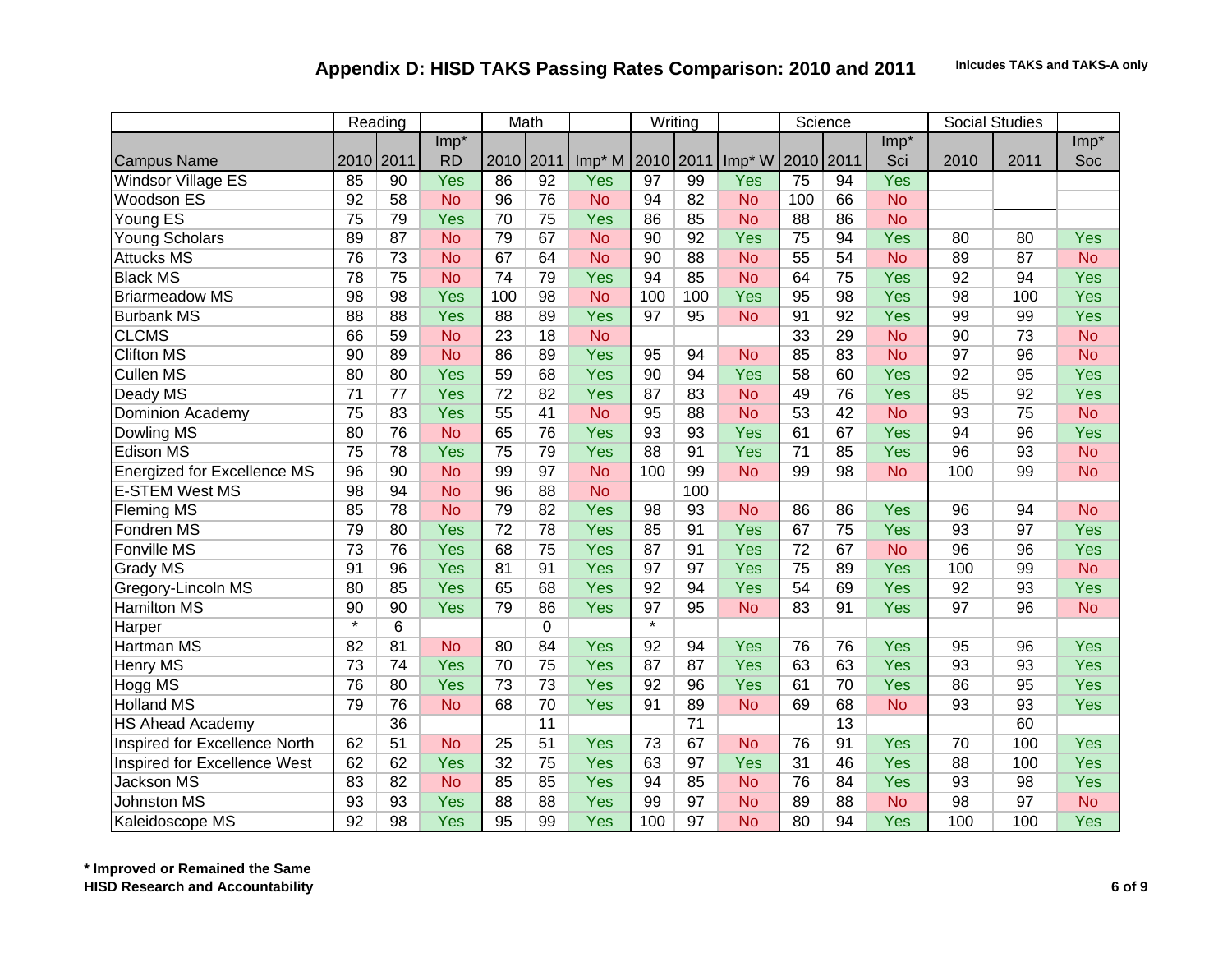|                                    |                 | Reading |           |                 | Math            |           |                   | Writing |           |      | Science |           |      | <b>Social Studies</b> |            |
|------------------------------------|-----------------|---------|-----------|-----------------|-----------------|-----------|-------------------|---------|-----------|------|---------|-----------|------|-----------------------|------------|
|                                    |                 |         | $Imp*$    |                 |                 |           |                   |         |           |      |         | $Imp*$    |      |                       | $Imp*$     |
| <b>Campus Name</b>                 | 2010 2011       |         | <b>RD</b> | 2010            | 2011            | $Imp*M$   | 2010 2011         |         | Imp* W    | 2010 | 2011    | Sci       | 2010 | 2011                  | Soc        |
| <b>Windsor Village ES</b>          | 85              | 90      | Yes       | 86              | $\overline{92}$ | Yes       | 97                | 99      | Yes       | 75   | 94      | Yes       |      |                       |            |
| <b>Woodson ES</b>                  | 92              | 58      | <b>No</b> | 96              | 76              | <b>No</b> | 94                | 82      | <b>No</b> | 100  | 66      | <b>No</b> |      |                       |            |
| Young ES                           | 75              | 79      | Yes       | 70              | 75              | Yes       | 86                | 85      | <b>No</b> | 88   | 86      | <b>No</b> |      |                       |            |
| Young Scholars                     | 89              | 87      | <b>No</b> | 79              | 67              | <b>No</b> | 90                | 92      | Yes       | 75   | 94      | Yes       | 80   | 80                    | Yes        |
| <b>Attucks MS</b>                  | 76              | 73      | <b>No</b> | 67              | 64              | <b>No</b> | 90                | 88      | <b>No</b> | 55   | 54      | <b>No</b> | 89   | 87                    | <b>No</b>  |
| <b>Black MS</b>                    | 78              | 75      | <b>No</b> | 74              | 79              | Yes       | 94                | 85      | <b>No</b> | 64   | 75      | Yes       | 92   | 94                    | <b>Yes</b> |
| <b>Briarmeadow MS</b>              | 98              | 98      | Yes       | 100             | 98              | <b>No</b> | 100               | 100     | Yes       | 95   | 98      | Yes       | 98   | 100                   | <b>Yes</b> |
| <b>Burbank MS</b>                  | 88              | 88      | Yes       | 88              | 89              | Yes       | 97                | 95      | <b>No</b> | 91   | 92      | Yes       | 99   | 99                    | Yes        |
| <b>CLCMS</b>                       | 66              | 59      | <b>No</b> | 23              | 18              | <b>No</b> |                   |         |           | 33   | 29      | <b>No</b> | 90   | 73                    | <b>No</b>  |
| <b>Clifton MS</b>                  | 90              | 89      | <b>No</b> | 86              | 89              | Yes       | 95                | 94      | <b>No</b> | 85   | 83      | <b>No</b> | 97   | 96                    | <b>No</b>  |
| <b>Cullen MS</b>                   | 80              | 80      | Yes       | 59              | 68              | Yes       | 90                | 94      | Yes       | 58   | 60      | Yes       | 92   | 95                    | Yes        |
| Deady MS                           | $\overline{71}$ | 77      | Yes       | $\overline{72}$ | 82              | Yes       | 87                | 83      | <b>No</b> | 49   | 76      | Yes       | 85   | 92                    | <b>Yes</b> |
| <b>Dominion Academy</b>            | 75              | 83      | Yes       | 55              | 41              | <b>No</b> | 95                | 88      | <b>No</b> | 53   | 42      | <b>No</b> | 93   | 75                    | <b>No</b>  |
| Dowling MS                         | 80              | 76      | <b>No</b> | 65              | 76              | Yes       | 93                | 93      | Yes       | 61   | 67      | Yes       | 94   | 96                    | Yes        |
| <b>Edison MS</b>                   | 75              | 78      | Yes       | 75              | 79              | Yes       | 88                | 91      | Yes       | 71   | 85      | Yes       | 96   | 93                    | <b>No</b>  |
| <b>Energized for Excellence MS</b> | 96              | 90      | <b>No</b> | 99              | 97              | <b>No</b> | 100               | 99      | <b>No</b> | 99   | 98      | <b>No</b> | 100  | 99                    | <b>No</b>  |
| <b>E-STEM West MS</b>              | 98              | 94      | <b>No</b> | 96              | 88              | <b>No</b> |                   | 100     |           |      |         |           |      |                       |            |
| <b>Fleming MS</b>                  | 85              | 78      | <b>No</b> | 79              | 82              | Yes       | 98                | 93      | <b>No</b> | 86   | 86      | Yes       | 96   | 94                    | <b>No</b>  |
| Fondren MS                         | 79              | 80      | Yes       | $\overline{72}$ | 78              | Yes       | 85                | 91      | Yes       | 67   | 75      | Yes       | 93   | 97                    | <b>Yes</b> |
| <b>Fonville MS</b>                 | 73              | 76      | Yes       | 68              | 75              | Yes       | 87                | 91      | Yes       | 72   | 67      | <b>No</b> | 96   | 96                    | <b>Yes</b> |
| <b>Grady MS</b>                    | 91              | 96      | Yes       | 81              | 91              | Yes       | 97                | 97      | Yes       | 75   | 89      | Yes       | 100  | 99                    | <b>No</b>  |
| Gregory-Lincoln MS                 | 80              | 85      | Yes       | 65              | 68              | Yes       | 92                | 94      | Yes       | 54   | 69      | Yes       | 92   | 93                    | <b>Yes</b> |
| <b>Hamilton MS</b>                 | 90              | 90      | Yes       | 79              | 86              | Yes       | 97                | 95      | <b>No</b> | 83   | 91      | Yes       | 97   | 96                    | <b>No</b>  |
| Harper                             | $\star$         | 6       |           |                 | $\mathbf 0$     |           | $\overline{\ast}$ |         |           |      |         |           |      |                       |            |
| <b>Hartman MS</b>                  | 82              | 81      | <b>No</b> | 80              | 84              | Yes       | 92                | 94      | Yes       | 76   | 76      | Yes       | 95   | 96                    | <b>Yes</b> |
| <b>Henry MS</b>                    | 73              | 74      | Yes       | 70              | 75              | Yes       | 87                | 87      | Yes       | 63   | 63      | Yes       | 93   | 93                    | <b>Yes</b> |
| Hogg MS                            | 76              | 80      | Yes       | 73              | 73              | Yes       | 92                | 96      | Yes       | 61   | 70      | Yes       | 86   | 95                    | <b>Yes</b> |
| <b>Holland MS</b>                  | 79              | 76      | <b>No</b> | 68              | 70              | Yes       | 91                | 89      | <b>No</b> | 69   | 68      | <b>No</b> | 93   | 93                    | Yes        |
| <b>HS Ahead Academy</b>            |                 | 36      |           |                 | 11              |           |                   | 71      |           |      | 13      |           |      | 60                    |            |
| Inspired for Excellence North      | 62              | 51      | <b>No</b> | 25              | 51              | Yes       | 73                | 67      | <b>No</b> | 76   | 91      | Yes       | 70   | 100                   | <b>Yes</b> |
| Inspired for Excellence West       | 62              | 62      | Yes       | 32              | 75              | Yes       | 63                | 97      | Yes       | 31   | 46      | Yes       | 88   | 100                   | <b>Yes</b> |
| Jackson MS                         | 83              | 82      | <b>No</b> | 85              | 85              | Yes       | 94                | 85      | <b>No</b> | 76   | 84      | Yes       | 93   | 98                    | <b>Yes</b> |
| <b>Johnston MS</b>                 | 93              | 93      | Yes       | 88              | 88              | Yes       | 99                | 97      | <b>No</b> | 89   | 88      | <b>No</b> | 98   | 97                    | <b>No</b>  |
| Kaleidoscope MS                    | 92              | 98      | Yes       | 95              | 99              | Yes       | 100               | 97      | <b>No</b> | 80   | 94      | Yes       | 100  | 100                   | Yes        |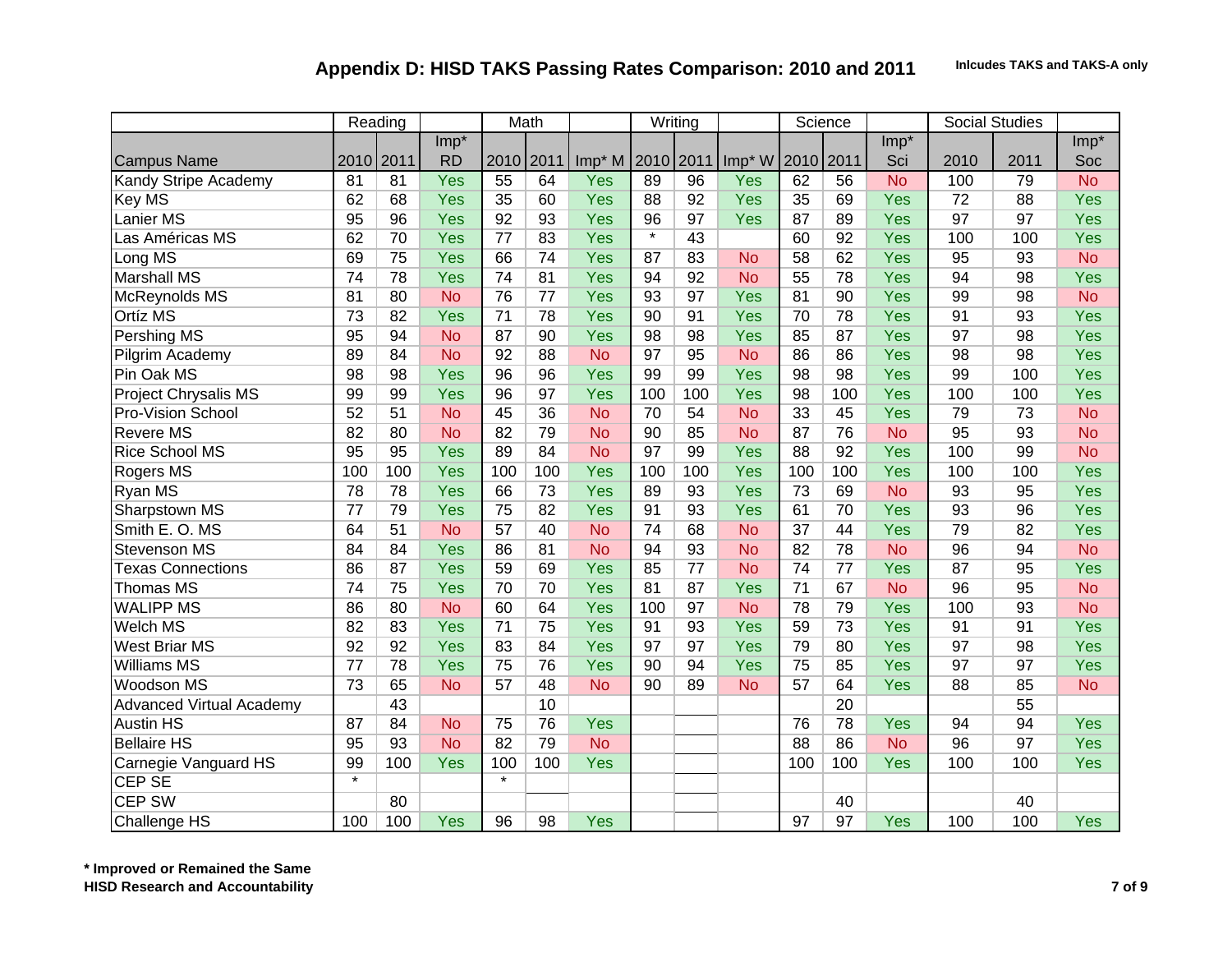|                                 |                   | Reading   |           |                 | Math |           |           | Writing         |                    |      | Science |            |      | <b>Social Studies</b> |            |
|---------------------------------|-------------------|-----------|-----------|-----------------|------|-----------|-----------|-----------------|--------------------|------|---------|------------|------|-----------------------|------------|
|                                 |                   |           | Imp*      |                 |      |           |           |                 |                    |      |         | $Imp*$     |      |                       | $Imp*$     |
| <b>Campus Name</b>              |                   | 2010 2011 | <b>RD</b> | 2010            | 2011 | Imp* M    | 2010 2011 |                 | Imp <sup>*</sup> W | 2010 | 2011    | Sci        | 2010 | 2011                  | Soc        |
| Kandy Stripe Academy            | $\overline{81}$   | 81        | Yes       | 55              | 64   | Yes       | 89        | $\overline{96}$ | Yes                | 62   | 56      | <b>No</b>  | 100  | 79                    | <b>No</b>  |
| Key MS                          | 62                | 68        | Yes       | 35              | 60   | Yes       | 88        | 92              | Yes                | 35   | 69      | Yes        | 72   | 88                    | Yes        |
| Lanier MS                       | 95                | 96        | Yes       | 92              | 93   | Yes       | 96        | 97              | Yes                | 87   | 89      | Yes        | 97   | 97                    | Yes        |
| Las Américas MS                 | 62                | 70        | Yes       | 77              | 83   | Yes       | $\star$   | 43              |                    | 60   | 92      | Yes        | 100  | 100                   | Yes        |
| Long MS                         | 69                | 75        | Yes       | 66              | 74   | Yes       | 87        | 83              | <b>No</b>          | 58   | 62      | <b>Yes</b> | 95   | 93                    | <b>No</b>  |
| <b>Marshall MS</b>              | 74                | 78        | Yes       | 74              | 81   | Yes       | 94        | 92              | <b>No</b>          | 55   | 78      | Yes        | 94   | 98                    | Yes        |
| McReynolds MS                   | 81                | 80        | <b>No</b> | 76              | 77   | Yes       | 93        | 97              | Yes                | 81   | 90      | Yes        | 99   | 98                    | <b>No</b>  |
| Ortíz MS                        | 73                | 82        | Yes       | $\overline{71}$ | 78   | Yes       | 90        | 91              | Yes                | 70   | 78      | Yes        | 91   | 93                    | <b>Yes</b> |
| <b>Pershing MS</b>              | 95                | 94        | <b>No</b> | 87              | 90   | Yes       | 98        | 98              | Yes                | 85   | 87      | <b>Yes</b> | 97   | 98                    | <b>Yes</b> |
| Pilgrim Academy                 | 89                | 84        | <b>No</b> | 92              | 88   | <b>No</b> | 97        | 95              | <b>No</b>          | 86   | 86      | Yes        | 98   | 98                    | <b>Yes</b> |
| Pin Oak MS                      | 98                | 98        | Yes       | 96              | 96   | Yes       | 99        | 99              | Yes                | 98   | 98      | Yes        | 99   | 100                   | <b>Yes</b> |
| <b>Project Chrysalis MS</b>     | 99                | 99        | Yes       | 96              | 97   | Yes       | 100       | 100             | Yes                | 98   | 100     | <b>Yes</b> | 100  | 100                   | <b>Yes</b> |
| Pro-Vision School               | 52                | 51        | <b>No</b> | 45              | 36   | <b>No</b> | 70        | 54              | <b>No</b>          | 33   | 45      | Yes        | 79   | 73                    | <b>No</b>  |
| <b>Revere MS</b>                | 82                | 80        | <b>No</b> | 82              | 79   | <b>No</b> | 90        | 85              | <b>No</b>          | 87   | 76      | <b>No</b>  | 95   | 93                    | <b>No</b>  |
| <b>Rice School MS</b>           | 95                | 95        | Yes       | 89              | 84   | <b>No</b> | 97        | 99              | Yes                | 88   | 92      | <b>Yes</b> | 100  | 99                    | <b>No</b>  |
| <b>Rogers MS</b>                | 100               | 100       | Yes       | 100             | 100  | Yes       | 100       | 100             | Yes                | 100  | 100     | Yes        | 100  | 100                   | <b>Yes</b> |
| Ryan MS                         | 78                | 78        | Yes       | 66              | 73   | Yes       | 89        | 93              | Yes                | 73   | 69      | <b>No</b>  | 93   | 95                    | <b>Yes</b> |
| Sharpstown MS                   | 77                | 79        | Yes       | 75              | 82   | Yes       | 91        | 93              | Yes                | 61   | 70      | Yes        | 93   | 96                    | <b>Yes</b> |
| Smith E.O. MS                   | 64                | 51        | <b>No</b> | 57              | 40   | <b>No</b> | 74        | 68              | <b>No</b>          | 37   | 44      | Yes        | 79   | 82                    | <b>Yes</b> |
| Stevenson MS                    | 84                | 84        | Yes       | 86              | 81   | <b>No</b> | 94        | 93              | <b>No</b>          | 82   | 78      | <b>No</b>  | 96   | 94                    | <b>No</b>  |
| <b>Texas Connections</b>        | 86                | 87        | Yes       | 59              | 69   | Yes       | 85        | 77              | <b>No</b>          | 74   | 77      | Yes        | 87   | 95                    | Yes        |
| Thomas MS                       | 74                | 75        | Yes       | 70              | 70   | Yes       | 81        | 87              | Yes                | 71   | 67      | <b>No</b>  | 96   | 95                    | <b>No</b>  |
| <b>WALIPP MS</b>                | 86                | 80        | <b>No</b> | 60              | 64   | Yes       | 100       | 97              | <b>No</b>          | 78   | 79      | Yes        | 100  | 93                    | <b>No</b>  |
| Welch MS                        | 82                | 83        | Yes       | 71              | 75   | Yes       | 91        | 93              | Yes                | 59   | 73      | Yes        | 91   | 91                    | Yes        |
| <b>West Briar MS</b>            | 92                | 92        | Yes       | 83              | 84   | Yes       | 97        | 97              | Yes                | 79   | 80      | Yes        | 97   | 98                    | Yes        |
| <b>Williams MS</b>              | 77                | 78        | Yes       | 75              | 76   | Yes       | 90        | 94              | Yes                | 75   | 85      | Yes        | 97   | 97                    | Yes        |
| Woodson MS                      | 73                | 65        | <b>No</b> | 57              | 48   | <b>No</b> | 90        | 89              | <b>No</b>          | 57   | 64      | Yes        | 88   | 85                    | <b>No</b>  |
| <b>Advanced Virtual Academy</b> |                   | 43        |           |                 | 10   |           |           |                 |                    |      | 20      |            |      | 55                    |            |
| <b>Austin HS</b>                | 87                | 84        | <b>No</b> | 75              | 76   | Yes       |           |                 |                    | 76   | 78      | Yes        | 94   | 94                    | <b>Yes</b> |
| <b>Bellaire HS</b>              | 95                | 93        | <b>No</b> | 82              | 79   | <b>No</b> |           |                 |                    | 88   | 86      | <b>No</b>  | 96   | 97                    | <b>Yes</b> |
| Carnegie Vanguard HS            | 99                | 100       | Yes       | 100             | 100  | Yes       |           |                 |                    | 100  | 100     | Yes        | 100  | 100                   | Yes        |
| <b>CEP SE</b>                   | $\overline{\ast}$ |           |           | $\star$         |      |           |           |                 |                    |      |         |            |      |                       |            |
| <b>CEP SW</b>                   |                   | 80        |           |                 |      |           |           |                 |                    |      | 40      |            |      | 40                    |            |
| <b>Challenge HS</b>             | 100               | 100       | Yes       | 96              | 98   | Yes       |           |                 |                    | 97   | 97      | Yes        | 100  | 100                   | <b>Yes</b> |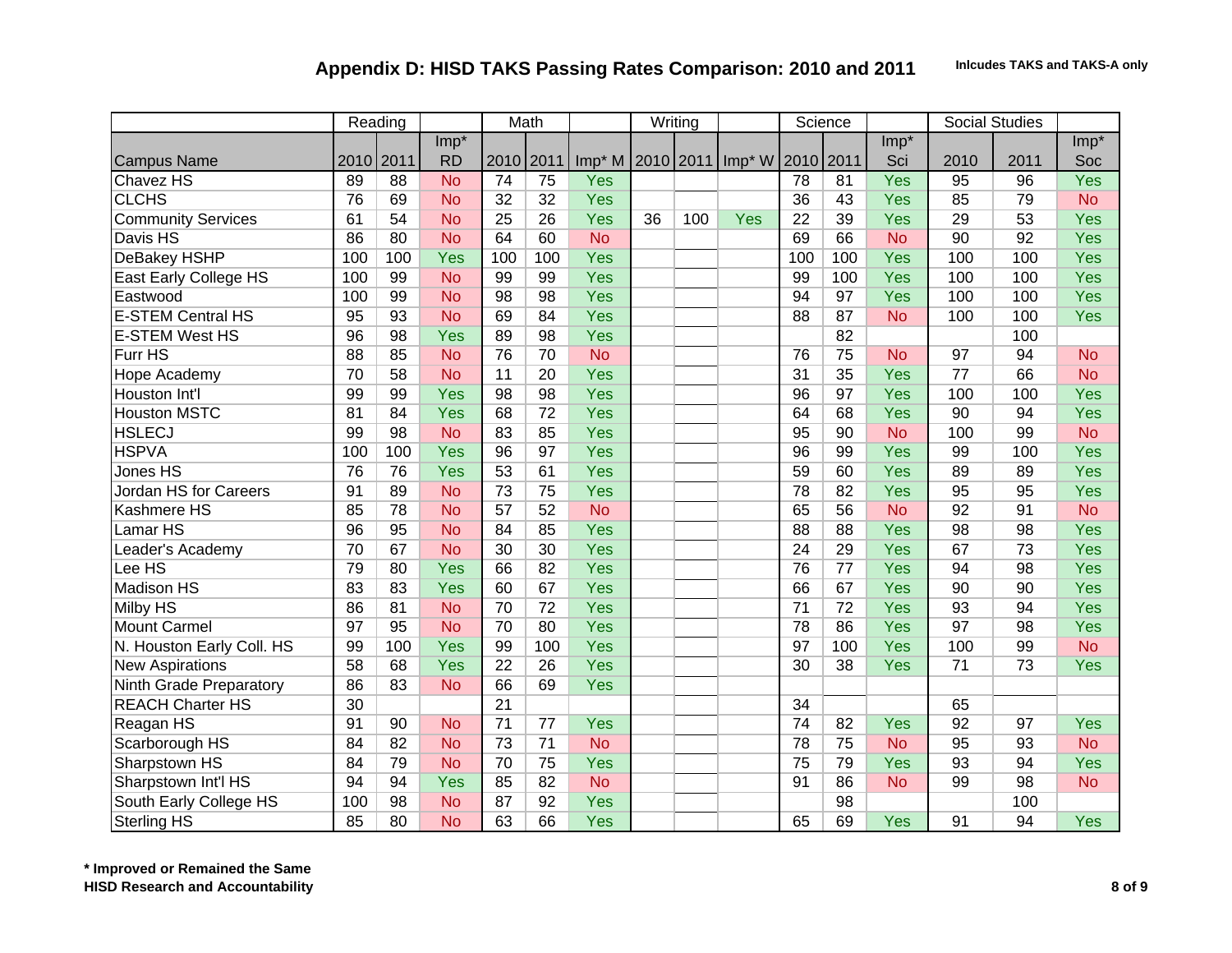|                           |     | Reading   |           |                 | Math            |           |    | Writing |                                   |                 | Science         |            |                 | <b>Social Studies</b> |            |
|---------------------------|-----|-----------|-----------|-----------------|-----------------|-----------|----|---------|-----------------------------------|-----------------|-----------------|------------|-----------------|-----------------------|------------|
|                           |     |           | $Imp*$    |                 |                 |           |    |         |                                   |                 |                 | $Imp*$     |                 |                       | $Imp*$     |
| <b>Campus Name</b>        |     | 2010 2011 | <b>RD</b> | 2010 2011       |                 |           |    |         | Imp* M 2010 2011 Imp* W 2010 2011 |                 |                 | Sci        | 2010            | 2011                  | Soc        |
| Chavez HS                 | 89  | 88        | <b>No</b> | $\overline{74}$ | $\overline{75}$ | Yes       |    |         |                                   | 78              | 81              | Yes        | 95              | $\overline{96}$       | Yes        |
| <b>CLCHS</b>              | 76  | 69        | <b>No</b> | 32              | 32              | Yes       |    |         |                                   | 36              | 43              | Yes        | 85              | 79                    | <b>No</b>  |
| <b>Community Services</b> | 61  | 54        | <b>No</b> | $\overline{25}$ | 26              | Yes       | 36 | 100     | Yes                               | $\overline{22}$ | 39              | Yes        | 29              | 53                    | Yes        |
| Davis HS                  | 86  | 80        | <b>No</b> | 64              | 60              | <b>No</b> |    |         |                                   | 69              | 66              | <b>No</b>  | 90              | 92                    | Yes        |
| <b>DeBakey HSHP</b>       | 100 | 100       | Yes       | 100             | 100             | Yes       |    |         |                                   | 100             | 100             | Yes        | 100             | 100                   | <b>Yes</b> |
| East Early College HS     | 100 | 99        | <b>No</b> | 99              | 99              | Yes       |    |         |                                   | 99              | 100             | Yes        | 100             | 100                   | <b>Yes</b> |
| Eastwood                  | 100 | 99        | <b>No</b> | 98              | 98              | Yes       |    |         |                                   | 94              | 97              | Yes        | 100             | 100                   | <b>Yes</b> |
| <b>E-STEM Central HS</b>  | 95  | 93        | <b>No</b> | 69              | 84              | Yes       |    |         |                                   | 88              | 87              | <b>No</b>  | 100             | 100                   | <b>Yes</b> |
| <b>E-STEM West HS</b>     | 96  | 98        | Yes       | 89              | 98              | Yes       |    |         |                                   |                 | 82              |            |                 | 100                   |            |
| Furr HS                   | 88  | 85        | <b>No</b> | 76              | 70              | <b>No</b> |    |         |                                   | 76              | 75              | <b>No</b>  | 97              | 94                    | <b>No</b>  |
| Hope Academy              | 70  | 58        | <b>No</b> | 11              | 20              | Yes       |    |         |                                   | $\overline{31}$ | 35              | Yes        | 77              | 66                    | <b>No</b>  |
| Houston Int'l             | 99  | 99        | Yes       | 98              | 98              | Yes       |    |         |                                   | 96              | 97              | Yes        | 100             | 100                   | <b>Yes</b> |
| <b>Houston MSTC</b>       | 81  | 84        | Yes       | 68              | 72              | Yes       |    |         |                                   | 64              | 68              | Yes        | 90              | 94                    | <b>Yes</b> |
| <b>HSLECJ</b>             | 99  | 98        | <b>No</b> | 83              | 85              | Yes       |    |         |                                   | 95              | 90              | <b>No</b>  | 100             | 99                    | <b>No</b>  |
| <b>HSPVA</b>              | 100 | 100       | Yes       | 96              | 97              | Yes       |    |         |                                   | 96              | 99              | Yes        | 99              | 100                   | <b>Yes</b> |
| Jones HS                  | 76  | 76        | Yes       | 53              | 61              | Yes       |    |         |                                   | 59              | 60              | Yes        | 89              | 89                    | <b>Yes</b> |
| Jordan HS for Careers     | 91  | 89        | <b>No</b> | 73              | 75              | Yes       |    |         |                                   | 78              | 82              | Yes        | 95              | 95                    | <b>Yes</b> |
| Kashmere HS               | 85  | 78        | <b>No</b> | 57              | 52              | <b>No</b> |    |         |                                   | 65              | 56              | <b>No</b>  | 92              | 91                    | <b>No</b>  |
| Lamar HS                  | 96  | 95        | <b>No</b> | 84              | 85              | Yes       |    |         |                                   | 88              | 88              | Yes        | 98              | 98                    | <b>Yes</b> |
| Leader's Academy          | 70  | 67        | <b>No</b> | 30              | 30              | Yes       |    |         |                                   | 24              | 29              | Yes        | 67              | 73                    | Yes        |
| Lee HS                    | 79  | 80        | Yes       | 66              | 82              | Yes       |    |         |                                   | 76              | $\overline{77}$ | Yes        | 94              | 98                    | Yes        |
| <b>Madison HS</b>         | 83  | 83        | Yes       | 60              | 67              | Yes       |    |         |                                   | 66              | 67              | Yes        | 90              | 90                    | Yes        |
| <b>Milby HS</b>           | 86  | 81        | <b>No</b> | 70              | $\overline{72}$ | Yes       |    |         |                                   | $\overline{71}$ | 72              | Yes        | 93              | 94                    | <b>Yes</b> |
| <b>Mount Carmel</b>       | 97  | 95        | <b>No</b> | 70              | 80              | Yes       |    |         |                                   | 78              | 86              | Yes        | 97              | 98                    | Yes        |
| N. Houston Early Coll. HS | 99  | 100       | Yes       | 99              | 100             | Yes       |    |         |                                   | 97              | 100             | Yes        | 100             | 99                    | <b>No</b>  |
| <b>New Aspirations</b>    | 58  | 68        | Yes       | $\overline{22}$ | 26              | Yes       |    |         |                                   | 30              | 38              | <b>Yes</b> | $\overline{71}$ | 73                    | Yes        |
| Ninth Grade Preparatory   | 86  | 83        | <b>No</b> | 66              | 69              | Yes       |    |         |                                   |                 |                 |            |                 |                       |            |
| <b>REACH Charter HS</b>   | 30  |           |           | $\overline{21}$ |                 |           |    |         |                                   | 34              |                 |            | 65              |                       |            |
| Reagan HS                 | 91  | 90        | <b>No</b> | $\overline{71}$ | 77              | Yes       |    |         |                                   | 74              | 82              | Yes        | 92              | 97                    | <b>Yes</b> |
| Scarborough HS            | 84  | 82        | <b>No</b> | 73              | $\overline{71}$ | <b>No</b> |    |         |                                   | 78              | 75              | <b>No</b>  | 95              | 93                    | <b>No</b>  |
| Sharpstown HS             | 84  | 79        | <b>No</b> | 70              | 75              | Yes       |    |         |                                   | 75              | 79              | Yes        | 93              | 94                    | <b>Yes</b> |
| Sharpstown Int'l HS       | 94  | 94        | Yes       | 85              | 82              | <b>No</b> |    |         |                                   | 91              | 86              | <b>No</b>  | 99              | 98                    | <b>No</b>  |
| South Early College HS    | 100 | 98        | <b>No</b> | 87              | 92              | Yes       |    |         |                                   |                 | 98              |            |                 | 100                   |            |
| <b>Sterling HS</b>        | 85  | 80        | <b>No</b> | 63              | 66              | Yes       |    |         |                                   | 65              | 69              | Yes        | 91              | 94                    | <b>Yes</b> |